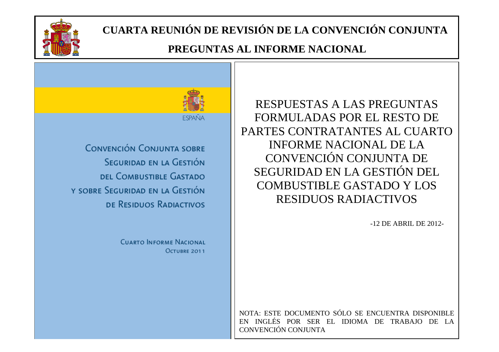

#### **PREGUNTAS AL INFORME NACIONAL**



RESPUESTAS A LAS PREGUNTAS FORMULADAS POR EL RESTO DE PARTES CONTRATANTES AL CUARTO INFORME NACIONAL DE LA CONVENCIÓN CONJUNTA DE SEGURIDAD EN LA GESTIÓN DEL COMBUSTIBLE GASTADO Y LOS RESIDUOS RADIACTIVOS

-12 DE ABRIL DE 2012-

NOTA: ESTE DOCUMENTO SÓLO SE ENCUENTRA DISPONIBLE EN INGLÉS POR SER EL IDIOMA DE TRABAJO DE LA CONVENCIÓN CONJUNTA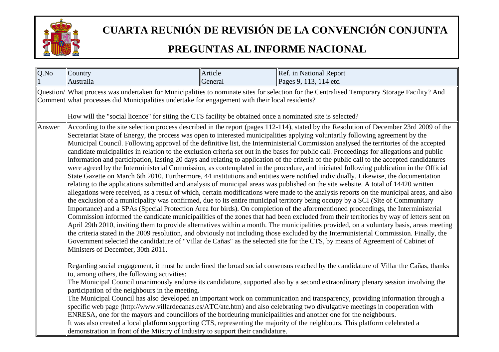

| Q.No   | Country                                                                                                                                                                                                                                                                                                                                                                                                                                                                                                                                                                                                                                                                                                                                                                                                                                                                                                                                                                                                                                                                                                                                                                                                                                                                                                                                                                                                                                                                                                                                                                                                                                                                                                                                                                                                                                                                                                                                                                                                                                                                                                                                                                                                                                                                     | Article | Ref. in National Report                                                                                                                                                                                                                                                                                                                                                                                                                                                                                                                                                                                                                                                     |
|--------|-----------------------------------------------------------------------------------------------------------------------------------------------------------------------------------------------------------------------------------------------------------------------------------------------------------------------------------------------------------------------------------------------------------------------------------------------------------------------------------------------------------------------------------------------------------------------------------------------------------------------------------------------------------------------------------------------------------------------------------------------------------------------------------------------------------------------------------------------------------------------------------------------------------------------------------------------------------------------------------------------------------------------------------------------------------------------------------------------------------------------------------------------------------------------------------------------------------------------------------------------------------------------------------------------------------------------------------------------------------------------------------------------------------------------------------------------------------------------------------------------------------------------------------------------------------------------------------------------------------------------------------------------------------------------------------------------------------------------------------------------------------------------------------------------------------------------------------------------------------------------------------------------------------------------------------------------------------------------------------------------------------------------------------------------------------------------------------------------------------------------------------------------------------------------------------------------------------------------------------------------------------------------------|---------|-----------------------------------------------------------------------------------------------------------------------------------------------------------------------------------------------------------------------------------------------------------------------------------------------------------------------------------------------------------------------------------------------------------------------------------------------------------------------------------------------------------------------------------------------------------------------------------------------------------------------------------------------------------------------------|
|        | Australia                                                                                                                                                                                                                                                                                                                                                                                                                                                                                                                                                                                                                                                                                                                                                                                                                                                                                                                                                                                                                                                                                                                                                                                                                                                                                                                                                                                                                                                                                                                                                                                                                                                                                                                                                                                                                                                                                                                                                                                                                                                                                                                                                                                                                                                                   | General | Pages 9, 113, 114 etc.                                                                                                                                                                                                                                                                                                                                                                                                                                                                                                                                                                                                                                                      |
|        | Comment what processes did Municipalities undertake for engagement with their local residents?                                                                                                                                                                                                                                                                                                                                                                                                                                                                                                                                                                                                                                                                                                                                                                                                                                                                                                                                                                                                                                                                                                                                                                                                                                                                                                                                                                                                                                                                                                                                                                                                                                                                                                                                                                                                                                                                                                                                                                                                                                                                                                                                                                              |         | Question/ What process was undertaken for Municipalities to nominate sites for selection for the Centralised Temporary Storage Facility? And                                                                                                                                                                                                                                                                                                                                                                                                                                                                                                                                |
| Answer | How will the "social licence" for siting the CTS facility be obtained once a nominated site is selected?<br>According to the site selection process described in the report (pages 112-114), stated by the Resolution of December 23rd 2009 of the<br>Secretariat State of Energy, the process was open to interested municipalities applying voluntarily following agreement by the<br>Municipal Council. Following approval of the definitive list, the Interministerial Commission analysed the territories of the accepted<br>candidate muicipalities in relation to the exclusion criteria set out in the bases for public call. Proceedings for allegations and public<br>information and participation, lasting 20 days and relating to application of the criteria of the public call to the accepted candidatures<br>were agreed by the Interministerial Commission, as contemplated in the procedure, and iniciated following publication in the Official<br>State Gazette on March 6th 2010. Furthermore, 44 institutions and entities were notified individually. Likewise, the documentation<br>relating to the applications submitted and analysis of municipal areas was published on the site website. A total of 14420 written<br>allegations were received, as a result of which, certain modifications were made to the analysis reports on the municipal areas, and also<br>the exclusion of a municipality was confirmed, due to its entire municipal territory being occupy by a SCI (Site of Communitary<br>Importance) and a SPAs (Special Protection Area for birds). On completion of the aforementioned proceedings, the Interministerial<br>Commission informed the candidate municipailities of the zones that had been excluded from their territories by way of letters sent on<br>April 29th 2010, inviting them to provide alternatives within a month. The municipalities provided, on a voluntary basis, areas meeting<br>the criteria stated in the 2009 resolution, and obviously not including those excluded by the Interministerial Commission. Finally, the<br>Government selected the candidature of "Villar de Cañas" as the selected site for the CTS, by means of Agreement of Cabinet of<br>Ministers of December, 30th 2011. |         |                                                                                                                                                                                                                                                                                                                                                                                                                                                                                                                                                                                                                                                                             |
|        | to, among others, the following activities:<br>participation of the neighbours in the meeting.<br>ENRESA, one for the mayors and councillors of the bordeuring municipallities and another one for the neighbours.<br>demonstration in front of the Miistry of Industry to support their candidature.                                                                                                                                                                                                                                                                                                                                                                                                                                                                                                                                                                                                                                                                                                                                                                                                                                                                                                                                                                                                                                                                                                                                                                                                                                                                                                                                                                                                                                                                                                                                                                                                                                                                                                                                                                                                                                                                                                                                                                       |         | Regarding social engagement, it must be underlined the broad social consensus reached by the candidature of Villar the Cañas, thanks<br>The Municipal Council unanimously endorse its candidature, supported also by a second extraordinary plenary session involving the<br>The Municipal Council has also developed an important work on communication and transparency, providing information through a<br>specific web page (http://www.villardecanas.es/ATC/atc.htm) and also celebrating two divulgative meetings in cooperation with<br>It was also created a local platform supporting CTS, representing the majority of the neighbours. This platform celebrated a |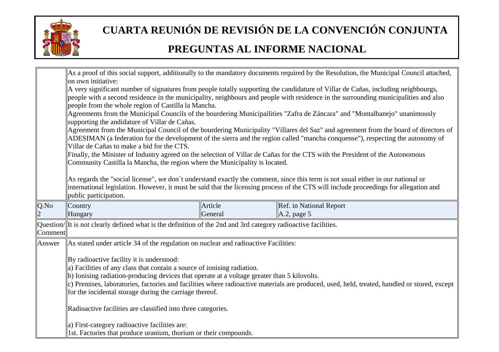

|         | on own initiative:                                                                                                                                                                                                                                                                                                                                                                                                                       |                    | As a proof of this social support, additionally to the mandatory documents required by the Resolution, the Municipal Council attached,                                                                                                                                |  |
|---------|------------------------------------------------------------------------------------------------------------------------------------------------------------------------------------------------------------------------------------------------------------------------------------------------------------------------------------------------------------------------------------------------------------------------------------------|--------------------|-----------------------------------------------------------------------------------------------------------------------------------------------------------------------------------------------------------------------------------------------------------------------|--|
|         | A very significant number of signatures from people totally supporting the candidature of Villar de Cañas, including neighbourgs,<br>people with a second residence in the municipality, neighbours and people with residence in the surrounding municipalities and also                                                                                                                                                                 |                    |                                                                                                                                                                                                                                                                       |  |
|         | people from the whole region of Castilla la Mancha.<br>Agreements from the Municipal Councils of the bourdering Municipailities "Zafra de Záncara" and "Montalbanejo" unanimously<br>supporting the andidature of Villar de Cañas.                                                                                                                                                                                                       |                    |                                                                                                                                                                                                                                                                       |  |
|         | Villar de Cañas to make a bid for the CTS.                                                                                                                                                                                                                                                                                                                                                                                               |                    | Agreement from the Municipal Council of the bourdering Municipality "Villares del Saz" and agreement from the board of directors of<br>ADESIMAN (a federation for the development of the sierra and the region called "mancha conquense"), respecting the autonomy of |  |
|         | Community Castilla la Mancha, the region where the Municipality is located.                                                                                                                                                                                                                                                                                                                                                              |                    | Finally, the Minister of Industry agreed on the selection of Villar de Cañas for the CTS with the President of the Autonomous                                                                                                                                         |  |
|         | As regards the "social license", we don't understand exactly the comment, since this term is not usual either in our national or<br>international legislation. However, it must be said that the licensing process of the CTS will include proceedings for allegation and<br>public participation.                                                                                                                                       |                    |                                                                                                                                                                                                                                                                       |  |
| Q.No    | Country<br>Hungary                                                                                                                                                                                                                                                                                                                                                                                                                       | Article<br>General | Ref. in National Report<br>$\vert$ A.2, page 5                                                                                                                                                                                                                        |  |
| Comment | $\alpha$ Question/ $\ $ It is not clearly defined what is the definition of the 2nd and 3rd category radioactive facilities.                                                                                                                                                                                                                                                                                                             |                    |                                                                                                                                                                                                                                                                       |  |
| Answer  | As stated under article 34 of the regulation on nuclear and radioactive Facilities:                                                                                                                                                                                                                                                                                                                                                      |                    |                                                                                                                                                                                                                                                                       |  |
|         | By radioactive facility it is understood:<br>$\ $ a) Facilities of any class that contain a source of ionising radiation.<br>$\ $ b) Ionising radiation-producing devices that operate at a voltage greater than 5 kilovolts.<br>c) Premises, laboratories, factories and facilities where radioactive materials are produced, used, held, treated, handled or stored, except<br>for the incidental storage during the carriage thereof. |                    |                                                                                                                                                                                                                                                                       |  |
|         | Radioactive facilities are classified into three categories.                                                                                                                                                                                                                                                                                                                                                                             |                    |                                                                                                                                                                                                                                                                       |  |
|         | a) First-category radioactive facilities are:<br>1st. Factories that produce uranium, thorium or their compounds.                                                                                                                                                                                                                                                                                                                        |                    |                                                                                                                                                                                                                                                                       |  |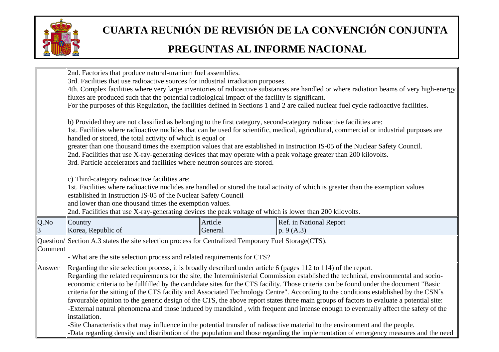

|         | 2nd. Factories that produce natural-uranium fuel assemblies.<br>3rd. Facilities that use radioactive sources for industrial irradiation purposes.                                                      |  |  |  |
|---------|--------------------------------------------------------------------------------------------------------------------------------------------------------------------------------------------------------|--|--|--|
|         | 4th. Complex facilities where very large inventories of radioactive substances are handled or where radiation beams of very high-energy                                                                |  |  |  |
|         | fluxes are produced such that the potential radiological impact of the facility is significant.                                                                                                        |  |  |  |
|         | For the purposes of this Regulation, the facilities defined in Sections 1 and 2 are called nuclear fuel cycle radioactive facilities.                                                                  |  |  |  |
|         |                                                                                                                                                                                                        |  |  |  |
|         | $\vert$ b) Provided they are not classified as belonging to the first category, second-category radioactive facilities are:                                                                            |  |  |  |
|         | 1st. Facilities where radioactive nuclides that can be used for scientific, medical, agricultural, commercial or industrial purposes are<br>handled or stored, the total activity of which is equal or |  |  |  |
|         | greater than one thousand times the exemption values that are established in Instruction IS-05 of the Nuclear Safety Council.                                                                          |  |  |  |
|         | 2nd. Facilities that use X-ray-generating devices that may operate with a peak voltage greater than 200 kilovolts.                                                                                     |  |  |  |
|         | 3rd. Particle accelerators and facilities where neutron sources are stored.                                                                                                                            |  |  |  |
|         |                                                                                                                                                                                                        |  |  |  |
|         | $ c)$ Third-category radioactive facilities are:                                                                                                                                                       |  |  |  |
|         | 1st. Facilities where radioactive nuclides are handled or stored the total activity of which is greater than the exemption values<br>established in Instruction IS-05 of the Nuclear Safety Council    |  |  |  |
|         | and lower than one thousand times the exemption values.                                                                                                                                                |  |  |  |
|         | 2nd. Facilities that use X-ray-generating devices the peak voltage of which is lower than 200 kilovolts.                                                                                               |  |  |  |
| Q.No    | Country<br>Article<br>Ref. in National Report                                                                                                                                                          |  |  |  |
|         | Korea, Republic of<br>General<br> p. 9 (A.3)                                                                                                                                                           |  |  |  |
|         | Question/Section A.3 states the site selection process for Centralized Temporary Fuel Storage (CTS).                                                                                                   |  |  |  |
| Comment |                                                                                                                                                                                                        |  |  |  |
|         | What are the site selection process and related requirements for CTS?                                                                                                                                  |  |  |  |
| Answer  | Regarding the site selection process, it is broadly described under article 6 (pages 112 to 114) of the report.                                                                                        |  |  |  |
|         | Regarding the related requirements for the site, the Interministerial Commission established the technical, environmental and socio-                                                                   |  |  |  |
|         | economic criteria to be fullfilled by the candidate sites for the CTS facility. Those criteria can be found under the document "Basic"                                                                 |  |  |  |
|         | criteria for the sitting of the CTS facility and Associated Technology Centre". According to the conditions established by the CSN's                                                                   |  |  |  |
|         | favourable opinion to the generic design of the CTS, the above report states three main groups of factors to evaluate a potential site:                                                                |  |  |  |
|         | External natural phenomena and those induced by mandkind, with frequent and intense enough to eventually affect the safety of the                                                                      |  |  |  |
|         | installation.                                                                                                                                                                                          |  |  |  |
|         | -Site Characteristics that may influence in the potential transfer of radioactive material to the environment and the people.                                                                          |  |  |  |
|         | -Data regarding density and distribution of the population and those regarding the implementation of emergency measures and the need                                                                   |  |  |  |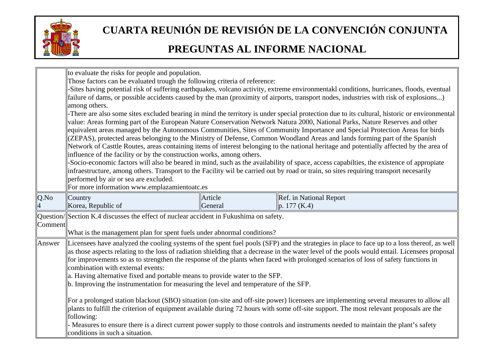

|         | to evaluate the risks for people and population.                                                                                         |         |                                                                                                                                               |  |
|---------|------------------------------------------------------------------------------------------------------------------------------------------|---------|-----------------------------------------------------------------------------------------------------------------------------------------------|--|
|         | Those factors can be evaluated trough the following criteria of reference:                                                               |         |                                                                                                                                               |  |
|         | -Sites having potential risk of suffering earthquakes, volcano activity, extreme environmentakl conditions, hurricanes, floods, eventual |         |                                                                                                                                               |  |
|         | failure of dams, or possible accidents caused by the man (proximity of airports, transport nodes, industries with risk of explosions)    |         |                                                                                                                                               |  |
|         | among others.                                                                                                                            |         |                                                                                                                                               |  |
|         |                                                                                                                                          |         | -There are also some sites excluded bearing in mind the territory is under special protection due to its cultural, historic or environmental  |  |
|         |                                                                                                                                          |         | value: Areas forming part of the European Nature Conservation Network Natura 2000, National Parks, Nature Reserves and other                  |  |
|         |                                                                                                                                          |         | equivalent areas managed by the Autonomous Communities, Sites of Community Importance and Special Protection Areas for birds                  |  |
|         |                                                                                                                                          |         | (ZEPAS), protected areas belonging to the Ministry of Defense, Common Woodland Areas and lands forming part of the Spanish                    |  |
|         |                                                                                                                                          |         | Network of Casttle Routes, areas containing items of interest belonging to the national heritage and potentially affected by the area of      |  |
|         | influence of the facility or by the construction works, among others.                                                                    |         |                                                                                                                                               |  |
|         |                                                                                                                                          |         | -Socio-economic factors will also be beared in mind, such as the availability of space, access capabilties, the existence of appropiate       |  |
|         |                                                                                                                                          |         | infraestructure, among others. Transport to the Facility wil be carried out by road or train, so sites requiring transport necesarily         |  |
|         | performed by air or sea are excluded.                                                                                                    |         |                                                                                                                                               |  |
|         | For more information www.emplazamientoatc.es                                                                                             |         |                                                                                                                                               |  |
| Q.No    | Country                                                                                                                                  | Article | Ref. in National Report                                                                                                                       |  |
|         | Korea, Republic of                                                                                                                       | General | p. 177 (K.4)                                                                                                                                  |  |
|         | Question/Section K.4 discusses the effect of nuclear accident in Fukushima on safety.                                                    |         |                                                                                                                                               |  |
| Comment |                                                                                                                                          |         |                                                                                                                                               |  |
|         | What is the management plan for spent fuels under abnormal conditions?                                                                   |         |                                                                                                                                               |  |
| Answer  |                                                                                                                                          |         | Licensees have analyzed the cooling systems of the spent fuel pools (SFP) and the strategies in place to face up to a loss thereof, as well   |  |
|         |                                                                                                                                          |         | as those aspects relating to the loss of radiation shielding that a decrease in the water level of the pools would entail. Licensees proposal |  |
|         |                                                                                                                                          |         | for improvements so as to strengthen the response of the plants when faced with prolonged scenarios of loss of safety functions in            |  |
|         | combination with external events:                                                                                                        |         |                                                                                                                                               |  |
|         | a. Having alternative fixed and portable means to provide water to the SFP.                                                              |         |                                                                                                                                               |  |
|         | $\ $ b. Improving the instrumentation for measuring the level and temperature of the SFP.                                                |         |                                                                                                                                               |  |
|         |                                                                                                                                          |         |                                                                                                                                               |  |
|         |                                                                                                                                          |         | For a prolonged station blackout (SBO) situation (on-site and off-site power) licensees are implementing several measures to allow all        |  |
|         |                                                                                                                                          |         | plants to fulfill the criterion of equipment available during 72 hours with some off-site support. The most relevant proposals are the        |  |
|         |                                                                                                                                          |         |                                                                                                                                               |  |
|         | following:                                                                                                                               |         |                                                                                                                                               |  |
|         | conditions in such a situation.                                                                                                          |         | - Measures to ensure there is a direct current power supply to those controls and instruments needed to maintain the plant's safety           |  |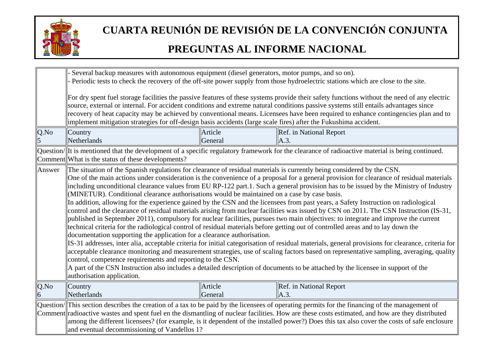

|        | Several backup measures with autonomous equipment (diesel generators, motor pumps, and so on).<br>Periodic tests to check the recovery of the off-site power supply from those hydroelectric stations which are close to the site.<br>For dry spent fuel storage facilities the passive features of these systems provide their safety functions without the need of any electric<br>source, external or internal. For accident conditions and extreme natural conditions passive systems still entails advantages since<br>recovery of heat capacity may be achieved by conventional means. Licensees have been required to enhance contingencies plan and to<br>implement mitigation strategies for off-design basis accidents (large scale fires) after the Fukushima accident. |                    |                                                                                                                                                                                                                                                                                                                                                                                                                                                                                                                                                                                                                                                                                                                                                                                                                                                                                                                                                                                                                                                                                                                                                                                                                                                                                 |
|--------|------------------------------------------------------------------------------------------------------------------------------------------------------------------------------------------------------------------------------------------------------------------------------------------------------------------------------------------------------------------------------------------------------------------------------------------------------------------------------------------------------------------------------------------------------------------------------------------------------------------------------------------------------------------------------------------------------------------------------------------------------------------------------------|--------------------|---------------------------------------------------------------------------------------------------------------------------------------------------------------------------------------------------------------------------------------------------------------------------------------------------------------------------------------------------------------------------------------------------------------------------------------------------------------------------------------------------------------------------------------------------------------------------------------------------------------------------------------------------------------------------------------------------------------------------------------------------------------------------------------------------------------------------------------------------------------------------------------------------------------------------------------------------------------------------------------------------------------------------------------------------------------------------------------------------------------------------------------------------------------------------------------------------------------------------------------------------------------------------------|
| Q.No   | Country<br>Netherlands                                                                                                                                                                                                                                                                                                                                                                                                                                                                                                                                                                                                                                                                                                                                                             | Article<br>General | Ref. in National Report<br>A.3                                                                                                                                                                                                                                                                                                                                                                                                                                                                                                                                                                                                                                                                                                                                                                                                                                                                                                                                                                                                                                                                                                                                                                                                                                                  |
|        | Comment What is the status of these developments?                                                                                                                                                                                                                                                                                                                                                                                                                                                                                                                                                                                                                                                                                                                                  |                    | Question/ It is mentioned that the development of a specific regulatory framework for the clearance of radioactive material is being continued.                                                                                                                                                                                                                                                                                                                                                                                                                                                                                                                                                                                                                                                                                                                                                                                                                                                                                                                                                                                                                                                                                                                                 |
| Answer | The situation of the Spanish regulations for clearance of residual materials is currently being considered by the CSN.<br>(MINETUR). Conditional clearance authorisations would be maintained on a case by case basis.<br>documentation supporting the application for a clearance authorisation.<br>control, competence requirements and reporting to the CSN.<br>authorisation application.                                                                                                                                                                                                                                                                                                                                                                                      |                    | One of the main actions under consideration is the convenience of a proposal for a general provision for clearance of residual materials<br>including unconditional clearance values from EU RP-122 part.1. Such a general provision has to be issued by the Ministry of Industry<br>In addition, allowing for the experience gained by the CSN and the licensees from past years, a Safety Instruction on radiological<br>control and the clearance of residual materials arising from nuclear facilities was issued by CSN on 2011. The CSN Instruction (IS-31,<br>published in September 2011), compulsory for nuclear facilities, pursues two main objectives: to integrate and improve the current<br>technical criteria for the radiological control of residual materials before getting out of controlled areas and to lay down the<br>IS-31 addresses, inter alia, acceptable criteria for initial categorisation of residual materials, general provisions for clearance, criteria for<br>acceptable clearance monitoring and measurement strategies, use of scaling factors based on representative sampling, averaging, quality<br>A part of the CSN Instruction also includes a detailed description of documents to be attached by the licensee in support of the |
| Q.No   | Country<br>Netherlands                                                                                                                                                                                                                                                                                                                                                                                                                                                                                                                                                                                                                                                                                                                                                             | Article<br>General | Ref. in National Report<br>A.3.                                                                                                                                                                                                                                                                                                                                                                                                                                                                                                                                                                                                                                                                                                                                                                                                                                                                                                                                                                                                                                                                                                                                                                                                                                                 |
|        | and eventual decommissioning of Vandellos 1?                                                                                                                                                                                                                                                                                                                                                                                                                                                                                                                                                                                                                                                                                                                                       |                    | Question/ This section describes the creation of a tax to be paid by the licensees of operating permits for the financing of the management of<br>Comment radioactive wastes and spent fuel en the dismantling of nuclear facilities. How are these costs estimated, and how are they distributed<br>among the different licensees? (for example, is it dependent of the installed power?) Does this tax also cover the costs of safe enclosure                                                                                                                                                                                                                                                                                                                                                                                                                                                                                                                                                                                                                                                                                                                                                                                                                                 |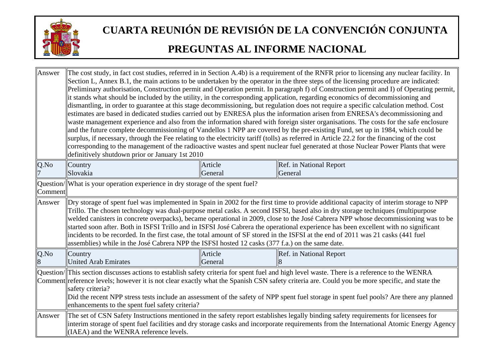

| Answer  | The cost study, in fact cost studies, referred in in Section A.4b) is a requirement of the RNFR prior to licensing any nuclear facility. In<br>Section L, Annex B.1, the main actions to be undertaken by the operator in the three steps of the licensing procedure are indicated:<br>Preliminary authorisation, Construction permit and Operation permit. In paragraph f) of Construction permit and I) of Operating permit,<br>it stands what should be included by the utility, in the corresponding application, regarding economics of decommissioning and<br>dismantling, in order to guarantee at this stage decommissioning, but regulation does not require a specific calculation method. Cost<br>estimates are based in dedicated studies carried out by ENRESA plus the information arisen from ENRESA's decommissioning and<br>waste management experience and also from the information shared with foreign sister organisations. The costs for the safe enclosure<br>and the future complete decommissioning of Vandellos 1 NPP are covered by the pre-existing Fund, set up in 1984, which could be<br>surplus, if necessary, through the Fee relating to the electricity tariff (tolls) as referred in Article 22.2 for the financing of the cost<br>corresponding to the management of the radioactive wastes and spent nuclear fuel generated at those Nuclear Power Plants that were<br>definitively shutdown prior or January 1st 2010 |                    |                                                                                                                                                                                                                                                                                |
|---------|--------------------------------------------------------------------------------------------------------------------------------------------------------------------------------------------------------------------------------------------------------------------------------------------------------------------------------------------------------------------------------------------------------------------------------------------------------------------------------------------------------------------------------------------------------------------------------------------------------------------------------------------------------------------------------------------------------------------------------------------------------------------------------------------------------------------------------------------------------------------------------------------------------------------------------------------------------------------------------------------------------------------------------------------------------------------------------------------------------------------------------------------------------------------------------------------------------------------------------------------------------------------------------------------------------------------------------------------------------------------------------------------------------------------------------------------------------------|--------------------|--------------------------------------------------------------------------------------------------------------------------------------------------------------------------------------------------------------------------------------------------------------------------------|
| $Q$ .No | Country<br>Slovakia                                                                                                                                                                                                                                                                                                                                                                                                                                                                                                                                                                                                                                                                                                                                                                                                                                                                                                                                                                                                                                                                                                                                                                                                                                                                                                                                                                                                                                          | Article<br>General | Ref. in National Report<br>General                                                                                                                                                                                                                                             |
| Comment | Question/ What is your operation experience in dry storage of the spent fuel?                                                                                                                                                                                                                                                                                                                                                                                                                                                                                                                                                                                                                                                                                                                                                                                                                                                                                                                                                                                                                                                                                                                                                                                                                                                                                                                                                                                |                    |                                                                                                                                                                                                                                                                                |
| Answer  | Dry storage of spent fuel was implemented in Spain in 2002 for the first time to provide additional capacity of interim storage to NPP<br>Trillo. The chosen technology was dual-purpose metal casks. A second ISFSI, based also in dry storage techniques (multipurpose<br>welded canisters in concrete overpacks), became operational in 2009, close to the José Cabrera NPP whose decommissioning was to be<br>started soon after. Both in ISFSI Trillo and in ISFSI José Cabrera the operational experience has been excellent with no significant<br>incidents to be recorded. In the first case, the total amount of SF stored in the ISFSI at the end of 2011 was 21 casks (441 fuel<br>assemblies) while in the José Cabrera NPP the ISFSI hosted 12 casks (377 f.a.) on the same date.                                                                                                                                                                                                                                                                                                                                                                                                                                                                                                                                                                                                                                                              |                    |                                                                                                                                                                                                                                                                                |
| Q.No    | Country<br>United Arab Emirates                                                                                                                                                                                                                                                                                                                                                                                                                                                                                                                                                                                                                                                                                                                                                                                                                                                                                                                                                                                                                                                                                                                                                                                                                                                                                                                                                                                                                              | Article<br>General | Ref. in National Report                                                                                                                                                                                                                                                        |
|         | Question/ This section discusses actions to establish safety criteria for spent fuel and high level waste. There is a reference to the WENRA<br>Comment reference levels; however it is not clear exactly what the Spanish CSN safety criteria are. Could you be more specific, and state the<br>safety criteria?<br>Did the recent NPP stress tests include an assessment of the safety of NPP spent fuel storage in spent fuel pools? Are there any planned<br>enhancements to the spent fuel safety criteria?                                                                                                                                                                                                                                                                                                                                                                                                                                                                                                                                                                                                                                                                                                                                                                                                                                                                                                                                             |                    |                                                                                                                                                                                                                                                                                |
| Answer  | (IAEA) and the WENRA reference levels.                                                                                                                                                                                                                                                                                                                                                                                                                                                                                                                                                                                                                                                                                                                                                                                                                                                                                                                                                                                                                                                                                                                                                                                                                                                                                                                                                                                                                       |                    | The set of CSN Safety Instructions mentioned in the safety report establishes legally binding safety requirements for licensees for<br>interim storage of spent fuel facilities and dry storage casks and incorporate requirements from the International Atomic Energy Agency |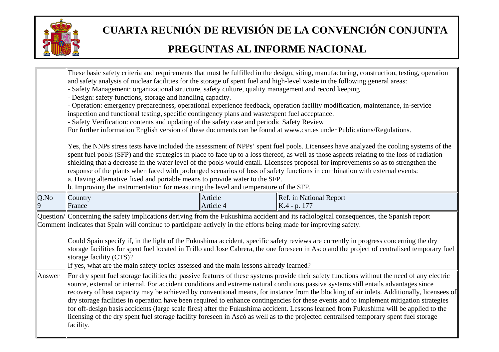

|           | and safety analysis of nuclear facilities for the storage of spent fuel and high-level waste in the following general areas:<br>Safety Management: organizational structure, safety culture, quality management and record keeping<br>Design: safety functions, storage and handling capacity.<br>inspection and functional testing, specific contingency plans and waste/spent fuel acceptance.<br>Safety Verification: contents and updating of the safety case and periodic Safety Review<br>a. Having alternative fixed and portable means to provide water to the SFP.<br>b. Improving the instrumentation for measuring the level and temperature of the SFP.                                                                                                                                                                                                                                                                                                   |                      | These basic safety criteria and requirements that must be fulfilled in the design, siting, manufacturing, construction, testing, operation<br>Operation: emergency preparedness, operational experience feedback, operation facility modification, maintenance, in-service<br>For further information English version of these documents can be found at www.csn.es under Publications/Regulations.<br>Yes, the NNPs stress tests have included the assessment of NPPs' spent fuel pools. Licensees have analyzed the cooling systems of the<br>spent fuel pools (SFP) and the strategies in place to face up to a loss thereof, as well as those aspects relating to the loss of radiation<br>shielding that a decrease in the water level of the pools would entail. Licensees proposal for improvements so as to strengthen the<br>response of the plants when faced with prolonged scenarios of loss of safety functions in combination with external events: |
|-----------|-----------------------------------------------------------------------------------------------------------------------------------------------------------------------------------------------------------------------------------------------------------------------------------------------------------------------------------------------------------------------------------------------------------------------------------------------------------------------------------------------------------------------------------------------------------------------------------------------------------------------------------------------------------------------------------------------------------------------------------------------------------------------------------------------------------------------------------------------------------------------------------------------------------------------------------------------------------------------|----------------------|-------------------------------------------------------------------------------------------------------------------------------------------------------------------------------------------------------------------------------------------------------------------------------------------------------------------------------------------------------------------------------------------------------------------------------------------------------------------------------------------------------------------------------------------------------------------------------------------------------------------------------------------------------------------------------------------------------------------------------------------------------------------------------------------------------------------------------------------------------------------------------------------------------------------------------------------------------------------|
| Q.No<br>9 | Country<br>France                                                                                                                                                                                                                                                                                                                                                                                                                                                                                                                                                                                                                                                                                                                                                                                                                                                                                                                                                     | Article<br>Article 4 | Ref. in National Report<br>$K.4 - p. 177$                                                                                                                                                                                                                                                                                                                                                                                                                                                                                                                                                                                                                                                                                                                                                                                                                                                                                                                         |
|           | Comment indicates that Spain will continue to participate actively in the efforts being made for improving safety.<br>storage facility (CTS)?                                                                                                                                                                                                                                                                                                                                                                                                                                                                                                                                                                                                                                                                                                                                                                                                                         |                      | Question/ Concerning the safety implications deriving from the Fukushima accident and its radiological consequences, the Spanish report<br>Could Spain specify if, in the light of the Fukushima accident, specific safety reviews are currently in progress concerning the dry<br>storage facilities for spent fuel located in Trillo and Jose Cabrera, the one foreseen in Asco and the project of centralised temporary fuel                                                                                                                                                                                                                                                                                                                                                                                                                                                                                                                                   |
| Answer    | If yes, what are the main safety topics assessed and the main lessons already learned?<br>For dry spent fuel storage facilities the passive features of these systems provide their safety functions without the need of any electric<br>source, external or internal. For accident conditions and extreme natural conditions passive systems still entails advantages since<br>recovery of heat capacity may be achieved by conventional means, for instance from the blocking of air inlets. Additionally, licensees of<br>dry storage facilities in operation have been required to enhance contingencies for these events and to implement mitigation strategies<br>for off-design basis accidents (large scale fires) after the Fukushima accident. Lessons learned from Fukushima will be applied to the<br>licensing of the dry spent fuel storage facility foreseen in Ascó as well as to the projected centralised temporary spent fuel storage<br>facility. |                      |                                                                                                                                                                                                                                                                                                                                                                                                                                                                                                                                                                                                                                                                                                                                                                                                                                                                                                                                                                   |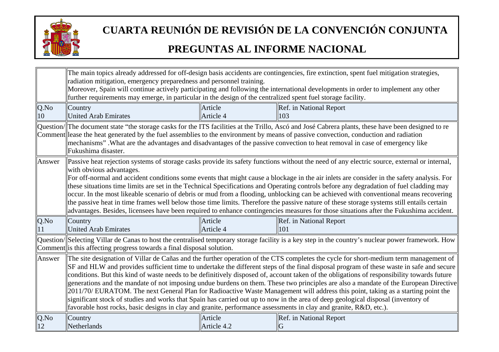

|        |                                                                                                                                                                                                                                                                                     |             | The main topics already addressed for off-design basis accidents are contingencies, fire extinction, spent fuel mitigation strategies,              |  |
|--------|-------------------------------------------------------------------------------------------------------------------------------------------------------------------------------------------------------------------------------------------------------------------------------------|-------------|-----------------------------------------------------------------------------------------------------------------------------------------------------|--|
|        | radiation mitigation, emergency preparedness and personnel training.                                                                                                                                                                                                                |             |                                                                                                                                                     |  |
|        | Moreover, Spain will continue actively participating and following the international developments in order to implement any other                                                                                                                                                   |             |                                                                                                                                                     |  |
|        | further requirements may emerge, in particular in the design of the centralized spent fuel storage facility.                                                                                                                                                                        |             |                                                                                                                                                     |  |
| Q.No   | Country                                                                                                                                                                                                                                                                             | Article     | Ref. in National Report                                                                                                                             |  |
| 10     | <b>United Arab Emirates</b>                                                                                                                                                                                                                                                         | Article 4   | 103                                                                                                                                                 |  |
|        |                                                                                                                                                                                                                                                                                     |             | Question/  The document state "the storage casks for the ITS facilities at the Trillo, Ascó and José Cabrera plants, these have been designed to re |  |
|        |                                                                                                                                                                                                                                                                                     |             | Comment lease the heat generated by the fuel assemblies to the environment by means of passive convection, conduction and radiation                 |  |
|        |                                                                                                                                                                                                                                                                                     |             | mechanisms". What are the advantages and disadvantages of the passive convection to heat removal in case of emergency like                          |  |
|        | Fukushima disaster.                                                                                                                                                                                                                                                                 |             |                                                                                                                                                     |  |
| Answer |                                                                                                                                                                                                                                                                                     |             | Passive heat rejection systems of storage casks provide its safety functions without the need of any electric source, external or internal,         |  |
|        | with obvious advantages.                                                                                                                                                                                                                                                            |             |                                                                                                                                                     |  |
|        |                                                                                                                                                                                                                                                                                     |             | For off-normal and accident conditions some events that might cause a blockage in the air inlets are consider in the safety analysis. For           |  |
|        |                                                                                                                                                                                                                                                                                     |             | these situations time limits are set in the Technical Specifications and Operating controls before any degradation of fuel cladding may             |  |
|        | occur. In the most likeable scenario of debris or mud from a flooding, unblocking can be achieved with conventional means recovering                                                                                                                                                |             |                                                                                                                                                     |  |
|        | the passive heat in time frames well below those time limits. Therefore the passive nature of these storage systems still entails certain<br>advantages. Besides, licensees have been required to enhance contingencies measures for those situations after the Fukushima accident. |             |                                                                                                                                                     |  |
|        |                                                                                                                                                                                                                                                                                     |             |                                                                                                                                                     |  |
| Q.No   | Country                                                                                                                                                                                                                                                                             | Article     | Ref. in National Report                                                                                                                             |  |
|        | <b>United Arab Emirates</b>                                                                                                                                                                                                                                                         | Article 4   | 101                                                                                                                                                 |  |
|        | Question/ Selecting Villar de Canas to host the centralised temporary storage facility is a key step in the country's nuclear power framework. How                                                                                                                                  |             |                                                                                                                                                     |  |
|        | Comment is this affecting progress towards a final disposal solution.                                                                                                                                                                                                               |             |                                                                                                                                                     |  |
| Answer |                                                                                                                                                                                                                                                                                     |             | The site designation of Villar de Cañas and the further operation of the CTS completes the cycle for short-medium term management of                |  |
|        |                                                                                                                                                                                                                                                                                     |             | SF and HLW and provides sufficient time to undertake the different steps of the final disposal program of these waste in safe and secure            |  |
|        |                                                                                                                                                                                                                                                                                     |             | conditions. But this kind of waste needs to be definitively disposed of, account taken of the obligations of responsibility towards future          |  |
|        |                                                                                                                                                                                                                                                                                     |             | generations and the mandate of not imposing undue burdens on them. These two principles are also a mandate of the European Directive                |  |
|        |                                                                                                                                                                                                                                                                                     |             | 2011/70/ EURATOM. The next General Plan for Radioactive Waste Management will address this point, taking as a starting point the                    |  |
|        |                                                                                                                                                                                                                                                                                     |             | significant stock of studies and works that Spain has carried out up to now in the area of deep geological disposal (inventory of                   |  |
|        | favorable host rocks, basic designs in clay and granite, performance assessments in clay and granite, R&D, etc.).                                                                                                                                                                   |             |                                                                                                                                                     |  |
| Q.No   | Country                                                                                                                                                                                                                                                                             | Article     | Ref. in National Report                                                                                                                             |  |
| 12     | Netherlands                                                                                                                                                                                                                                                                         | Article 4.2 |                                                                                                                                                     |  |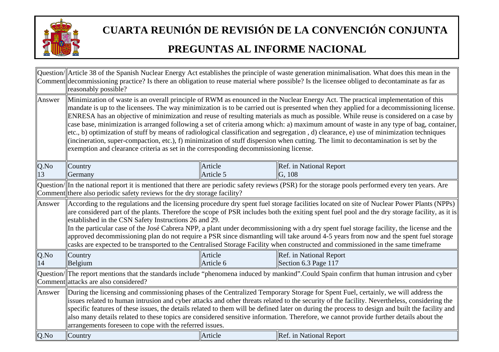

|            | reasonably possible?                                                                                                                                                                                                                                                                                                                                                                                                                                                                                                                                                                                                                                                                                                                                                                                                                                                                                                                      |                      | Question/  Article 38 of the Spanish Nuclear Energy Act establishes the principle of waste generation minimalisation. What does this mean in the<br>Comment decommissioning practice? Is there an obligation to reuse material where possible? Is the licensee obliged to decontaminate as far as |
|------------|-------------------------------------------------------------------------------------------------------------------------------------------------------------------------------------------------------------------------------------------------------------------------------------------------------------------------------------------------------------------------------------------------------------------------------------------------------------------------------------------------------------------------------------------------------------------------------------------------------------------------------------------------------------------------------------------------------------------------------------------------------------------------------------------------------------------------------------------------------------------------------------------------------------------------------------------|----------------------|---------------------------------------------------------------------------------------------------------------------------------------------------------------------------------------------------------------------------------------------------------------------------------------------------|
| Answer     | Minimization of waste is an overall principle of RWM as enounced in the Nuclear Energy Act. The practical implementation of this<br>mandate is up to the licensees. The way minimization is to be carried out is presented when they applied for a decommissioning license.<br>ENRESA has an objective of minimization and reuse of resulting materials as much as possible. While reuse is considered on a case by<br>case base, minimization is arranged following a set of criteria among which: a) maximum amount of waste in any type of bag, container,<br>etc., b) optimization of stuff by means of radiological classification and segregation, d) clearance, e) use of minimization techniques<br>(incineration, super-compaction, etc.), f) minimization of stuff dispersion when cutting. The limit to decontamination is set by the<br>exemption and clearance criteria as set in the corresponding decommissioning license. |                      |                                                                                                                                                                                                                                                                                                   |
| Q.No<br>13 | Country<br>Germany                                                                                                                                                                                                                                                                                                                                                                                                                                                                                                                                                                                                                                                                                                                                                                                                                                                                                                                        | Article<br>Article 5 | Ref. in National Report<br> G, 108                                                                                                                                                                                                                                                                |
|            | Comment there also periodic safety reviews for the dry storage facility?                                                                                                                                                                                                                                                                                                                                                                                                                                                                                                                                                                                                                                                                                                                                                                                                                                                                  |                      | Question/ In the national report it is mentioned that there are periodic safety reviews (PSR) for the storage pools performed every ten years. Are                                                                                                                                                |
| Answer     | According to the regulations and the licensing procedure dry spent fuel storage facilities located on site of Nuclear Power Plants (NPPs)<br>are considered part of the plants. Therefore the scope of PSR includes both the exiting spent fuel pool and the dry storage facility, as it is<br>established in the CSN Safety Instructions 26 and 29.<br>In the particular case of the José Cabrera NPP, a plant under decommissioning with a dry spent fuel storage facility, the license and the<br>approved decommissioning plan do not require a PSR since dismantling will take around 4-5 years from now and the spent fuel storage<br>casks are expected to be transported to the Centralised Storage Facility when constructed and commissioned in the same timeframe                                                                                                                                                              |                      |                                                                                                                                                                                                                                                                                                   |
| Q.No<br>14 | Country<br>Belgium                                                                                                                                                                                                                                                                                                                                                                                                                                                                                                                                                                                                                                                                                                                                                                                                                                                                                                                        | Article<br>Article 6 | Ref. in National Report<br>Section 6.3 Page $117$                                                                                                                                                                                                                                                 |
|            | Question/ The report mentions that the standards include "phenomena induced by mankind". Could Spain confirm that human intrusion and cyber<br>Comment attacks are also considered?                                                                                                                                                                                                                                                                                                                                                                                                                                                                                                                                                                                                                                                                                                                                                       |                      |                                                                                                                                                                                                                                                                                                   |
| Answer     | During the licensing and commissioning phases of the Centralized Temporary Storage for Spent Fuel, certainly, we will address the<br>issues related to human intrusion and cyber attacks and other threats related to the security of the facility. Nevertheless, considering the<br>specific features of these issues, the details related to them will be defined later on during the process to design and built the facility and<br>also many details related to these topics are considered sensitive information. Therefore, we cannot provide further details about the<br>arrangements foreseen to cope with the referred issues.                                                                                                                                                                                                                                                                                                 |                      |                                                                                                                                                                                                                                                                                                   |
| Q.No       | Country                                                                                                                                                                                                                                                                                                                                                                                                                                                                                                                                                                                                                                                                                                                                                                                                                                                                                                                                   | Article              | Ref. in National Report                                                                                                                                                                                                                                                                           |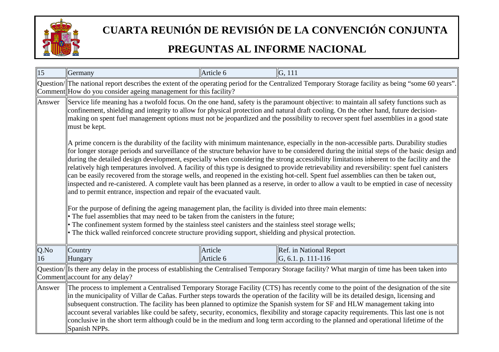

| 15         | Germany                                                                                                                                                                                                                                                                                                                                                                                                                                                                                                                                                                                                                                                                                                                                                                                                                                                                                                                                                                                                                                                                                                                                                                                                                                                                                                                                                                 | Article 6            | G, 111                                                                                                                                               |  |
|------------|-------------------------------------------------------------------------------------------------------------------------------------------------------------------------------------------------------------------------------------------------------------------------------------------------------------------------------------------------------------------------------------------------------------------------------------------------------------------------------------------------------------------------------------------------------------------------------------------------------------------------------------------------------------------------------------------------------------------------------------------------------------------------------------------------------------------------------------------------------------------------------------------------------------------------------------------------------------------------------------------------------------------------------------------------------------------------------------------------------------------------------------------------------------------------------------------------------------------------------------------------------------------------------------------------------------------------------------------------------------------------|----------------------|------------------------------------------------------------------------------------------------------------------------------------------------------|--|
|            | Comment How do you consider ageing management for this facility?                                                                                                                                                                                                                                                                                                                                                                                                                                                                                                                                                                                                                                                                                                                                                                                                                                                                                                                                                                                                                                                                                                                                                                                                                                                                                                        |                      | Question/  The national report describes the extent of the operating period for the Centralized Temporary Storage facility as being "some 60 years". |  |
| Answer     | Service life meaning has a twofold focus. On the one hand, safety is the paramount objective: to maintain all safety functions such as<br>confinement, shielding and integrity to allow for physical protection and natural draft cooling. On the other hand, future decision-<br>making on spent fuel management options must not be jeopardized and the possibility to recover spent fuel assemblies in a good state<br>must be kept.                                                                                                                                                                                                                                                                                                                                                                                                                                                                                                                                                                                                                                                                                                                                                                                                                                                                                                                                 |                      |                                                                                                                                                      |  |
|            | A prime concern is the durability of the facility with minimum maintenance, especially in the non-accessible parts. Durability studies<br>for longer storage periods and surveillance of the structure behavior have to be considered during the initial steps of the basic design and<br>during the detailed design development, especially when considering the strong accessibility limitations inherent to the facility and the<br>relatively high temperatures involved. A facility of this type is designed to provide retrievability and reversibility: spent fuel canisters<br>can be easily recovered from the storage wells, and reopened in the existing hot-cell. Spent fuel assemblies can then be taken out,<br>inspected and re-canistered. A complete vault has been planned as a reserve, in order to allow a vault to be emptied in case of necessity<br>and to permit entrance, inspection and repair of the evacuated vault.<br>For the purpose of defining the ageing management plan, the facility is divided into three main elements:<br>• The fuel assemblies that may need to be taken from the canisters in the future;<br>• The confinement system formed by the stainless steel canisters and the stainless steel storage wells;<br>• The thick walled reinforced concrete structure providing support, shielding and physical protection. |                      |                                                                                                                                                      |  |
| Q.No<br>16 | Country<br>Hungary                                                                                                                                                                                                                                                                                                                                                                                                                                                                                                                                                                                                                                                                                                                                                                                                                                                                                                                                                                                                                                                                                                                                                                                                                                                                                                                                                      | Article<br>Article 6 | Ref. in National Report<br>$\vert G, 6.1, p. 111-116 \vert$                                                                                          |  |
|            | Question/ Is there any delay in the process of establishing the Centralised Temporary Storage facility? What margin of time has been taken into<br>Comment account for any delay?                                                                                                                                                                                                                                                                                                                                                                                                                                                                                                                                                                                                                                                                                                                                                                                                                                                                                                                                                                                                                                                                                                                                                                                       |                      |                                                                                                                                                      |  |
| Answer     | The process to implement a Centralised Temporary Storage Facility (CTS) has recently come to the point of the designation of the site<br>in the municipality of Villar de Cañas. Further steps towards the operation of the facility will be its detailed design, licensing and<br>subsequent construction. The facility has been planned to optimize the Spanish system for SF and HLW management taking into<br>account several variables like could be safety, security, economics, flexibility and storage capacity requirements. This last one is not<br>conclusive in the short term although could be in the medium and long term according to the planned and operational lifetime of the<br>Spanish NPPs.                                                                                                                                                                                                                                                                                                                                                                                                                                                                                                                                                                                                                                                      |                      |                                                                                                                                                      |  |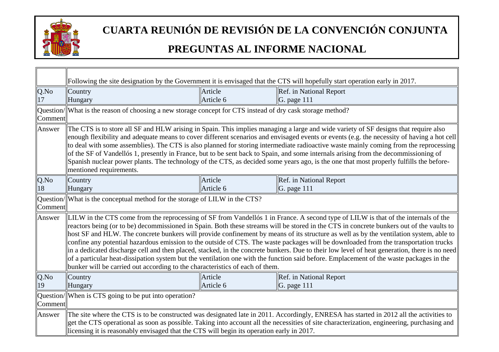

ा

### **CUARTA REUNIÓN DE REVISIÓN DE LA CONVENCIÓN CONJUNTA**

|            |                                                                                                            |                      | Following the site designation by the Government it is envisaged that the CTS will hopefully start operation early in 2017.                                                                                                                                                                                                                                                                                                                                                                                                                                                                                                                                                                                                                                                                                                                                                    |
|------------|------------------------------------------------------------------------------------------------------------|----------------------|--------------------------------------------------------------------------------------------------------------------------------------------------------------------------------------------------------------------------------------------------------------------------------------------------------------------------------------------------------------------------------------------------------------------------------------------------------------------------------------------------------------------------------------------------------------------------------------------------------------------------------------------------------------------------------------------------------------------------------------------------------------------------------------------------------------------------------------------------------------------------------|
| Q.No       | Country<br>Hungary                                                                                         | Article<br>Article 6 | Ref. in National Report<br>G. page 111                                                                                                                                                                                                                                                                                                                                                                                                                                                                                                                                                                                                                                                                                                                                                                                                                                         |
| Comment    | Question/ What is the reason of choosing a new storage concept for CTS instead of dry cask storage method? |                      |                                                                                                                                                                                                                                                                                                                                                                                                                                                                                                                                                                                                                                                                                                                                                                                                                                                                                |
| Answer     | mentioned requirements.                                                                                    |                      | The CTS is to store all SF and HLW arising in Spain. This implies managing a large and wide variety of SF designs that require also<br>enough flexibility and adequate means to cover different scenarios and envisaged events or events (e.g. the necessity of having a hot cell<br>$\ $ to deal with some assemblies). The CTS is also planned for storing intermediate radioactive waste mainly coming from the reprocessing<br>of the SF of Vandellós 1, presently in France, but to be sent back to Spain, and some internals arising from the decommissioning of<br>Spanish nuclear power plants. The technology of the CTS, as decided some years ago, is the one that most properly fulfills the before-                                                                                                                                                               |
| Q.No<br>18 | Country<br>Hungary                                                                                         | Article<br>Article 6 | Ref. in National Report<br>G. page 111                                                                                                                                                                                                                                                                                                                                                                                                                                                                                                                                                                                                                                                                                                                                                                                                                                         |
| Comment    | Question/ What is the conceptual method for the storage of LILW in the CTS?                                |                      |                                                                                                                                                                                                                                                                                                                                                                                                                                                                                                                                                                                                                                                                                                                                                                                                                                                                                |
| Answer     | bunker will be carried out according to the characteristics of each of them.                               |                      | LILW in the CTS come from the reprocessing of SF from Vandellós 1 in France. A second type of LILW is that of the internals of the<br>reactors being (or to be) decommissioned in Spain. Both these streams will be stored in the CTS in concrete bunkers out of the vaults to<br>$\parallel$ host SF and HLW. The concrete bunkers will provide confinement by means of its structure as well as by the ventilation system, able to $\mid$<br>confine any potential hazardous emission to the outside of CTS. The waste packages will be downloaded from the transportation trucks<br>in a dedicated discharge cell and then placed, stacked, in the concrete bunkers. Due to their low level of heat generation, there is no need<br>of a particular heat-dissipation system but the ventilation one with the function said before. Emplacement of the waste packages in the |
| Q.No<br>19 | Country<br>Hungary                                                                                         | Article<br>Article 6 | Ref. in National Report<br>G. page 111                                                                                                                                                                                                                                                                                                                                                                                                                                                                                                                                                                                                                                                                                                                                                                                                                                         |
| Comment    | Question/When is CTS going to be put into operation?                                                       |                      |                                                                                                                                                                                                                                                                                                                                                                                                                                                                                                                                                                                                                                                                                                                                                                                                                                                                                |
| Answer     | licensing it is reasonably envisaged that the CTS will begin its operation early in 2017.                  |                      | The site where the CTS is to be constructed was designated late in 2011. Accordingly, ENRESA has started in 2012 all the activities to<br>get the CTS operational as soon as possible. Taking into account all the necessities of site characterization, engineering, purchasing and                                                                                                                                                                                                                                                                                                                                                                                                                                                                                                                                                                                           |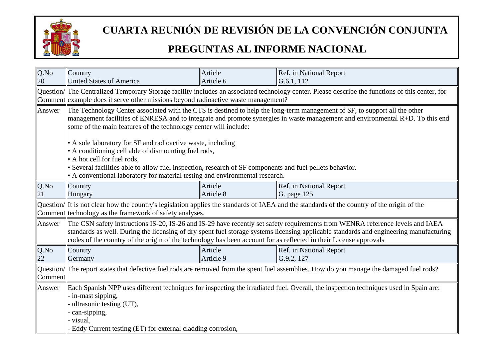

| Country                                                                                                                                                                                                                                                                                                                            | Article                                                                                                                                                                                                                                | Ref. in National Report                                                                                                                                                                                                                                                                                                                                                                                                                                                                                                                                                                                                                                                                                                                                                                                                                                                                                                                                                                                                                                                                                                                      |  |  |
|------------------------------------------------------------------------------------------------------------------------------------------------------------------------------------------------------------------------------------------------------------------------------------------------------------------------------------|----------------------------------------------------------------------------------------------------------------------------------------------------------------------------------------------------------------------------------------|----------------------------------------------------------------------------------------------------------------------------------------------------------------------------------------------------------------------------------------------------------------------------------------------------------------------------------------------------------------------------------------------------------------------------------------------------------------------------------------------------------------------------------------------------------------------------------------------------------------------------------------------------------------------------------------------------------------------------------------------------------------------------------------------------------------------------------------------------------------------------------------------------------------------------------------------------------------------------------------------------------------------------------------------------------------------------------------------------------------------------------------------|--|--|
|                                                                                                                                                                                                                                                                                                                                    |                                                                                                                                                                                                                                        | G.6.1, 112                                                                                                                                                                                                                                                                                                                                                                                                                                                                                                                                                                                                                                                                                                                                                                                                                                                                                                                                                                                                                                                                                                                                   |  |  |
|                                                                                                                                                                                                                                                                                                                                    | Question/  The Centralized Temporary Storage facility includes an associated technology center. Please describe the functions of this center, for<br>Comment example does it serve other missions beyond radioactive waste management? |                                                                                                                                                                                                                                                                                                                                                                                                                                                                                                                                                                                                                                                                                                                                                                                                                                                                                                                                                                                                                                                                                                                                              |  |  |
| The Technology Center associated with the CTS is destined to help the long-term management of SF, to support all the other<br>management facilities of ENRESA and to integrate and promote synergies in waste management and environmental $R+D$ . To this end<br>some of the main features of the technology center will include: |                                                                                                                                                                                                                                        |                                                                                                                                                                                                                                                                                                                                                                                                                                                                                                                                                                                                                                                                                                                                                                                                                                                                                                                                                                                                                                                                                                                                              |  |  |
|                                                                                                                                                                                                                                                                                                                                    |                                                                                                                                                                                                                                        |                                                                                                                                                                                                                                                                                                                                                                                                                                                                                                                                                                                                                                                                                                                                                                                                                                                                                                                                                                                                                                                                                                                                              |  |  |
|                                                                                                                                                                                                                                                                                                                                    |                                                                                                                                                                                                                                        |                                                                                                                                                                                                                                                                                                                                                                                                                                                                                                                                                                                                                                                                                                                                                                                                                                                                                                                                                                                                                                                                                                                                              |  |  |
| Country<br>Hungary                                                                                                                                                                                                                                                                                                                 | Article<br>Article 8                                                                                                                                                                                                                   | Ref. in National Report<br>G. page $125$                                                                                                                                                                                                                                                                                                                                                                                                                                                                                                                                                                                                                                                                                                                                                                                                                                                                                                                                                                                                                                                                                                     |  |  |
|                                                                                                                                                                                                                                                                                                                                    |                                                                                                                                                                                                                                        |                                                                                                                                                                                                                                                                                                                                                                                                                                                                                                                                                                                                                                                                                                                                                                                                                                                                                                                                                                                                                                                                                                                                              |  |  |
|                                                                                                                                                                                                                                                                                                                                    |                                                                                                                                                                                                                                        |                                                                                                                                                                                                                                                                                                                                                                                                                                                                                                                                                                                                                                                                                                                                                                                                                                                                                                                                                                                                                                                                                                                                              |  |  |
| Country<br>Germany                                                                                                                                                                                                                                                                                                                 | Article<br>Article 9                                                                                                                                                                                                                   | Ref. in National Report<br>G.9.2, 127                                                                                                                                                                                                                                                                                                                                                                                                                                                                                                                                                                                                                                                                                                                                                                                                                                                                                                                                                                                                                                                                                                        |  |  |
| Question/ The report states that defective fuel rods are removed from the spent fuel assemblies. How do you manage the damaged fuel rods?<br>Comment                                                                                                                                                                               |                                                                                                                                                                                                                                        |                                                                                                                                                                                                                                                                                                                                                                                                                                                                                                                                                                                                                                                                                                                                                                                                                                                                                                                                                                                                                                                                                                                                              |  |  |
| in-mast sipping,<br>ultrasonic testing (UT),<br>can-sipping,<br>visual,                                                                                                                                                                                                                                                            |                                                                                                                                                                                                                                        |                                                                                                                                                                                                                                                                                                                                                                                                                                                                                                                                                                                                                                                                                                                                                                                                                                                                                                                                                                                                                                                                                                                                              |  |  |
|                                                                                                                                                                                                                                                                                                                                    | <b>United States of America</b><br>• A hot cell for fuel rods,                                                                                                                                                                         | Article 6<br>• A sole laboratory for SF and radioactive waste, including<br>• A conditioning cell able of dismounting fuel rods,<br>• Several facilities able to allow fuel inspection, research of SF components and fuel pellets behavior.<br>• A conventional laboratory for material testing and environmental research.<br>Question/ It is not clear how the country's legislation applies the standards of IAEA and the standards of the country of the origin of the<br>Comment technology as the framework of safety analyses.<br>The CSN safety instructions IS-20, IS-26 and IS-29 have recently set safety requirements from WENRA reference levels and IAEA<br>standards as well. During the licensing of dry spent fuel storage systems licensing applicable standards and engineering manufacturing<br>codes of the country of the origin of the technology has been account for as reflected in their License approvals<br>Each Spanish NPP uses different techniques for inspecting the irradiated fuel. Overall, the inspection techniques used in Spain are:<br>Eddy Current testing (ET) for external cladding corrosion, |  |  |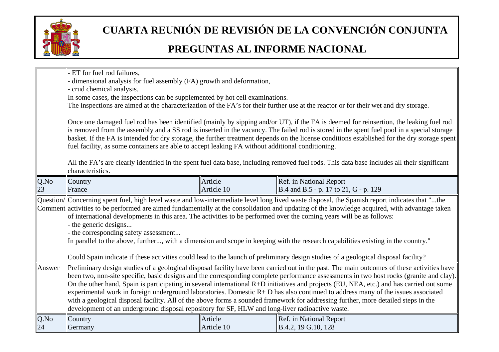

|        | ET for fuel rod failures,                                                                                                                                                                                                                                                                                                                                                                                                                                                                                                                                                                                                                                                                                                                                                                                         |            |                                                                                                                                             |  |
|--------|-------------------------------------------------------------------------------------------------------------------------------------------------------------------------------------------------------------------------------------------------------------------------------------------------------------------------------------------------------------------------------------------------------------------------------------------------------------------------------------------------------------------------------------------------------------------------------------------------------------------------------------------------------------------------------------------------------------------------------------------------------------------------------------------------------------------|------------|---------------------------------------------------------------------------------------------------------------------------------------------|--|
|        | dimensional analysis for fuel assembly (FA) growth and deformation,                                                                                                                                                                                                                                                                                                                                                                                                                                                                                                                                                                                                                                                                                                                                               |            |                                                                                                                                             |  |
|        | - crud chemical analysis.                                                                                                                                                                                                                                                                                                                                                                                                                                                                                                                                                                                                                                                                                                                                                                                         |            |                                                                                                                                             |  |
|        | In some cases, the inspections can be supplemented by hot cell examinations.                                                                                                                                                                                                                                                                                                                                                                                                                                                                                                                                                                                                                                                                                                                                      |            |                                                                                                                                             |  |
|        |                                                                                                                                                                                                                                                                                                                                                                                                                                                                                                                                                                                                                                                                                                                                                                                                                   |            | The inspections are aimed at the characterization of the FA's for their further use at the reactor or for their wet and dry storage.        |  |
|        | Once one damaged fuel rod has been identified (mainly by sipping and/or UT), if the FA is deemed for reinsertion, the leaking fuel rod<br>is removed from the assembly and a SS rod is inserted in the vacancy. The failed rod is stored in the spent fuel pool in a special storage<br>basket. If the FA is intended for dry storage, the further treatment depends on the license conditions established for the dry storage spent<br>fuel facility, as some containers are able to accept leaking FA without additional conditioning.                                                                                                                                                                                                                                                                          |            |                                                                                                                                             |  |
|        | characteristics.                                                                                                                                                                                                                                                                                                                                                                                                                                                                                                                                                                                                                                                                                                                                                                                                  |            | All the FA's are clearly identified in the spent fuel data base, including removed fuel rods. This data base includes all their significant |  |
| Q.No   | Country                                                                                                                                                                                                                                                                                                                                                                                                                                                                                                                                                                                                                                                                                                                                                                                                           | Article    | Ref. in National Report                                                                                                                     |  |
| 23     | France                                                                                                                                                                                                                                                                                                                                                                                                                                                                                                                                                                                                                                                                                                                                                                                                            | Article 10 | $\vert$ B.4 and B.5 - p. 17 to 21, G - p. 129                                                                                               |  |
|        | Question/  Concerning spent fuel, high level waste and low-intermediate level long lived waste disposal, the Spanish report indicates that "the<br>Comment activities to be performed are aimed fundamentally at the consolidation and updating of the knowledge acquired, with advantage taken<br>of international developments in this area. The activities to be performed over the coming years will be as follows:<br>the generic designs<br>- the corresponding safety assessment<br>In parallel to the above, further, with a dimension and scope in keeping with the research capabilities existing in the country."                                                                                                                                                                                      |            |                                                                                                                                             |  |
|        |                                                                                                                                                                                                                                                                                                                                                                                                                                                                                                                                                                                                                                                                                                                                                                                                                   |            | Could Spain indicate if these activities could lead to the launch of preliminary design studies of a geological disposal facility?          |  |
| Answer | Preliminary design studies of a geological disposal facility have been carried out in the past. The main outcomes of these activities have<br>been two, non-site specific, basic designs and the corresponding complete performance assessments in two host rocks (granite and clay).<br>On the other hand, Spain is participating in several international R+D initiatives and projects (EU, NEA, etc.) and has carried out some<br>experimental work in foreign underground laboratories. Domestic $R + D$ has also continued to address many of the issues associated<br>with a geological disposal facility. All of the above forms a sounded framework for addressing further, more detailed steps in the<br>development of an underground disposal repository for SF, HLW and long-liver radioactive waste. |            |                                                                                                                                             |  |
| Q.No   | Country                                                                                                                                                                                                                                                                                                                                                                                                                                                                                                                                                                                                                                                                                                                                                                                                           | Article    | Ref. in National Report                                                                                                                     |  |
| 24     | Germany                                                                                                                                                                                                                                                                                                                                                                                                                                                                                                                                                                                                                                                                                                                                                                                                           | Article 10 | B.4.2, 19 G.10, 128                                                                                                                         |  |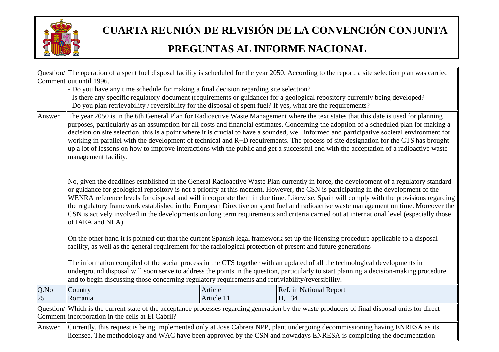

|        |                                                                                                                                                                                                                                                                                                                                                                                                                                                                                                                                                                                                                                                                                                                                              |            | Question/ $\ $ The operation of a spent fuel disposal facility is scheduled for the year 2050. According to the report, a site selection plan was carried                                                                                                             |  |
|--------|----------------------------------------------------------------------------------------------------------------------------------------------------------------------------------------------------------------------------------------------------------------------------------------------------------------------------------------------------------------------------------------------------------------------------------------------------------------------------------------------------------------------------------------------------------------------------------------------------------------------------------------------------------------------------------------------------------------------------------------------|------------|-----------------------------------------------------------------------------------------------------------------------------------------------------------------------------------------------------------------------------------------------------------------------|--|
|        | Comment out until 1996.                                                                                                                                                                                                                                                                                                                                                                                                                                                                                                                                                                                                                                                                                                                      |            |                                                                                                                                                                                                                                                                       |  |
|        | - Do you have any time schedule for making a final decision regarding site selection?                                                                                                                                                                                                                                                                                                                                                                                                                                                                                                                                                                                                                                                        |            |                                                                                                                                                                                                                                                                       |  |
|        |                                                                                                                                                                                                                                                                                                                                                                                                                                                                                                                                                                                                                                                                                                                                              |            | Is there any specific regulatory document (requirements or guidance) for a geological repository currently being developed?                                                                                                                                           |  |
|        | Do you plan retrievability / reversibility for the disposal of spent fuel? If yes, what are the requirements?                                                                                                                                                                                                                                                                                                                                                                                                                                                                                                                                                                                                                                |            |                                                                                                                                                                                                                                                                       |  |
| Answer | The year 2050 is in the 6th General Plan for Radioactive Waste Management where the text states that this date is used for planning<br>purposes, particularly as an assumption for all costs and financial estimates. Concerning the adoption of a scheduled plan for making a<br>decision on site selection, this is a point where it is crucial to have a sounded, well informed and participative societal environment for<br>working in parallel with the development of technical and $R+D$ requirements. The process of site designation for the CTS has brought<br>$\mu$ a lot of lessons on how to improve interactions with the public and get a successful end with the acceptation of a radioactive waste<br>management facility. |            |                                                                                                                                                                                                                                                                       |  |
|        | No, given the deadlines established in the General Radioactive Waste Plan currently in force, the development of a regulatory standard<br>or guidance for geological repository is not a priority at this moment. However, the CSN is participating in the development of the<br>WENRA reference levels for disposal and will incorporate them in due time. Likewise, Spain will comply with the provisions regarding<br>the regulatory framework established in the European Directive on spent fuel and radioactive waste management on time. Moreover the<br>CSN is actively involved in the developments on long term requirements and criteria carried out at international level (especially those<br>of IAEA and NEA).                |            |                                                                                                                                                                                                                                                                       |  |
|        | On the other hand it is pointed out that the current Spanish legal framework set up the licensing procedure applicable to a disposal<br>facility, as well as the general requirement for the radiological protection of present and future generations                                                                                                                                                                                                                                                                                                                                                                                                                                                                                       |            |                                                                                                                                                                                                                                                                       |  |
|        | and to begin discussing those concerning regulatory requirements and retriviability/reversibility.                                                                                                                                                                                                                                                                                                                                                                                                                                                                                                                                                                                                                                           |            | The information compiled of the social process in the CTS together with an updated of all the technological developments in<br>underground disposal will soon serve to address the points in the question, particularly to start planning a decision-making procedure |  |
| Q.No   | Country                                                                                                                                                                                                                                                                                                                                                                                                                                                                                                                                                                                                                                                                                                                                      | Article    | Ref. in National Report                                                                                                                                                                                                                                               |  |
| 25     | Romania                                                                                                                                                                                                                                                                                                                                                                                                                                                                                                                                                                                                                                                                                                                                      | Article 11 | H, 134                                                                                                                                                                                                                                                                |  |
|        | Comment incorporation in the cells at El Cabril?                                                                                                                                                                                                                                                                                                                                                                                                                                                                                                                                                                                                                                                                                             |            | Question/ Which is the current state of the acceptance processes regarding generation by the waste producers of final disposal units for direct                                                                                                                       |  |
| Answer |                                                                                                                                                                                                                                                                                                                                                                                                                                                                                                                                                                                                                                                                                                                                              |            | Currently, this request is being implemented only at Jose Cabrera NPP, plant undergoing decommissioning having ENRESA as its<br>licensee. The methodology and WAC have been approved by the CSN and nowadays ENRESA is completing the documentation                   |  |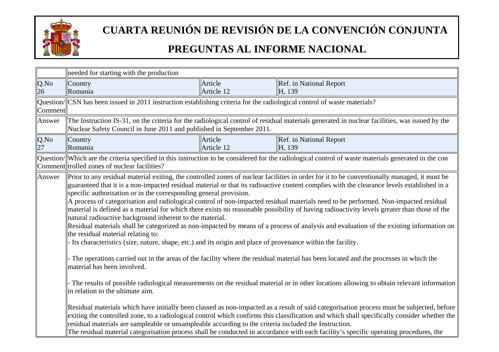

|         | needed for starting with the production                                                                                                                                                                                                                                                                                                                                                                                                                                                                                                                                                                                                                                                                                                                                                                                                                                                                                                                                                                                                                                                                                                                                                                                                                                                                                                                                                                                                                                                                                                                                                                                                                                                                                                                                     |            |                                                                                                                                                      |
|---------|-----------------------------------------------------------------------------------------------------------------------------------------------------------------------------------------------------------------------------------------------------------------------------------------------------------------------------------------------------------------------------------------------------------------------------------------------------------------------------------------------------------------------------------------------------------------------------------------------------------------------------------------------------------------------------------------------------------------------------------------------------------------------------------------------------------------------------------------------------------------------------------------------------------------------------------------------------------------------------------------------------------------------------------------------------------------------------------------------------------------------------------------------------------------------------------------------------------------------------------------------------------------------------------------------------------------------------------------------------------------------------------------------------------------------------------------------------------------------------------------------------------------------------------------------------------------------------------------------------------------------------------------------------------------------------------------------------------------------------------------------------------------------------|------------|------------------------------------------------------------------------------------------------------------------------------------------------------|
| Q.No    | Country                                                                                                                                                                                                                                                                                                                                                                                                                                                                                                                                                                                                                                                                                                                                                                                                                                                                                                                                                                                                                                                                                                                                                                                                                                                                                                                                                                                                                                                                                                                                                                                                                                                                                                                                                                     | Article    | Ref. in National Report                                                                                                                              |
| 26      | Romania                                                                                                                                                                                                                                                                                                                                                                                                                                                                                                                                                                                                                                                                                                                                                                                                                                                                                                                                                                                                                                                                                                                                                                                                                                                                                                                                                                                                                                                                                                                                                                                                                                                                                                                                                                     | Article 12 | H, 139                                                                                                                                               |
|         | Question/CSN has been issued in 2011 instruction establishing criteria for the radiological control of waste materials?                                                                                                                                                                                                                                                                                                                                                                                                                                                                                                                                                                                                                                                                                                                                                                                                                                                                                                                                                                                                                                                                                                                                                                                                                                                                                                                                                                                                                                                                                                                                                                                                                                                     |            |                                                                                                                                                      |
| Comment |                                                                                                                                                                                                                                                                                                                                                                                                                                                                                                                                                                                                                                                                                                                                                                                                                                                                                                                                                                                                                                                                                                                                                                                                                                                                                                                                                                                                                                                                                                                                                                                                                                                                                                                                                                             |            |                                                                                                                                                      |
| Answer  |                                                                                                                                                                                                                                                                                                                                                                                                                                                                                                                                                                                                                                                                                                                                                                                                                                                                                                                                                                                                                                                                                                                                                                                                                                                                                                                                                                                                                                                                                                                                                                                                                                                                                                                                                                             |            | The Instruction IS-31, on the criteria for the radiological control of residual materials generated in nuclear facilities, was issued by the         |
|         | Nuclear Safety Council in June 2011 and published in September 2011.                                                                                                                                                                                                                                                                                                                                                                                                                                                                                                                                                                                                                                                                                                                                                                                                                                                                                                                                                                                                                                                                                                                                                                                                                                                                                                                                                                                                                                                                                                                                                                                                                                                                                                        |            |                                                                                                                                                      |
| Q.No    | Country                                                                                                                                                                                                                                                                                                                                                                                                                                                                                                                                                                                                                                                                                                                                                                                                                                                                                                                                                                                                                                                                                                                                                                                                                                                                                                                                                                                                                                                                                                                                                                                                                                                                                                                                                                     | Article    | Ref. in National Report                                                                                                                              |
| 27      | Romania                                                                                                                                                                                                                                                                                                                                                                                                                                                                                                                                                                                                                                                                                                                                                                                                                                                                                                                                                                                                                                                                                                                                                                                                                                                                                                                                                                                                                                                                                                                                                                                                                                                                                                                                                                     | Article 12 | H, 139                                                                                                                                               |
|         | Comment trolled zones of nuclear facilities?                                                                                                                                                                                                                                                                                                                                                                                                                                                                                                                                                                                                                                                                                                                                                                                                                                                                                                                                                                                                                                                                                                                                                                                                                                                                                                                                                                                                                                                                                                                                                                                                                                                                                                                                |            | Question/ Which are the criteria specified in this instruction to be considered for the radiological control of waste materials generated in the con |
| Answer  | Prior to any residual material exiting, the controlled zones of nuclear facilities in order for it to be conventionally managed, it must be<br>guaranteed that it is a non-impacted residual material or that its radioactive content complies with the clearance levels established in a<br>specific authorisation or in the corresponding general provision.<br>A process of categorisation and radiological control of non-impacted residual materials need to be performed. Non-impacted residual<br>material is defined as a material for which there exists no reasonable possibility of having radioactivity levels greater than those of the<br>natural radioactive background inherent to the material.<br>Residual materials shall be categorized as non-impacted by means of a process of analysis and evaluation of the existing information on<br>the residual material relating to:<br>Its characteristics (size, nature, shape, etc.) and its origin and place of provenance within the facility.<br>The operations carried out in the areas of the facility where the residual material has been located and the processes in which the<br>material has been involved.<br>The results of possible radiological measurements on the residual material or in other locations allowing to obtain relevant information<br>in relation to the ultimate aim.<br>Residual materials which have initially been classed as non-impacted as a result of said categorisation process must be subjected, before<br>exiting the controlled zone, to a radiological control which confirms this classification and which shall specifically consider whether the<br>residual materials are sampleable or unsampleable according to the criteria included the Instruction. |            | The residual material categorisation process shall be conducted in accordance with each facility's specific operating procedures, the                |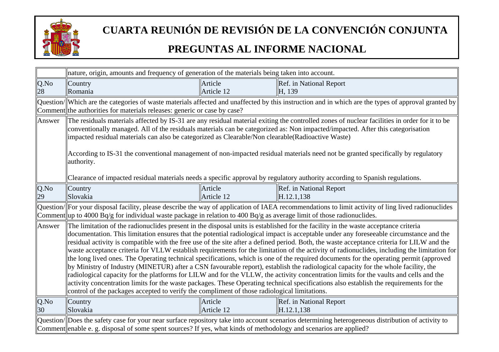

|            | nature, origin, amounts and frequency of generation of the materials being taken into account.                                                                                                                                                                        |                       |                                                                                                                                                                                                                                                                                                                                                                                                                                                                                                                                                                                                                                                                                                                                                                                                                                                                                                                                                                                                                                                                                                                                             |
|------------|-----------------------------------------------------------------------------------------------------------------------------------------------------------------------------------------------------------------------------------------------------------------------|-----------------------|---------------------------------------------------------------------------------------------------------------------------------------------------------------------------------------------------------------------------------------------------------------------------------------------------------------------------------------------------------------------------------------------------------------------------------------------------------------------------------------------------------------------------------------------------------------------------------------------------------------------------------------------------------------------------------------------------------------------------------------------------------------------------------------------------------------------------------------------------------------------------------------------------------------------------------------------------------------------------------------------------------------------------------------------------------------------------------------------------------------------------------------------|
| Q.No       | Country                                                                                                                                                                                                                                                               | Article               | Ref. in National Report                                                                                                                                                                                                                                                                                                                                                                                                                                                                                                                                                                                                                                                                                                                                                                                                                                                                                                                                                                                                                                                                                                                     |
| 28         | Romania                                                                                                                                                                                                                                                               | Article 12            | H, 139                                                                                                                                                                                                                                                                                                                                                                                                                                                                                                                                                                                                                                                                                                                                                                                                                                                                                                                                                                                                                                                                                                                                      |
|            | Comment the authorities for materials releases: generic or case by case?                                                                                                                                                                                              |                       | Question/ Which are the categories of waste materials affected and unaffected by this instruction and in which are the types of approval granted by                                                                                                                                                                                                                                                                                                                                                                                                                                                                                                                                                                                                                                                                                                                                                                                                                                                                                                                                                                                         |
| Answer     | impacted residual materials can also be categorized as Clearable/Non clearable(Radioactive Waste)<br>authority.                                                                                                                                                       |                       | The residuals materials affected by IS-31 are any residual material exiting the controlled zones of nuclear facilities in order for it to be<br>conventionally managed. All of the residuals materials can be categorized as: Non impacted/impacted. After this categorisation<br>According to IS-31 the conventional management of non-impacted residual materials need not be granted specifically by regulatory                                                                                                                                                                                                                                                                                                                                                                                                                                                                                                                                                                                                                                                                                                                          |
|            |                                                                                                                                                                                                                                                                       |                       | Clearance of impacted residual materials needs a specific approval by regulatory authority according to Spanish regulations.                                                                                                                                                                                                                                                                                                                                                                                                                                                                                                                                                                                                                                                                                                                                                                                                                                                                                                                                                                                                                |
| Q.No       | Country                                                                                                                                                                                                                                                               | Article               | Ref. in National Report                                                                                                                                                                                                                                                                                                                                                                                                                                                                                                                                                                                                                                                                                                                                                                                                                                                                                                                                                                                                                                                                                                                     |
| 29         | Slovakia                                                                                                                                                                                                                                                              | Article 12            | H.12.1,138                                                                                                                                                                                                                                                                                                                                                                                                                                                                                                                                                                                                                                                                                                                                                                                                                                                                                                                                                                                                                                                                                                                                  |
|            | Comment   up to 4000 Bq/g for individual waste package in relation to 400 Bq/g as average limit of those radionuclides.                                                                                                                                               |                       | Question/ For your disposal facility, please describe the way of application of IAEA recommendations to limit activity of ling lived radionuclides                                                                                                                                                                                                                                                                                                                                                                                                                                                                                                                                                                                                                                                                                                                                                                                                                                                                                                                                                                                          |
| Answer     | control of the packages accepted to verify the compliment of those radiological limitations.                                                                                                                                                                          |                       | The limitation of the radionuclides present in the disposal units is established for the facility in the waste acceptance criteria<br>documentation. This limitation ensures that the potential radiological impact is acceptable under any foreseeable circumstance and the<br>residual activity is compatible with the free use of the site after a defined period. Both, the waste acceptance criteria for LILW and the<br>waste acceptance criteria for VLLW establish requirements for the limitation of the activity of radionuclides, including the limitation for<br>the long lived ones. The Operating technical specifications, which is one of the required documents for the operating permit (approved<br>by Ministry of Industry (MINETUR) after a CSN favourable report), establish the radiological capacity for the whole facility, the<br>radiological capacity for the platforms for LILW and for the VLLW, the activity concentration limits for the vaults and cells and the<br>activity concentration limits for the waste packages. These Operating technical specifications also establish the requirements for the |
| Q.No<br>30 | Country<br>Slovakia                                                                                                                                                                                                                                                   | Article<br>Article 12 | Ref. in National Report<br>H.12.1,138                                                                                                                                                                                                                                                                                                                                                                                                                                                                                                                                                                                                                                                                                                                                                                                                                                                                                                                                                                                                                                                                                                       |
|            | Question/Does the safety case for your near surface repository take into account scenarios determining heterogeneous distribution of activity to<br>Comment enable e. g. disposal of some spent sources? If yes, what kinds of methodology and scenarios are applied? |                       |                                                                                                                                                                                                                                                                                                                                                                                                                                                                                                                                                                                                                                                                                                                                                                                                                                                                                                                                                                                                                                                                                                                                             |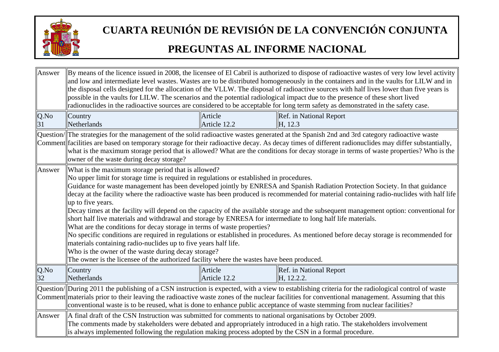

| Answer     | By means of the licence issued in 2008, the licensee of El Cabril is authorized to dispose of radioactive wastes of very low level activity<br>and low and intermediate level wastes. Wastes are to be distributed homogeneously in the containers and in the vaults for LILW and in<br>the disposal cells designed for the allocation of the VLLW. The disposal of radioactive sources with half lives lower than five years is<br>possible in the vaults for LILW. The scenarios and the potential radiological impact due to the presence of these short lived<br>radionuclides in the radioactive sources are considered to be acceptable for long term safety as demonstrated in the safety case.                                                                                                                                                                                                                                                                                                                                                                                                                                                  |                         |                                                                                                                                                                                                                                                                                                                                                                                                                                             |  |
|------------|---------------------------------------------------------------------------------------------------------------------------------------------------------------------------------------------------------------------------------------------------------------------------------------------------------------------------------------------------------------------------------------------------------------------------------------------------------------------------------------------------------------------------------------------------------------------------------------------------------------------------------------------------------------------------------------------------------------------------------------------------------------------------------------------------------------------------------------------------------------------------------------------------------------------------------------------------------------------------------------------------------------------------------------------------------------------------------------------------------------------------------------------------------|-------------------------|---------------------------------------------------------------------------------------------------------------------------------------------------------------------------------------------------------------------------------------------------------------------------------------------------------------------------------------------------------------------------------------------------------------------------------------------|--|
| Q.No<br>31 | Country<br>Netherlands                                                                                                                                                                                                                                                                                                                                                                                                                                                                                                                                                                                                                                                                                                                                                                                                                                                                                                                                                                                                                                                                                                                                  | Article<br>Article 12.2 | Ref. in National Report<br>H, 12.3                                                                                                                                                                                                                                                                                                                                                                                                          |  |
|            | owner of the waste during decay storage?                                                                                                                                                                                                                                                                                                                                                                                                                                                                                                                                                                                                                                                                                                                                                                                                                                                                                                                                                                                                                                                                                                                |                         | Question/ The strategies for the management of the solid radioactive wastes generated at the Spanish 2nd and 3rd category radioactive waste<br>Comment facilities are based on temporary storage for their radioactive decay. As decay times of different radionuclides may differ substantially,<br>what is the maximum storage period that is allowed? What are the conditions for decay storage in terms of waste properties? Who is the |  |
| Answer     | What is the maximum storage period that is allowed?<br>No upper limit for storage time is required in regulations or established in procedures.<br>Guidance for waste management has been developed jointly by ENRESA and Spanish Radiation Protection Society. In that guidance<br>decay at the facility where the radioactive waste has been produced is recommended for material containing radio-nuclides with half life<br>up to five years.<br>Decay times at the facility will depend on the capacity of the available storage and the subsequent management option: conventional for<br>short half live materials and withdrawal and storage by ENRESA for intermediate to long half life materials.<br>What are the conditions for decay storage in terms of waste properties?<br>No specific conditions are required in regulations or established in procedures. As mentioned before decay storage is recommended for<br>materials containing radio-nuclides up to five years half life.<br>Who is the owner of the waste during decay storage?<br>The owner is the licensee of the authorized facility where the wastes have been produced. |                         |                                                                                                                                                                                                                                                                                                                                                                                                                                             |  |
| Q.No<br>32 | Country<br>Netherlands                                                                                                                                                                                                                                                                                                                                                                                                                                                                                                                                                                                                                                                                                                                                                                                                                                                                                                                                                                                                                                                                                                                                  | Article<br>Article 12.2 | Ref. in National Report<br>H, 12.2.2.                                                                                                                                                                                                                                                                                                                                                                                                       |  |
|            | Question/ During 2011 the publishing of a CSN instruction is expected, with a view to establishing criteria for the radiological control of waste<br>Comment materials prior to their leaving the radioactive waste zones of the nuclear facilities for conventional management. Assuming that this<br>conventional waste is to be reused, what is done to enhance public acceptance of waste stemming from nuclear facilities?                                                                                                                                                                                                                                                                                                                                                                                                                                                                                                                                                                                                                                                                                                                         |                         |                                                                                                                                                                                                                                                                                                                                                                                                                                             |  |
| Answer     | A final draft of the CSN Instruction was submitted for comments to national organisations by October 2009.<br>The comments made by stakeholders were debated and appropriately introduced in a high ratio. The stakeholders involvement<br>is always implemented following the regulation making process adopted by the CSN in a formal procedure.                                                                                                                                                                                                                                                                                                                                                                                                                                                                                                                                                                                                                                                                                                                                                                                                      |                         |                                                                                                                                                                                                                                                                                                                                                                                                                                             |  |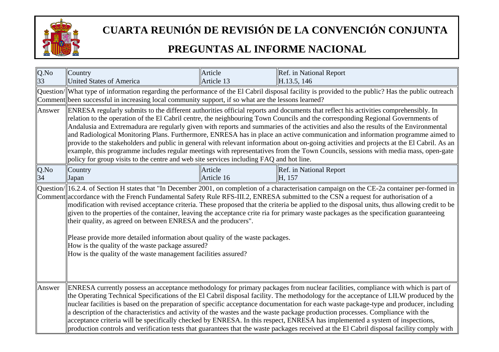

| $Q$ .No<br>33 | Country<br><b>United States of America</b>                                                                                                                                                                                                                                                                                                                                                                                                                                                                                                                                                                                                                                                                                                                                                                                             | Article<br>Article 13 | Ref. in National Report<br>H.13.5, 146                                                                                                                                                                                                                                                                                                                                                                                                                                                                                                                                                                                                                                                                                                                                                                                               |
|---------------|----------------------------------------------------------------------------------------------------------------------------------------------------------------------------------------------------------------------------------------------------------------------------------------------------------------------------------------------------------------------------------------------------------------------------------------------------------------------------------------------------------------------------------------------------------------------------------------------------------------------------------------------------------------------------------------------------------------------------------------------------------------------------------------------------------------------------------------|-----------------------|--------------------------------------------------------------------------------------------------------------------------------------------------------------------------------------------------------------------------------------------------------------------------------------------------------------------------------------------------------------------------------------------------------------------------------------------------------------------------------------------------------------------------------------------------------------------------------------------------------------------------------------------------------------------------------------------------------------------------------------------------------------------------------------------------------------------------------------|
|               | Comment been successful in increasing local community support, if so what are the lessons learned?                                                                                                                                                                                                                                                                                                                                                                                                                                                                                                                                                                                                                                                                                                                                     |                       | Question/ What type of information regarding the performance of the El Cabril disposal facility is provided to the public? Has the public outreach                                                                                                                                                                                                                                                                                                                                                                                                                                                                                                                                                                                                                                                                                   |
| Answer        | policy for group visits to the centre and web site services including FAQ and hot line.                                                                                                                                                                                                                                                                                                                                                                                                                                                                                                                                                                                                                                                                                                                                                |                       | ENRESA regularly submits to the different authorities official reports and documents that reflect his activities comprehensibly. In<br>relation to the operation of the El Cabril centre, the neighbouring Town Councils and the corresponding Regional Governments of<br>Andalusia and Extremadura are regularly given with reports and summaries of the activities and also the results of the Environmental<br>and Radiological Monitoring Plans. Furthermore, ENRESA has in place an active communication and information programme aimed to<br>provide to the stakeholders and public in general with relevant information about on-going activities and projects at the El Cabril. As an<br>example, this programme includes regular meetings with representatives from the Town Councils, sessions with media mass, open-gate |
| Q.No<br>34    | Country<br>Japan                                                                                                                                                                                                                                                                                                                                                                                                                                                                                                                                                                                                                                                                                                                                                                                                                       | Article<br>Article 16 | Ref. in National Report<br>H. 157                                                                                                                                                                                                                                                                                                                                                                                                                                                                                                                                                                                                                                                                                                                                                                                                    |
|               | their quality, as agreed on between ENRESA and the producers".<br>Please provide more detailed information about quality of the waste packages.<br>How is the quality of the waste package assured?<br>How is the quality of the waste management facilities assured?                                                                                                                                                                                                                                                                                                                                                                                                                                                                                                                                                                  |                       | $\alpha$ Question/ $\ $ 16.2.4. of Section H states that "In December 2001, on completion of a characterisation campaign on the CE-2a container per-formed in<br>Comment accordance with the French Fundamental Safety Rule RFS-III.2, ENRESA submitted to the CSN a request for authorisation of a<br>modification with revised acceptance criteria. These proposed that the criteria be applied to the disposal units, thus allowing credit to be<br>given to the properties of the container, leaving the acceptance crite ria for primary waste packages as the specification guaranteeing                                                                                                                                                                                                                                       |
| Answer        | ENRESA currently possess an acceptance methodology for primary packages from nuclear facilities, compliance with which is part of<br>the Operating Technical Specifications of the El Cabril disposal facility. The methodology for the acceptance of LILW produced by the<br>nuclear facilities is based on the preparation of specific acceptance documentation for each waste package-type and producer, including<br>a description of the characteristics and activity of the wastes and the waste package production processes. Compliance with the<br>acceptance criteria will be specifically checked by ENRESA. In this respect, ENRESA has implemented a system of inspections,<br>production controls and verification tests that guarantees that the waste packages received at the El Cabril disposal facility comply with |                       |                                                                                                                                                                                                                                                                                                                                                                                                                                                                                                                                                                                                                                                                                                                                                                                                                                      |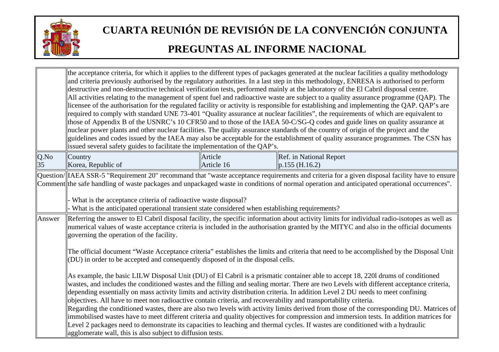

|         | issued several safety guides to facilitate the implementation of the QAP's.                                                                                                                                                                                                                                                                                                                                                                                                                                                                                                                                                                                                                                                                                                                                                                                                                                                                                                                                                 |            | the acceptance criteria, for which it applies to the different types of packages generated at the nuclear facilities a quality methodology<br>and criteria previously authorised by the regulatory authorities. In a last step in this methodology, ENRESA is authorised to perform<br>destructive and non-destructive technical verification tests, performed mainly at the laboratory of the El Cabril disposal centre.<br>All activities relating to the management of spent fuel and radioactive waste are subject to a quality assurance programme (QAP). The<br>licensee of the authorisation for the regulated facility or activity is responsible for establishing and implementing the QAP. QAP's are<br>required to comply with standard UNE 73-401 "Quality assurance at nuclear facilities", the requirements of which are equivalent to<br>those of Appendix B of the USNRC's 10 CFR50 and to those of the IAEA 50-C/SG-Q codes and guide lines on quality assurance at<br>nuclear power plants and other nuclear facilities. The quality assurance standards of the country of origin of the project and the<br>guidelines and codes issued by the IAEA may also be acceptable for the establishment of quality assurance programmes. The CSN has |
|---------|-----------------------------------------------------------------------------------------------------------------------------------------------------------------------------------------------------------------------------------------------------------------------------------------------------------------------------------------------------------------------------------------------------------------------------------------------------------------------------------------------------------------------------------------------------------------------------------------------------------------------------------------------------------------------------------------------------------------------------------------------------------------------------------------------------------------------------------------------------------------------------------------------------------------------------------------------------------------------------------------------------------------------------|------------|-----------------------------------------------------------------------------------------------------------------------------------------------------------------------------------------------------------------------------------------------------------------------------------------------------------------------------------------------------------------------------------------------------------------------------------------------------------------------------------------------------------------------------------------------------------------------------------------------------------------------------------------------------------------------------------------------------------------------------------------------------------------------------------------------------------------------------------------------------------------------------------------------------------------------------------------------------------------------------------------------------------------------------------------------------------------------------------------------------------------------------------------------------------------------------------------------------------------------------------------------------------------|
| $Q$ .No | Country                                                                                                                                                                                                                                                                                                                                                                                                                                                                                                                                                                                                                                                                                                                                                                                                                                                                                                                                                                                                                     | Article    | Ref. in National Report                                                                                                                                                                                                                                                                                                                                                                                                                                                                                                                                                                                                                                                                                                                                                                                                                                                                                                                                                                                                                                                                                                                                                                                                                                         |
| 35      | Korea, Republic of                                                                                                                                                                                                                                                                                                                                                                                                                                                                                                                                                                                                                                                                                                                                                                                                                                                                                                                                                                                                          | Article 16 | $p.155$ (H.16.2)                                                                                                                                                                                                                                                                                                                                                                                                                                                                                                                                                                                                                                                                                                                                                                                                                                                                                                                                                                                                                                                                                                                                                                                                                                                |
|         | Question/ IAEA SSR-5 "Requirement 20" recommand that "waste acceptance requirements and criteria for a given disposal facility have to ensure<br>Comment the safe handling of waste packages and unpackaged waste in conditions of normal operation and anticipated operational occurrences".<br>What is the acceptance criteria of radioactive waste disposal?<br>What is the anticipated operational transient state considered when establishing requirements?                                                                                                                                                                                                                                                                                                                                                                                                                                                                                                                                                           |            |                                                                                                                                                                                                                                                                                                                                                                                                                                                                                                                                                                                                                                                                                                                                                                                                                                                                                                                                                                                                                                                                                                                                                                                                                                                                 |
| Answer  | Referring the answer to El Cabril disposal facility, the specific information about activity limits for individual radio-isotopes as well as<br>numerical values of waste acceptance criteria is included in the authorisation granted by the MITYC and also in the official documents<br>governing the operation of the facility.<br>The official document "Waste Acceptance criteria" establishes the limits and criteria that need to be accomplished by the Disposal Unit<br>(DU) in order to be accepted and consequently disposed of in the disposal cells.                                                                                                                                                                                                                                                                                                                                                                                                                                                           |            |                                                                                                                                                                                                                                                                                                                                                                                                                                                                                                                                                                                                                                                                                                                                                                                                                                                                                                                                                                                                                                                                                                                                                                                                                                                                 |
|         | As example, the basic LILW Disposal Unit (DU) of El Cabril is a prismatic container able to accept 18, 2201 drums of conditioned<br>wastes, and includes the conditioned wastes and the filling and sealing mortar. There are two Levels with different acceptance criteria,<br>depending essentially on mass activity limits and activity distribution criteria. In addition Level 2 DU needs to meet confining<br>objectives. All have to meet non radioactive contain criteria, and recoverability and transportability criteria.<br>Regarding the conditioned wastes, there are also two levels with activity limits derived from those of the corresponding DU. Matrices of<br>immobilised wastes have to meet different criteria and quality objectives for compression and immersion tests. In addition matrices for<br>Level 2 packages need to demonstrate its capacities to leaching and thermal cycles. If wastes are conditioned with a hydraulic<br>agglomerate wall, this is also subject to diffusion tests. |            |                                                                                                                                                                                                                                                                                                                                                                                                                                                                                                                                                                                                                                                                                                                                                                                                                                                                                                                                                                                                                                                                                                                                                                                                                                                                 |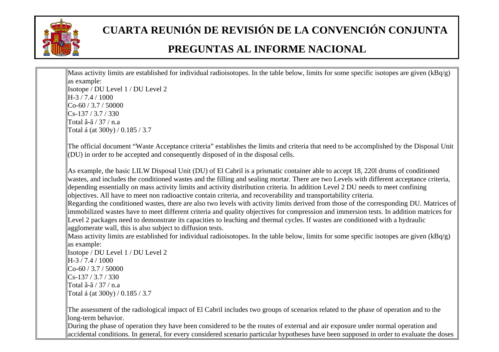

Mass activity limits are established for individual radioisotopes. In the table below, limits for some specific isotopes are given  $(kBq/g)$ as example: Isotope / DU Level 1 / DU Level 2  $\parallel$ H-3 / 7.4 / 1000  $|C_0$ -60 / 3.7 / 50000  $\vert\vert$ Cs-137 / 3.7 / 330 Total â-ã / 37 / n.a

Total á (at 300y) / 0.185 / 3.7

The official document "Waste Acceptance criteria" establishes the limits and criteria that need to be accomplished by the Disposal Unit (DU) in order to be accepted and consequently disposed of in the disposal cells.

As example, the basic LILW Disposal Unit (DU) of El Cabril is a prismatic container able to accept 18, 220l drums of conditioned wastes, and includes the conditioned wastes and the filling and sealing mortar. There are two Levels with different acceptance criteria, depending essentially on mass activity limits and activity distribution criteria. In addition Level 2 DU needs to meet confining objectives. All have to meet non radioactive contain criteria, and recoverability and transportability criteria. Regarding the conditioned wastes, there are also two levels with activity limits derived from those of the corresponding DU. Matrices of immobilized wastes have to meet different criteria and quality objectives for compression and immersion tests. In addition matrices for Level 2 packages need to demonstrate its capacities to leaching and thermal cycles. If wastes are conditioned with a hydraulic agglomerate wall, this is also subject to diffusion tests.

Mass activity limits are established for individual radioisotopes. In the table below, limits for some specific isotopes are given (kBq/g) as example:

Isotope / DU Level 1 / DU Level 2  $\parallel$ H-3 / 7.4 / 1000  $|$ Co-60 / 3.7 / 50000  $\Gamma$ <sub>Cs</sub>-137 / 3.7 / 330 Total â-ã / 37 / n.a Total á (at 300y) /  $0.185 / 3.7$ 

The assessment of the radiological impact of El Cabril includes two groups of scenarios related to the phase of operation and to the long-term behavior.

During the phase of operation they have been considered to be the routes of external and air exposure under normal operation and accidental conditions. In general, for every considered scenario particular hypotheses have been supposed in order to evaluate the doses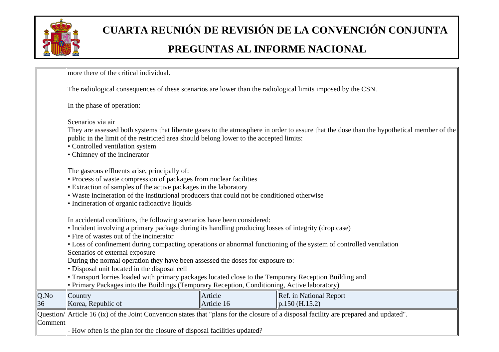

|            | more there of the critical individual.                                                                                                                                                                                                                                                                                                                                                                                                                             |                       |                                                |  |  |
|------------|--------------------------------------------------------------------------------------------------------------------------------------------------------------------------------------------------------------------------------------------------------------------------------------------------------------------------------------------------------------------------------------------------------------------------------------------------------------------|-----------------------|------------------------------------------------|--|--|
|            | The radiological consequences of these scenarios are lower than the radiological limits imposed by the CSN.                                                                                                                                                                                                                                                                                                                                                        |                       |                                                |  |  |
|            | In the phase of operation:                                                                                                                                                                                                                                                                                                                                                                                                                                         |                       |                                                |  |  |
|            | Scenarios via air<br>They are assessed both systems that liberate gases to the atmosphere in order to assure that the dose than the hypothetical member of the<br>public in the limit of the restricted area should belong lower to the accepted limits:<br>• Controlled ventilation system<br>• Chimney of the incinerator                                                                                                                                        |                       |                                                |  |  |
|            | The gaseous effluents arise, principally of:<br>· Process of waste compression of packages from nuclear facilities<br>Extraction of samples of the active packages in the laboratory<br>Waste incineration of the institutional producers that could not be conditioned otherwise<br>Incineration of organic radioactive liquids                                                                                                                                   |                       |                                                |  |  |
|            | In accidental conditions, the following scenarios have been considered:<br>• Incident involving a primary package during its handling producing losses of integrity (drop case)<br>Fire of wastes out of the incinerator<br>• Loss of confinement during compacting operations or abnormal functioning of the system of controlled ventilation<br>Scenarios of external exposure<br>During the normal operation they have been assessed the doses for exposure to: |                       |                                                |  |  |
|            | Disposal unit located in the disposal cell<br>Transport lorries loaded with primary packages located close to the Temporary Reception Building and<br>Primary Packages into the Buildings (Temporary Reception, Conditioning, Active laboratory)                                                                                                                                                                                                                   |                       |                                                |  |  |
| Q.No<br>36 | Country<br>Korea, Republic of                                                                                                                                                                                                                                                                                                                                                                                                                                      | Article<br>Article 16 | Ref. in National Report<br>$\ p.150(H.15.2)\ $ |  |  |
| Comment    | Question/  Article 16 (ix) of the Joint Convention states that "plans for the closure of a disposal facility are prepared and updated".<br>How often is the plan for the closure of disposal facilities updated?                                                                                                                                                                                                                                                   |                       |                                                |  |  |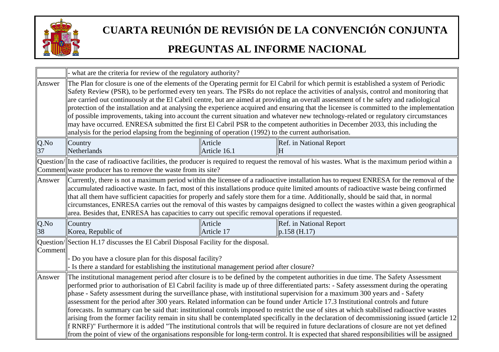

|         | - what are the criteria for review of the regulatory authority?                                                                                                                                                                                                                                                                                                                                                                                                                                                                                                                                                                                                                                                                                                                                                                                                                                                                                        |                                                                                                                                                                                                                                                                                                                                                                                                                                                                                                                                                                                                                                                                                                                                                                                                                                                                                                                                                                                                                                                                                           |    |                                                                                                                                                     |
|---------|--------------------------------------------------------------------------------------------------------------------------------------------------------------------------------------------------------------------------------------------------------------------------------------------------------------------------------------------------------------------------------------------------------------------------------------------------------------------------------------------------------------------------------------------------------------------------------------------------------------------------------------------------------------------------------------------------------------------------------------------------------------------------------------------------------------------------------------------------------------------------------------------------------------------------------------------------------|-------------------------------------------------------------------------------------------------------------------------------------------------------------------------------------------------------------------------------------------------------------------------------------------------------------------------------------------------------------------------------------------------------------------------------------------------------------------------------------------------------------------------------------------------------------------------------------------------------------------------------------------------------------------------------------------------------------------------------------------------------------------------------------------------------------------------------------------------------------------------------------------------------------------------------------------------------------------------------------------------------------------------------------------------------------------------------------------|----|-----------------------------------------------------------------------------------------------------------------------------------------------------|
| Answer  | The Plan for closure is one of the elements of the Operating permit for El Cabril for which permit is established a system of Periodic<br>Safety Review (PSR), to be performed every ten years. The PSRs do not replace the activities of analysis, control and monitoring that<br>are carried out continuously at the El Cabril centre, but are aimed at providing an overall assessment of the safety and radiological<br>protection of the installation and at analysing the experience acquired and ensuring that the licensee is committed to the implementation<br>of possible improvements, taking into account the current situation and whatever new technology-related or regulatory circumstances<br>may have occurred. ENRESA submitted the first El Cabril PSR to the competent authorities in December 2033, this including the<br>analysis for the period elapsing from the beginning of operation (1992) to the current authorisation. |                                                                                                                                                                                                                                                                                                                                                                                                                                                                                                                                                                                                                                                                                                                                                                                                                                                                                                                                                                                                                                                                                           |    |                                                                                                                                                     |
| Q.No    | Country                                                                                                                                                                                                                                                                                                                                                                                                                                                                                                                                                                                                                                                                                                                                                                                                                                                                                                                                                | Article                                                                                                                                                                                                                                                                                                                                                                                                                                                                                                                                                                                                                                                                                                                                                                                                                                                                                                                                                                                                                                                                                   |    | Ref. in National Report                                                                                                                             |
| 37      | Netherlands                                                                                                                                                                                                                                                                                                                                                                                                                                                                                                                                                                                                                                                                                                                                                                                                                                                                                                                                            | Article 16.1                                                                                                                                                                                                                                                                                                                                                                                                                                                                                                                                                                                                                                                                                                                                                                                                                                                                                                                                                                                                                                                                              | lН |                                                                                                                                                     |
|         | Comment waste producer has to remove the waste from its site?                                                                                                                                                                                                                                                                                                                                                                                                                                                                                                                                                                                                                                                                                                                                                                                                                                                                                          |                                                                                                                                                                                                                                                                                                                                                                                                                                                                                                                                                                                                                                                                                                                                                                                                                                                                                                                                                                                                                                                                                           |    | Question/ In the case of radioactive facilities, the producer is required to request the removal of his wastes. What is the maximum period within a |
| Answer  | Currently, there is not a maximum period within the licensee of a radioactive installation has to request ENRESA for the removal of the<br>accumulated radioactive waste. In fact, most of this installations produce quite limited amounts of radioactive waste being confirmed<br>that all them have sufficient capacities for properly and safely store them for a time. Additionally, should be said that, in normal<br>circumstances, ENRESA carries out the removal of this wastes by campaigns designed to collect the wastes within a given geographical<br>area. Besides that, ENRESA has capacities to carry out specific removal operations if requested.                                                                                                                                                                                                                                                                                   |                                                                                                                                                                                                                                                                                                                                                                                                                                                                                                                                                                                                                                                                                                                                                                                                                                                                                                                                                                                                                                                                                           |    |                                                                                                                                                     |
| $Q$ .No | Country                                                                                                                                                                                                                                                                                                                                                                                                                                                                                                                                                                                                                                                                                                                                                                                                                                                                                                                                                | Article                                                                                                                                                                                                                                                                                                                                                                                                                                                                                                                                                                                                                                                                                                                                                                                                                                                                                                                                                                                                                                                                                   |    | Ref. in National Report                                                                                                                             |
| 38      | Korea, Republic of                                                                                                                                                                                                                                                                                                                                                                                                                                                                                                                                                                                                                                                                                                                                                                                                                                                                                                                                     | Article 17                                                                                                                                                                                                                                                                                                                                                                                                                                                                                                                                                                                                                                                                                                                                                                                                                                                                                                                                                                                                                                                                                |    | p.158(H.17)                                                                                                                                         |
| Comment | Question/Section H.17 discusses the El Cabril Disposal Facility for the disposal.                                                                                                                                                                                                                                                                                                                                                                                                                                                                                                                                                                                                                                                                                                                                                                                                                                                                      |                                                                                                                                                                                                                                                                                                                                                                                                                                                                                                                                                                                                                                                                                                                                                                                                                                                                                                                                                                                                                                                                                           |    |                                                                                                                                                     |
|         | Do you have a closure plan for this disposal facility?                                                                                                                                                                                                                                                                                                                                                                                                                                                                                                                                                                                                                                                                                                                                                                                                                                                                                                 |                                                                                                                                                                                                                                                                                                                                                                                                                                                                                                                                                                                                                                                                                                                                                                                                                                                                                                                                                                                                                                                                                           |    |                                                                                                                                                     |
|         |                                                                                                                                                                                                                                                                                                                                                                                                                                                                                                                                                                                                                                                                                                                                                                                                                                                                                                                                                        |                                                                                                                                                                                                                                                                                                                                                                                                                                                                                                                                                                                                                                                                                                                                                                                                                                                                                                                                                                                                                                                                                           |    |                                                                                                                                                     |
| Answer  | from the point of view of the organisations responsible for long-term control. It is expected that shared responsibilities will be assigned                                                                                                                                                                                                                                                                                                                                                                                                                                                                                                                                                                                                                                                                                                                                                                                                            | - Is there a standard for establishing the institutional management period after closure?<br>The institutional management period after closure is to be defined by the competent authorities in due time. The Safety Assessment<br>performed prior to authorisation of El Cabril facility is made up of three differentiated parts: - Safety assessment during the operating<br>phase - Safety assessment during the surveillance phase, with institutional supervision for a maximum 300 years and - Safety<br>assessment for the period after 300 years. Related information can be found under Article 17.3 Institutional controls and future<br>forecasts. In summary can be said that: institutional controls imposed to restrict the use of sites at which stabilised radioactive wastes<br>arising from the former facility remain in situ shall be contemplated specifically in the declaration of decommissioning issued (article 12<br>f RNRF)" Furthermore it is added "The institutional controls that will be required in future declarations of closure are not yet defined |    |                                                                                                                                                     |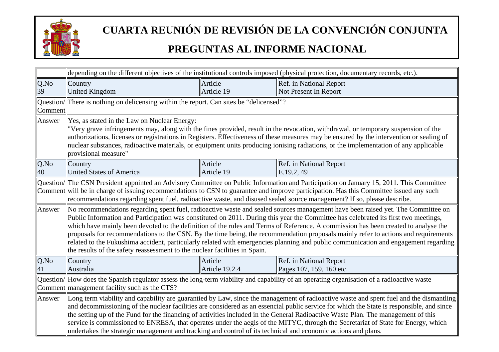

| depending on the different objectives of the institutional controls imposed (physical protection, documentary records, etc.).                                                                                                                                                    |  |  |
|----------------------------------------------------------------------------------------------------------------------------------------------------------------------------------------------------------------------------------------------------------------------------------|--|--|
| Ref. in National Report                                                                                                                                                                                                                                                          |  |  |
| Not Present In Report                                                                                                                                                                                                                                                            |  |  |
|                                                                                                                                                                                                                                                                                  |  |  |
|                                                                                                                                                                                                                                                                                  |  |  |
|                                                                                                                                                                                                                                                                                  |  |  |
| "Very grave infringements may, along with the fines provided, result in the revocation, withdrawal, or temporary suspension of the                                                                                                                                               |  |  |
| authorizations, licenses or registrations in Registers. Effectiveness of these measures may be ensured by the intervention or sealing of<br>nuclear substances, radioactive materials, or equipment units producing ionising radiations, or the implementation of any applicable |  |  |
|                                                                                                                                                                                                                                                                                  |  |  |
| Ref. in National Report                                                                                                                                                                                                                                                          |  |  |
|                                                                                                                                                                                                                                                                                  |  |  |
| Question/ The CSN President appointed an Advisory Committee on Public Information and Participation on January 15, 2011. This Committee                                                                                                                                          |  |  |
| Comment will be in charge of issuing recommendations to CSN to guarantee and improve participation. Has this Committee issued any such                                                                                                                                           |  |  |
| recommendations regarding spent fuel, radioactive waste, and disused sealed source management? If so, please describe.                                                                                                                                                           |  |  |
| No recommendations regarding spent fuel, radioactive waste and sealed sources management have been raised yet. The Committee on                                                                                                                                                  |  |  |
| Public Information and Participation was constituted on 2011. During this year the Committee has celebrated its first two meetings,<br>which have mainly been devoted to the definition of the rules and Terms of Reference. A commission has been created to analyse the        |  |  |
| proposals for recommendations to the CSN. By the time being, the recommendation proposals mainly refer to actions and requirements                                                                                                                                               |  |  |
| related to the Fukushima accident, particularly related with emergencies planning and public communication and engagement regarding                                                                                                                                              |  |  |
| the results of the safety reassessment to the nuclear facilities in Spain.                                                                                                                                                                                                       |  |  |
| Ref. in National Report                                                                                                                                                                                                                                                          |  |  |
| Pages 107, 159, 160 etc.                                                                                                                                                                                                                                                         |  |  |
| Question/ How does the Spanish regulator assess the long-term viability and capability of an operating organisation of a radioactive waste                                                                                                                                       |  |  |
| Comment management facility such as the CTS?                                                                                                                                                                                                                                     |  |  |
| Long term viability and capability are guarantied by Law, since the management of radioactive waste and spent fuel and the dismantling                                                                                                                                           |  |  |
| and decommissioning of the nuclear facilities are considered as an essencial public service for which the State is responsible, and since                                                                                                                                        |  |  |
| the setting up of the Fund for the financing of activities included in the General Radioactive Waste Plan. The management of this<br>service is commissioned to ENRESA, that operates under the aegis of the MITYC, through the Secretariat of State for Energy, which           |  |  |
| undertakes the strategic management and tracking and control of its technical and economic actions and plans.                                                                                                                                                                    |  |  |
|                                                                                                                                                                                                                                                                                  |  |  |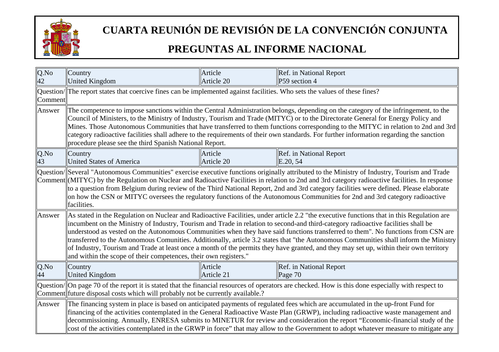

| $Q$ .No<br>42 | Country<br><b>United Kingdom</b>                                                                                                                                                                                                                                                                                                                                                                                                                                                                                                                                                                                                                                                                                                                                          | Article<br>Article 20 | Ref. in National Report<br>P59 section 4                                                                                                                                                                                                                                                                                                                                                                                                                                                                                                                                |
|---------------|---------------------------------------------------------------------------------------------------------------------------------------------------------------------------------------------------------------------------------------------------------------------------------------------------------------------------------------------------------------------------------------------------------------------------------------------------------------------------------------------------------------------------------------------------------------------------------------------------------------------------------------------------------------------------------------------------------------------------------------------------------------------------|-----------------------|-------------------------------------------------------------------------------------------------------------------------------------------------------------------------------------------------------------------------------------------------------------------------------------------------------------------------------------------------------------------------------------------------------------------------------------------------------------------------------------------------------------------------------------------------------------------------|
| Comment       | Question/ The report states that coercive fines can be implemented against facilities. Who sets the values of these fines?                                                                                                                                                                                                                                                                                                                                                                                                                                                                                                                                                                                                                                                |                       |                                                                                                                                                                                                                                                                                                                                                                                                                                                                                                                                                                         |
| Answer        | The competence to impose sanctions within the Central Administration belongs, depending on the category of the infringement, to the<br>Council of Ministers, to the Ministry of Industry, Tourism and Trade (MITYC) or to the Directorate General for Energy Policy and<br>Mines. Those Autonomous Communities that have transferred to them functions corresponding to the MITYC in relation to 2nd and 3rd<br>category radioactive facilities shall adhere to the requirements of their own standards. For further information regarding the sanction<br>procedure please see the third Spanish National Report.                                                                                                                                                        |                       |                                                                                                                                                                                                                                                                                                                                                                                                                                                                                                                                                                         |
| $Q$ .No<br>43 | Country<br><b>United States of America</b>                                                                                                                                                                                                                                                                                                                                                                                                                                                                                                                                                                                                                                                                                                                                | Article<br>Article 20 | Ref. in National Report<br>E.20, 54                                                                                                                                                                                                                                                                                                                                                                                                                                                                                                                                     |
|               | facilities.                                                                                                                                                                                                                                                                                                                                                                                                                                                                                                                                                                                                                                                                                                                                                               |                       | Question/Several "Autonomous Communities" exercise executive functions originally attributed to the Ministry of Industry, Tourism and Trade<br>Comment (MITYC) by the Regulation on Nuclear and Radioactive Facilities in relation to 2nd and 3rd category radioactive facilities. In response<br>to a question from Belgium during review of the Third National Report, 2nd and 3rd category facilities were defined. Please elaborate<br>on how the CSN or MITYC oversees the regulatory functions of the Autonomous Communities for 2nd and 3rd category radioactive |
| Answer        | As stated in the Regulation on Nuclear and Radioactive Facilities, under article 2.2 "the executive functions that in this Regulation are<br>incumbent on the Ministry of Industry, Tourism and Trade in relation to second-and third-category radioactive facilities shall be<br>understood as vested on the Autonomous Communities when they have said functions transferred to them". No functions from CSN are<br>transferred to the Autonomous Comunities. Additionally, article 3.2 states that "the Autonomous Communities shall inform the Ministry<br>of Industry, Tourism and Trade at least once a month of the permits they have granted, and they may set up, within their own territory<br>and within the scope of their competences, their own registers." |                       |                                                                                                                                                                                                                                                                                                                                                                                                                                                                                                                                                                         |
| Q.No<br>44    | Country<br><b>United Kingdom</b>                                                                                                                                                                                                                                                                                                                                                                                                                                                                                                                                                                                                                                                                                                                                          | Article<br>Article 21 | Ref. in National Report<br>Page $70$                                                                                                                                                                                                                                                                                                                                                                                                                                                                                                                                    |
|               | Question/  On page 70 of the report it is stated that the financial resources of operators are checked. How is this done especially with respect to<br>Comment future disposal costs which will probably not be currently available.?                                                                                                                                                                                                                                                                                                                                                                                                                                                                                                                                     |                       |                                                                                                                                                                                                                                                                                                                                                                                                                                                                                                                                                                         |
| Answer        |                                                                                                                                                                                                                                                                                                                                                                                                                                                                                                                                                                                                                                                                                                                                                                           |                       | The financing system in place is based on anticipated payments of regulated fees which are accumulated in the up-front Fund for<br>financing of the activities contemplated in the General Radioactive Waste Plan (GRWP), including radioactive waste management and<br>decommissioning. Annually, ENRESA submits to MINETUR for review and consideration the report "Economic-financial study of the<br>cost of the activities contemplated in the GRWP in force" that may allow to the Government to adopt whatever measure to mitigate any                           |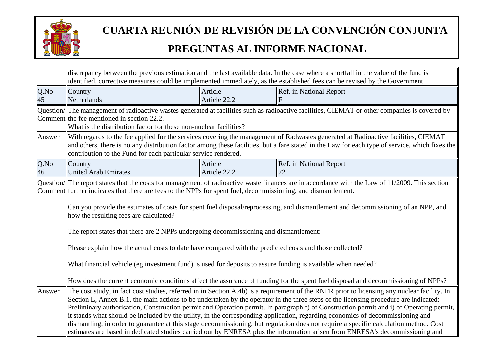

|            | discrepancy between the previous estimation and the last available data. In the case where a shortfall in the value of the fund is<br>identified, corrective measures could be implemented immediately, as the established fees can be revised by the Government.                                                                                                                                                                                                                                                                                                                                                                                                                                                                                                                                                                         |                         |                                                                                                                                                                                                                                                                                     |
|------------|-------------------------------------------------------------------------------------------------------------------------------------------------------------------------------------------------------------------------------------------------------------------------------------------------------------------------------------------------------------------------------------------------------------------------------------------------------------------------------------------------------------------------------------------------------------------------------------------------------------------------------------------------------------------------------------------------------------------------------------------------------------------------------------------------------------------------------------------|-------------------------|-------------------------------------------------------------------------------------------------------------------------------------------------------------------------------------------------------------------------------------------------------------------------------------|
| Q.No<br>45 | Country<br>Netherlands                                                                                                                                                                                                                                                                                                                                                                                                                                                                                                                                                                                                                                                                                                                                                                                                                    | Article<br>Article 22.2 | Ref. in National Report                                                                                                                                                                                                                                                             |
|            | Comment the fee mentioned in section 22.2.<br>What is the distribution factor for these non-nuclear facilities?                                                                                                                                                                                                                                                                                                                                                                                                                                                                                                                                                                                                                                                                                                                           |                         | Question/The management of radioactive wastes generated at facilities such as radioactive facilities, CIEMAT or other companies is covered by                                                                                                                                       |
| Answer     | contribution to the Fund for each particular service rendered.                                                                                                                                                                                                                                                                                                                                                                                                                                                                                                                                                                                                                                                                                                                                                                            |                         | With regards to the fee applied for the services covering the management of Radwastes generated at Radioactive facilities, CIEMAT<br>and others, there is no any distribution factor among these facilities, but a fare stated in the Law for each type of service, which fixes the |
| Q.No<br>46 | Country<br><b>United Arab Emirates</b>                                                                                                                                                                                                                                                                                                                                                                                                                                                                                                                                                                                                                                                                                                                                                                                                    | Article<br>Article 22.2 | Ref. in National Report                                                                                                                                                                                                                                                             |
|            | Question/ The report states that the costs for management of radioactive waste finances are in accordance with the Law of 11/2009. This section<br>Comment further indicates that there are fees to the NPPs for spent fuel, decommissioning, and dismant lement.<br>Can you provide the estimates of costs for spent fuel disposal/reprocessing, and dismantlement and decommissioning of an NPP, and<br>how the resulting fees are calculated?                                                                                                                                                                                                                                                                                                                                                                                          |                         |                                                                                                                                                                                                                                                                                     |
|            | The report states that there are 2 NPPs undergoing decommissioning and dismantlement:<br>Please explain how the actual costs to date have compared with the predicted costs and those collected?<br>What financial vehicle (eg investment fund) is used for deposits to assure funding is available when needed?<br>How does the current economic conditions affect the assurance of funding for the spent fuel disposal and decommissioning of NPPs?                                                                                                                                                                                                                                                                                                                                                                                     |                         |                                                                                                                                                                                                                                                                                     |
| Answer     | The cost study, in fact cost studies, referred in in Section A.4b) is a requirement of the RNFR prior to licensing any nuclear facility. In<br>Section L, Annex B.1, the main actions to be undertaken by the operator in the three steps of the licensing procedure are indicated:<br>Preliminary authorisation, Construction permit and Operation permit. In paragraph f) of Construction permit and i) of Operating permit,<br>it stands what should be included by the utility, in the corresponding application, regarding economics of decommissioning and<br>dismantling, in order to guarantee at this stage decommissioning, but regulation does not require a specific calculation method. Cost<br>estimates are based in dedicated studies carried out by ENRESA plus the information arisen from ENRESA's decommissioning and |                         |                                                                                                                                                                                                                                                                                     |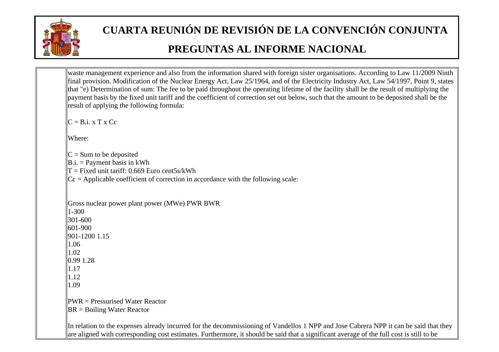

```
waste management experience and also from the information shared with foreign sister organisations. According to Law 11/2009 Ninth 
final provision. Modification of the Nuclear Energy Act, Law 25/1964, and of the Electricity Industry Act, Law 54/1997, Point 9, states 
that "e) Determination of sum: The fee to be paid throughout the operating lifetime of the facility shall be the result of multiplying the 
payment basis by the fixed unit tariff and the coefficient of correction set out below, such that the amount to be deposited shall be the 
result of applying the following formula: 
\mathbf{C} = \mathbf{B} \mathbf{i} \cdot \mathbf{x} \mathbf{T} \mathbf{x} \mathbf{C} \mathbf{c}Where: \mathbf{C} = \mathbf{Sum} to be deposited
\mathbf{B} \cdot \mathbf{i} = \mathbf{P} ayment basis in kWh
T = Fixed unit tariff: 0.669 Euro cent5s/kWh
\vert\vertCc = Applicable coefficient of correction in accordance with the following scale:
Gross nuclear power plant power (MWe) PWR BWR 
\parallel1-300
||301-600
601-900 
901-1200 1.15 
1.06\parallel1.02
\parallel0.99 1.28
1.171.121.09\mathbb{PWR} = Pressurised Water Reactor
\|BR = Boiling Water Reactor
In relation to the expenses already incurred for the decommissioning of Vandellos 1 NPP and Jose Cabrera NPP it can be said that they 
are aligned with corresponding cost estimates. Furthermore, it should be said that a significant average of the full cost is still to be
```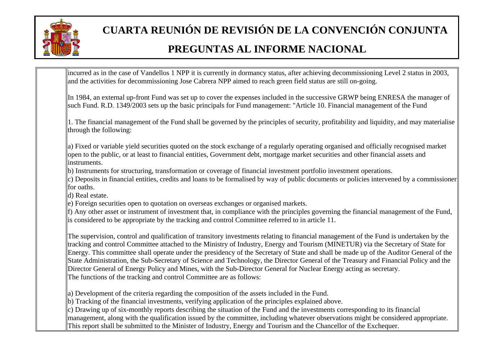

incurred as in the case of Vandellos 1 NPP it is currently in dormancy status, after achieving decommissioning Level 2 status in 2003, and the activities for decommissioning Jose Cabrera NPP aimed to reach green field status are still on-going.

In 1984, an external up-front Fund was set up to cover the expenses included in the successive GRWP being ENRESA the manager of such Fund. R.D. 1349/2003 sets up the basic principals for Fund management: "Article 10. Financial management of the Fund

||1. The financial management of the Fund shall be governed by the principles of security, profitability and liquidity, and may materialise  $\|$ through the following:

a) Fixed or variable yield securities quoted on the stock exchange of a regularly operating organised and officially recognised market open to the public, or at least to financial entities, Government debt, mortgage market securities and other financial assets and instruments.

b) Instruments for structuring, transformation or coverage of financial investment portfolio investment operations.

c) Deposits in financial entities, credits and loans to be formalised by way of public documents or policies intervened by a commissioner  $\parallel$  for oaths.

d) Real estate.

e) Foreign securities open to quotation on overseas exchanges or organised markets.

 $\|$ f) Any other asset or instrument of investment that, in compliance with the principles governing the financial management of the Fund, is considered to be appropriate by the tracking and control Committee referred to in article 11.

The supervision, control and qualification of transitory investments relating to financial management of the Fund is undertaken by the tracking and control Committee attached to the Ministry of Industry, Energy and Tourism (MINETUR) via the Secretary of State for Energy. This committee shall operate under the presidency of the Secretary of State and shall be made up of the Auditor General of the State Administration, the Sub-Secretary of Science and Technology, the Director General of the Treasury and Financial Policy and the Director General of Energy Policy and Mines, with the Sub-Director General for Nuclear Energy acting as secretary. The functions of the tracking and control Committee are as follows:

a) Development of the criteria regarding the composition of the assets included in the Fund.

b) Tracking of the financial investments, verifying application of the principles explained above.

c) Drawing up of six-monthly reports describing the situation of the Fund and the investments corresponding to its financial management, along with the qualification issued by the committee, including whatever observations might be considered appropriate. This report shall be submitted to the Minister of Industry, Energy and Tourism and the Chancellor of the Exchequer.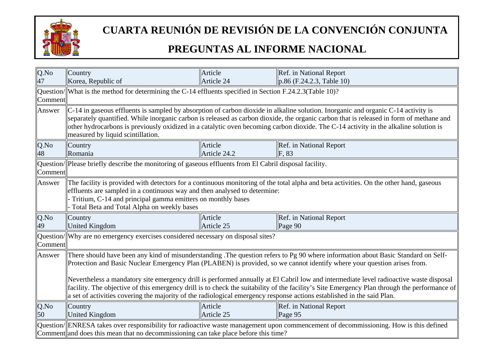

| $Q$ .No<br>47 | Country<br>Korea, Republic of                                                                                                                                                                                                                                                                                                                                                                                                                                                                                                                                                                                                                                                     | Article<br>Article 24   | Ref. in National Report<br>$\vert$ p.86 (F.24.2.3, Table 10) |  |
|---------------|-----------------------------------------------------------------------------------------------------------------------------------------------------------------------------------------------------------------------------------------------------------------------------------------------------------------------------------------------------------------------------------------------------------------------------------------------------------------------------------------------------------------------------------------------------------------------------------------------------------------------------------------------------------------------------------|-------------------------|--------------------------------------------------------------|--|
| Comment       | $\alpha$ Question/ What is the method for determining the C-14 effluents specified in Section F.24.2.3 (Table 10)?                                                                                                                                                                                                                                                                                                                                                                                                                                                                                                                                                                |                         |                                                              |  |
| Answer        | $\vert$ C-14 in gaseous effluents is sampled by absorption of carbon dioxide in alkaline solution. Inorganic and organic C-14 activity is<br>separately quantified. While inorganic carbon is released as carbon dioxide, the organic carbon that is released in form of methane and<br>other hydrocarbons is previously oxidized in a catalytic oven becoming carbon dioxide. The C-14 activity in the alkaline solution is<br>measured by liquid scintillation.                                                                                                                                                                                                                 |                         |                                                              |  |
| Q.No<br>48    | Country<br>Romania                                                                                                                                                                                                                                                                                                                                                                                                                                                                                                                                                                                                                                                                | Article<br>Article 24.2 | Ref. in National Report<br>F, 83                             |  |
| Comment       | Question/  Please briefly describe the monitoring of gaseous effluents from El Cabril disposal facility.                                                                                                                                                                                                                                                                                                                                                                                                                                                                                                                                                                          |                         |                                                              |  |
| Answer        | The facility is provided with detectors for a continuous monitoring of the total alpha and beta activities. On the other hand, gaseous<br>effluents are sampled in a continuous way and then analysed to determine:<br>Tritium, C-14 and principal gamma emitters on monthly bases<br>Total Beta and Total Alpha on weekly bases                                                                                                                                                                                                                                                                                                                                                  |                         |                                                              |  |
| Q.No<br>49    | Country<br><b>United Kingdom</b>                                                                                                                                                                                                                                                                                                                                                                                                                                                                                                                                                                                                                                                  | Article<br>Article 25   | Ref. in National Report<br>Page $90$                         |  |
| Comment       | Question/ Why are no emergency exercises considered necessary on disposal sites?                                                                                                                                                                                                                                                                                                                                                                                                                                                                                                                                                                                                  |                         |                                                              |  |
| Answer        | There should have been any kind of misunderstanding. The question refers to Pg 90 where information about Basic Standard on Self-<br>Protection and Basic Nuclear Emergency Plan (PLABEN) is provided, so we cannot identify where your question arises from.<br>Nevertheless a mandatory site emergency drill is performed annually at El Cabril low and intermediate level radioactive waste disposal<br>facility. The objective of this emergency drill is to check the suitability of the facility's Site Emergency Plan through the performance of<br>a set of activities covering the majority of the radiological emergency response actions established in the said Plan. |                         |                                                              |  |
| Q.No<br>50    | Country<br>United Kingdom                                                                                                                                                                                                                                                                                                                                                                                                                                                                                                                                                                                                                                                         | Article<br>Article 25   | Ref. in National Report<br>Page $95$                         |  |
|               | Question/ENRESA takes over responsibility for radioactive waste management upon commencement of decommissioning. How is this defined<br>Comment and does this mean that no decommissioning can take place before this time?                                                                                                                                                                                                                                                                                                                                                                                                                                                       |                         |                                                              |  |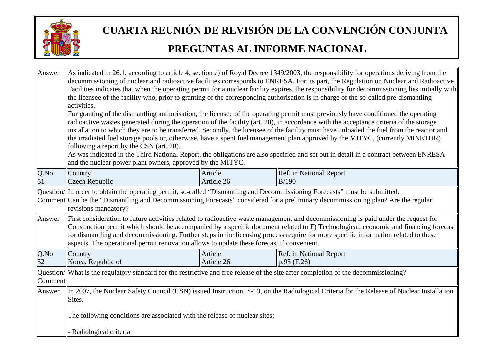

| Answer     | As indicated in 26.1, according to article 4, section e) of Royal Decree 1349/2003, the responsibility for operations deriving from the<br>decommissioning of nuclear and radioactive facilities corresponds to ENRESA. For its part, the Regulation on Nuclear and Radioactive<br>Facilities indicates that when the operating permit for a nuclear facility expires, the responsibility for decommissioning lies initially with<br>the licensee of the facility who, prior to granting of the corresponding authorisation is in charge of the so-called pre-dismantling<br>activities.<br>For granting of the dismantling authorisation, the licensee of the operating permit must previously have conditioned the operating<br>radioactive wastes generated during the operation of the facility (art. 28), in accordance with the acceptance criteria of the storage<br>installation to which they are to be transferred. Secondly, the licensee of the facility must have unloaded the fuel from the reactor and<br>the irradiated fuel storage pools or, otherwise, have a spent fuel management plan approved by the MITYC, (currently MINETUR)<br>following a report by the CSN (art. 28).<br>As was indicated in the Third National Report, the obligations are also specified and set out in detail in a contract between ENRESA<br>and the nuclear power plant owners, approved by the MITYC. |                       |                                                                                                                                                                                                                                                                                                                                                                                                                 |  |
|------------|----------------------------------------------------------------------------------------------------------------------------------------------------------------------------------------------------------------------------------------------------------------------------------------------------------------------------------------------------------------------------------------------------------------------------------------------------------------------------------------------------------------------------------------------------------------------------------------------------------------------------------------------------------------------------------------------------------------------------------------------------------------------------------------------------------------------------------------------------------------------------------------------------------------------------------------------------------------------------------------------------------------------------------------------------------------------------------------------------------------------------------------------------------------------------------------------------------------------------------------------------------------------------------------------------------------------------------------------------------------------------------------------------------|-----------------------|-----------------------------------------------------------------------------------------------------------------------------------------------------------------------------------------------------------------------------------------------------------------------------------------------------------------------------------------------------------------------------------------------------------------|--|
| Q.No       | Country                                                                                                                                                                                                                                                                                                                                                                                                                                                                                                                                                                                                                                                                                                                                                                                                                                                                                                                                                                                                                                                                                                                                                                                                                                                                                                                                                                                                  | Article               | Ref. in National Report                                                                                                                                                                                                                                                                                                                                                                                         |  |
|            | <b>Czech Republic</b>                                                                                                                                                                                                                                                                                                                                                                                                                                                                                                                                                                                                                                                                                                                                                                                                                                                                                                                                                                                                                                                                                                                                                                                                                                                                                                                                                                                    | Article 26            | B/190                                                                                                                                                                                                                                                                                                                                                                                                           |  |
|            | Question/ In order to obtain the operating permit, so-called "Dismantling and Decommissioning Forecasts" must be submitted.<br>revisions mandatory?                                                                                                                                                                                                                                                                                                                                                                                                                                                                                                                                                                                                                                                                                                                                                                                                                                                                                                                                                                                                                                                                                                                                                                                                                                                      |                       | Comment Can be the "Dismantling and Decommissioning Forecasts" considered for a preliminary decommissioning plan? Are the regular                                                                                                                                                                                                                                                                               |  |
| Answer     | aspects. The operational permit renovation allows to update these forecast if convenient.                                                                                                                                                                                                                                                                                                                                                                                                                                                                                                                                                                                                                                                                                                                                                                                                                                                                                                                                                                                                                                                                                                                                                                                                                                                                                                                |                       | First consideration to future activities related to radioactive waste management and decommissioning is paid under the request for<br>Construction permit which should be accompanied by a specific document related to F) Technological, economic and financing forecast<br>for dismantling and decommissioning. Further steps in the licensing process require for more specific information related to these |  |
| Q.No<br>52 | Country<br>Korea, Republic of                                                                                                                                                                                                                                                                                                                                                                                                                                                                                                                                                                                                                                                                                                                                                                                                                                                                                                                                                                                                                                                                                                                                                                                                                                                                                                                                                                            | Article<br>Article 26 | Ref. in National Report<br>$p.95$ (F.26)                                                                                                                                                                                                                                                                                                                                                                        |  |
| Comment    | Question/ What is the regulatory standard for the restrictive and free release of the site after completion of the decommissioning?                                                                                                                                                                                                                                                                                                                                                                                                                                                                                                                                                                                                                                                                                                                                                                                                                                                                                                                                                                                                                                                                                                                                                                                                                                                                      |                       |                                                                                                                                                                                                                                                                                                                                                                                                                 |  |
| Answer     | In 2007, the Nuclear Safety Council (CSN) issued Instruction IS-13, on the Radiological Criteria for the Release of Nuclear Installation<br>Sites.                                                                                                                                                                                                                                                                                                                                                                                                                                                                                                                                                                                                                                                                                                                                                                                                                                                                                                                                                                                                                                                                                                                                                                                                                                                       |                       |                                                                                                                                                                                                                                                                                                                                                                                                                 |  |
|            | The following conditions are associated with the release of nuclear sites:                                                                                                                                                                                                                                                                                                                                                                                                                                                                                                                                                                                                                                                                                                                                                                                                                                                                                                                                                                                                                                                                                                                                                                                                                                                                                                                               |                       |                                                                                                                                                                                                                                                                                                                                                                                                                 |  |
|            | Radiological criteria                                                                                                                                                                                                                                                                                                                                                                                                                                                                                                                                                                                                                                                                                                                                                                                                                                                                                                                                                                                                                                                                                                                                                                                                                                                                                                                                                                                    |                       |                                                                                                                                                                                                                                                                                                                                                                                                                 |  |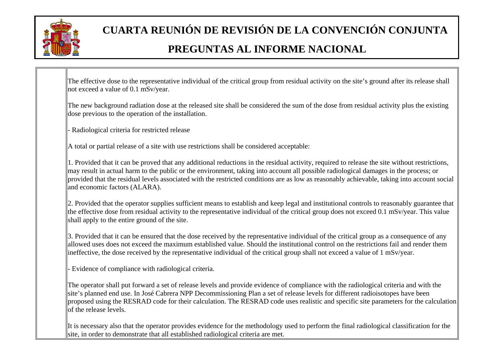

The effective dose to the representative individual of the critical group from residual activity on the site's ground after its release shall not exceed a value of 0.1 mSv/year.

The new background radiation dose at the released site shall be considered the sum of the dose from residual activity plus the existing dose previous to the operation of the installation.

Radiological criteria for restricted release

A total or partial release of a site with use restrictions shall be considered acceptable:

 $\|$ 1. Provided that it can be proved that any additional reductions in the residual activity, required to release the site without restrictions, may result in actual harm to the public or the environment, taking into account all possible radiological damages in the process; or provided that the residual levels associated with the restricted conditions are as low as reasonably achievable, taking into account social and economic factors (ALARA).

2. Provided that the operator supplies sufficient means to establish and keep legal and institutional controls to reasonably guarantee that the effective dose from residual activity to the representative individual of the critical group does not exceed 0.1 mSv/year. This value shall apply to the entire ground of the site.

3. Provided that it can be ensured that the dose received by the representative individual of the critical group as a consequence of any allowed uses does not exceed the maximum established value. Should the institutional control on the restrictions fail and render them ineffective, the dose received by the representative individual of the critical group shall not exceed a value of 1 mSv/year.

Evidence of compliance with radiological criteria.

The operator shall put forward a set of release levels and provide evidence of compliance with the radiological criteria and with the site's planned end use. In José Cabrera NPP Decommissioning Plan a set of release levels for different radioisotopes have been proposed using the RESRAD code for their calculation. The RESRAD code uses realistic and specific site parameters for the calculation of the release levels.

It is necessary also that the operator provides evidence for the methodology used to perform the final radiological classification for the site, in order to demonstrate that all established radiological criteria are met.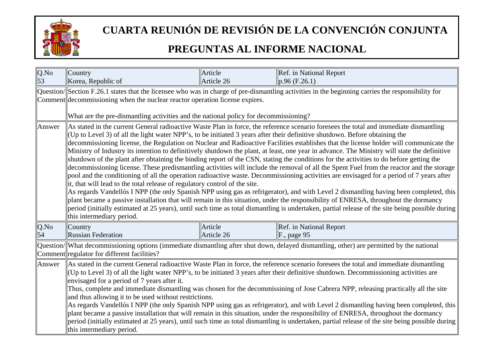

| Q.No<br>53 | Country                                                                                                                                                                                                                                                                                                                                                                                                                                                                                                                                                                                                                                                                                                                                                                                                                                                                                                                                                                                                                                                                                                                                                                                                                                                                                                                                                                                                                                                                                                                                         | Article               | Ref. in National Report                                                                                                                                             |
|------------|-------------------------------------------------------------------------------------------------------------------------------------------------------------------------------------------------------------------------------------------------------------------------------------------------------------------------------------------------------------------------------------------------------------------------------------------------------------------------------------------------------------------------------------------------------------------------------------------------------------------------------------------------------------------------------------------------------------------------------------------------------------------------------------------------------------------------------------------------------------------------------------------------------------------------------------------------------------------------------------------------------------------------------------------------------------------------------------------------------------------------------------------------------------------------------------------------------------------------------------------------------------------------------------------------------------------------------------------------------------------------------------------------------------------------------------------------------------------------------------------------------------------------------------------------|-----------------------|---------------------------------------------------------------------------------------------------------------------------------------------------------------------|
|            | Korea, Republic of                                                                                                                                                                                                                                                                                                                                                                                                                                                                                                                                                                                                                                                                                                                                                                                                                                                                                                                                                                                                                                                                                                                                                                                                                                                                                                                                                                                                                                                                                                                              | Article 26            | $p.96$ (F.26.1)<br>Question/Section F.26.1 states that the licensee who was in charge of pre-dismantling activities in the beginning carries the responsibility for |
|            | Comment decommissioning when the nuclear reactor operation license expires.                                                                                                                                                                                                                                                                                                                                                                                                                                                                                                                                                                                                                                                                                                                                                                                                                                                                                                                                                                                                                                                                                                                                                                                                                                                                                                                                                                                                                                                                     |                       |                                                                                                                                                                     |
|            | What are the pre-dismantling activities and the national policy for decommissioning?                                                                                                                                                                                                                                                                                                                                                                                                                                                                                                                                                                                                                                                                                                                                                                                                                                                                                                                                                                                                                                                                                                                                                                                                                                                                                                                                                                                                                                                            |                       |                                                                                                                                                                     |
| Answer     | As stated in the current General radioactive Waste Plan in force, the reference scenario foresees the total and immediate dismantling<br>(Up to Level 3) of all the light water NPP's, to be initiated 3 years after their definitive shutdown. Before obtaining the<br>decommissioning license, the Regulation on Nuclear and Radioactive Facilities establishes that the license holder will communicate the<br>Ministry of Industry its intention to definitively shutdown the plant, at least, one year in advance. The Ministry will state the definitive<br>shutdown of the plant after obtaining the binding report of the CSN, stating the conditions for the activities to do before getting the<br>decommissioning license. These predismantling activities will include the removal of all the Spent Fuel from the reactor and the storage<br>pool and the conditioning of all the operation radioactive waste. Decommissioning activities are envisaged for a period of 7 years after<br>it, that will lead to the total release of regulatory control of the site.<br>As regards Vandellós I NPP (the only Spanish NPP using gas as refrigerator), and with Level 2 dismantling having been completed, this<br>plant became a passive installation that will remain in this situation, under the responsibility of ENRESA, throughout the dormancy<br>period (initially estimated at 25 years), until such time as total dismantling is undertaken, partial release of the site being possible during<br>this intermediary period. |                       |                                                                                                                                                                     |
| Q.No<br>54 | Country<br><b>Russian Federation</b>                                                                                                                                                                                                                                                                                                                                                                                                                                                                                                                                                                                                                                                                                                                                                                                                                                                                                                                                                                                                                                                                                                                                                                                                                                                                                                                                                                                                                                                                                                            | Article<br>Article 26 | Ref. in National Report<br>F., page 95                                                                                                                              |
|            | Comment regulator for different facilities?                                                                                                                                                                                                                                                                                                                                                                                                                                                                                                                                                                                                                                                                                                                                                                                                                                                                                                                                                                                                                                                                                                                                                                                                                                                                                                                                                                                                                                                                                                     |                       | Question/ What decommissioning options (immediate dismantling after shut down, delayed dismantling, other) are permitted by the national                            |
| Answer     | As stated in the current General radioactive Waste Plan in force, the reference scenario foresees the total and immediate dismantling<br>(Up to Level 3) of all the light water NPP's, to be initiated 3 years after their definitive shutdown. Decommissioning activities are<br>envisaged for a period of 7 years after it.<br>Thus, complete and immediate dismantling was chosen for the decommissining of Jose Cabrera NPP, releasing practically all the site<br>and thus allowing it to be used without restrictions.<br>As regards Vandellós I NPP (the only Spanish NPP using gas as refrigerator), and with Level 2 dismantling having been completed, this<br>plant became a passive installation that will remain in this situation, under the responsibility of ENRESA, throughout the dormancy<br>period (initially estimated at 25 years), until such time as total dismantling is undertaken, partial release of the site being possible during<br>this intermediary period.                                                                                                                                                                                                                                                                                                                                                                                                                                                                                                                                                    |                       |                                                                                                                                                                     |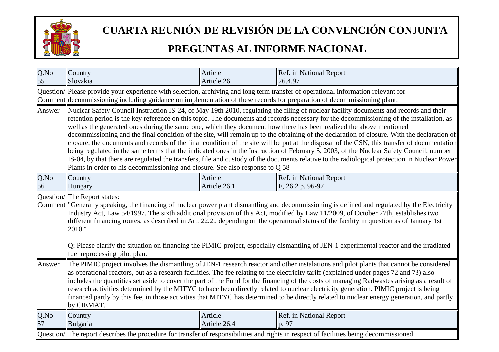

| Q.No<br>55    | Country<br>Slovakia                                                                                                                                                                                                                                                                                                                                                                                                                                                                                                                                                                                                                                                                                                                                                                                                                                                                                                                                                                                                                                                                    | Article<br>Article 26   | Ref. in National Report<br>26.4,97          |  |
|---------------|----------------------------------------------------------------------------------------------------------------------------------------------------------------------------------------------------------------------------------------------------------------------------------------------------------------------------------------------------------------------------------------------------------------------------------------------------------------------------------------------------------------------------------------------------------------------------------------------------------------------------------------------------------------------------------------------------------------------------------------------------------------------------------------------------------------------------------------------------------------------------------------------------------------------------------------------------------------------------------------------------------------------------------------------------------------------------------------|-------------------------|---------------------------------------------|--|
|               | Question/ Please provide your experience with selection, archiving and long term transfer of operational information relevant for<br>Comment decommissioning including guidance on implementation of these records for preparation of decommissioning plant.                                                                                                                                                                                                                                                                                                                                                                                                                                                                                                                                                                                                                                                                                                                                                                                                                           |                         |                                             |  |
| Answer        | Nuclear Safety Council Instruction IS-24, of May 19th 2010, regulating the filing of nuclear facility documents and records and their<br>retention period is the key reference on this topic. The documents and records necessary for the decommissioning of the installation, as<br>well as the generated ones during the same one, which they document how there has been realized the above mentioned<br>decommissioning and the final condition of the site, will remain up to the obtaining of the declaration of closure. With the declaration of<br>closure, the documents and records of the final condition of the site will be put at the disposal of the CSN, this transfer of documentation<br>being regulated in the same terms that the indicated ones in the Instruction of February 5, 2003, of the Nuclear Safety Council, number<br>[IS-04, by that there are regulated the transfers, file and custody of the documents relative to the radiological protection in Nuclear Power<br>Plants in order to his decommissioning and closure. See also response to $Q$ 58 |                         |                                             |  |
| $Q$ .No<br>56 | Country<br>Hungary                                                                                                                                                                                                                                                                                                                                                                                                                                                                                                                                                                                                                                                                                                                                                                                                                                                                                                                                                                                                                                                                     | Article<br>Article 26.1 | Ref. in National Report<br>F, 26.2 p. 96-97 |  |
|               | Question/The Report states:<br>Comment "Generally speaking, the financing of nuclear power plant dismantling and decommissioning is defined and regulated by the Electricity<br>Industry Act, Law 54/1997. The sixth additional provision of this Act, modified by Law 11/2009, of October 27th, establishes two<br>different financing routes, as described in Art. 22.2., depending on the operational status of the facility in question as of January 1st<br>2010."<br>Q: Please clarify the situation on financing the PIMIC-project, especially dismantling of JEN-1 experimental reactor and the irradiated<br>fuel reprocessing pilot plan.                                                                                                                                                                                                                                                                                                                                                                                                                                    |                         |                                             |  |
| Answer        | The PIMIC project involves the dismantling of JEN-1 research reactor and other instalations and pilot plants that cannot be considered<br>as operational reactors, but as a research facilities. The fee relating to the electricity tariff (explained under pages 72 and 73) also<br>includes the quantities set aside to cover the part of the Fund for the financing of the costs of managing Radwastes arising as a result of<br>research activities determined by the MITYC to hace been directly related to nuclear electricity generation. PIMIC project is being<br>financed partly by this fee, in those activities that MITYC has determined to be directly related to nuclear energy generation, and partly<br>by CIEMAT.                                                                                                                                                                                                                                                                                                                                                   |                         |                                             |  |
| Q.No<br>57    | Country<br>Bulgaria                                                                                                                                                                                                                                                                                                                                                                                                                                                                                                                                                                                                                                                                                                                                                                                                                                                                                                                                                                                                                                                                    | Article<br>Article 26.4 | Ref. in National Report<br>p. 97            |  |
|               | $\alpha$ Question/ The report describes the procedure for transfer of responsibilities and rights in respect of facilities being decommissioned.                                                                                                                                                                                                                                                                                                                                                                                                                                                                                                                                                                                                                                                                                                                                                                                                                                                                                                                                       |                         |                                             |  |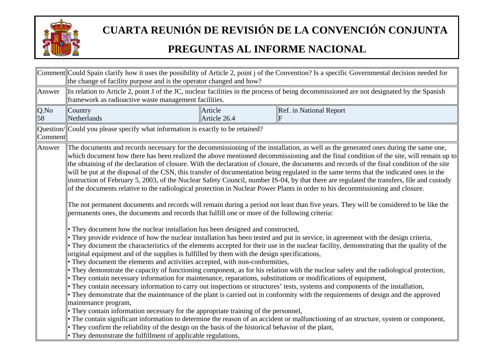

|            | Comment Could Spain clarify how it uses the possibility of Article 2, point j of the Convention? Is a specific Governmental decision needed for<br>the change of facility purpose and is the operator changed and how?                                                                                                                                                                                                                                                                                                                                                                                                                                                                                                                                                  |                         |                                                                                                                                                                                                                                                                                                                                                                                                                                                                                                                                                                                                                                                                                                                                                                                                                                                                                                                                                                                                                                                                                                                                                                                                                                                                                                                                                                                                                                                                                                                                                                                                                                                                                                                                                                                                                                   |  |
|------------|-------------------------------------------------------------------------------------------------------------------------------------------------------------------------------------------------------------------------------------------------------------------------------------------------------------------------------------------------------------------------------------------------------------------------------------------------------------------------------------------------------------------------------------------------------------------------------------------------------------------------------------------------------------------------------------------------------------------------------------------------------------------------|-------------------------|-----------------------------------------------------------------------------------------------------------------------------------------------------------------------------------------------------------------------------------------------------------------------------------------------------------------------------------------------------------------------------------------------------------------------------------------------------------------------------------------------------------------------------------------------------------------------------------------------------------------------------------------------------------------------------------------------------------------------------------------------------------------------------------------------------------------------------------------------------------------------------------------------------------------------------------------------------------------------------------------------------------------------------------------------------------------------------------------------------------------------------------------------------------------------------------------------------------------------------------------------------------------------------------------------------------------------------------------------------------------------------------------------------------------------------------------------------------------------------------------------------------------------------------------------------------------------------------------------------------------------------------------------------------------------------------------------------------------------------------------------------------------------------------------------------------------------------------|--|
| Answer     | framework as radioactive waste management facilities.                                                                                                                                                                                                                                                                                                                                                                                                                                                                                                                                                                                                                                                                                                                   |                         | In relation to Article 2, point J of the JC, nuclear facilities in the process of being decommissioned are not designated by the Spanish                                                                                                                                                                                                                                                                                                                                                                                                                                                                                                                                                                                                                                                                                                                                                                                                                                                                                                                                                                                                                                                                                                                                                                                                                                                                                                                                                                                                                                                                                                                                                                                                                                                                                          |  |
| Q.No<br>58 | Country<br>Netherlands                                                                                                                                                                                                                                                                                                                                                                                                                                                                                                                                                                                                                                                                                                                                                  | Article<br>Article 26.4 | Ref. in National Report                                                                                                                                                                                                                                                                                                                                                                                                                                                                                                                                                                                                                                                                                                                                                                                                                                                                                                                                                                                                                                                                                                                                                                                                                                                                                                                                                                                                                                                                                                                                                                                                                                                                                                                                                                                                           |  |
| Comment    | Question/Could you please specify what information is exactly to be retained?                                                                                                                                                                                                                                                                                                                                                                                                                                                                                                                                                                                                                                                                                           |                         |                                                                                                                                                                                                                                                                                                                                                                                                                                                                                                                                                                                                                                                                                                                                                                                                                                                                                                                                                                                                                                                                                                                                                                                                                                                                                                                                                                                                                                                                                                                                                                                                                                                                                                                                                                                                                                   |  |
| Answer     | permanents ones, the documents and records that fulfill one or more of the following criteria:<br>• They document how the nuclear installation has been designed and constructed,<br>original equipment and of the supplies is fulfilled by them with the design specifications,<br>• They document the elements and activities accepted, with non-conformities,<br>• They contain necessary information for maintenance, reparations, substitutions or modifications of equipment,<br>maintenance program,<br>• They contain information necessary for the appropriate training of the personnel,<br>They confirm the reliability of the design on the basis of the historical behavior of the plant,<br>• They demonstrate the fulfillment of applicable regulations, |                         | The documents and records necessary for the decommissioning of the installation, as well as the generated ones during the same one,<br>which document how there has been realized the above mentioned decommissioning and the final condition of the site, will remain up to<br>the obtaining of the declaration of closure. With the declaration of closure, the documents and records of the final condition of the site<br>will be put at the disposal of the CSN, this transfer of documentation being regulated in the same terms that the indicated ones in the<br>linstruction of February 5, 2003, of the Nuclear Safety Council, number IS-04, by that there are regulated the transfers, file and custody<br>of the documents relative to the radiological protection in Nuclear Power Plants in order to his decommissioning and closure.<br>The not permanent documents and records will remain during a period not least than five years. They will be considered to be like the<br>They provide evidence of how the nuclear installation has been tested and put in service, in agreement with the design criteria,<br>They document the characteristics of the elements accepted for their use in the nuclear facility, demonstrating that the quality of the<br>They demonstrate the capacity of functioning component, as for his relation with the nuclear safety and the radiological protection,<br>They contain necessary information to carry out inspections or structures' tests, systems and components of the installation,<br>• They demonstrate that the maintenance of the plant is carried out in conformity with the requirements of design and the approved<br>The contain significant information to determine the reason of an accident or malfunctioning of an structure, system or component, |  |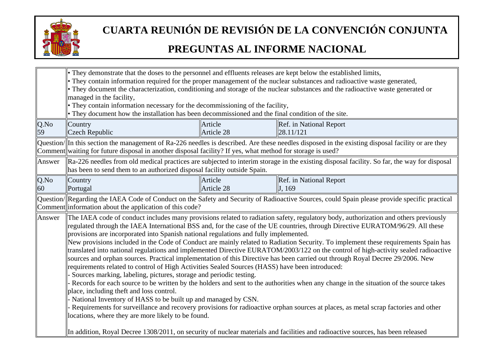

|            | • They demonstrate that the doses to the personnel and effluents releases are kept below the established limits,<br>• They contain information required for the proper management of the nuclear substances and radioactive waste generated,<br>• They document the characterization, conditioning and storage of the nuclear substances and the radioactive waste generated or<br>managed in the facility,<br>• They contain information necessary for the decommissioning of the facility,<br>• They document how the installation has been decommissioned and the final condition of the site.                                                                                                                                                                                                                                                                                                                                                                                                                                                                                                                                                                                                                                                                                                                                                                                                                                                                                                                                                                                                  |                       |                                                                                                                                                   |
|------------|----------------------------------------------------------------------------------------------------------------------------------------------------------------------------------------------------------------------------------------------------------------------------------------------------------------------------------------------------------------------------------------------------------------------------------------------------------------------------------------------------------------------------------------------------------------------------------------------------------------------------------------------------------------------------------------------------------------------------------------------------------------------------------------------------------------------------------------------------------------------------------------------------------------------------------------------------------------------------------------------------------------------------------------------------------------------------------------------------------------------------------------------------------------------------------------------------------------------------------------------------------------------------------------------------------------------------------------------------------------------------------------------------------------------------------------------------------------------------------------------------------------------------------------------------------------------------------------------------|-----------------------|---------------------------------------------------------------------------------------------------------------------------------------------------|
| Q.No<br>59 | Country<br><b>Czech Republic</b>                                                                                                                                                                                                                                                                                                                                                                                                                                                                                                                                                                                                                                                                                                                                                                                                                                                                                                                                                                                                                                                                                                                                                                                                                                                                                                                                                                                                                                                                                                                                                                   | Article<br>Article 28 | Ref. in National Report<br>28.11/121                                                                                                              |
|            | Comment waiting for future disposal in another disposal facility? If yes, what method for storage is used?                                                                                                                                                                                                                                                                                                                                                                                                                                                                                                                                                                                                                                                                                                                                                                                                                                                                                                                                                                                                                                                                                                                                                                                                                                                                                                                                                                                                                                                                                         |                       | Question/ In this section the management of Ra-226 needles is described. Are these needles disposed in the existing disposal facility or are they |
| Answer     | has been to send them to an authorized disposal facility outside Spain.                                                                                                                                                                                                                                                                                                                                                                                                                                                                                                                                                                                                                                                                                                                                                                                                                                                                                                                                                                                                                                                                                                                                                                                                                                                                                                                                                                                                                                                                                                                            |                       | $\Re$ Ra-226 needles from old medical practices are subjected to interim storage in the existing disposal facility. So far, the way for disposal  |
| Q.No<br>60 | Country<br>Portugal                                                                                                                                                                                                                                                                                                                                                                                                                                                                                                                                                                                                                                                                                                                                                                                                                                                                                                                                                                                                                                                                                                                                                                                                                                                                                                                                                                                                                                                                                                                                                                                | Article<br>Article 28 | Ref. in National Report<br>J. 169                                                                                                                 |
|            |                                                                                                                                                                                                                                                                                                                                                                                                                                                                                                                                                                                                                                                                                                                                                                                                                                                                                                                                                                                                                                                                                                                                                                                                                                                                                                                                                                                                                                                                                                                                                                                                    |                       | Question/ Regarding the IAEA Code of Conduct on the Safety and Security of Radioactive Sources, could Spain please provide specific practical     |
| Answer     | Comment information about the application of this code?<br>The IAEA code of conduct includes many provisions related to radiation safety, regulatory body, authorization and others previously<br>regulated through the IAEA International BSS and, for the case of the UE countries, through Directive EURATOM/96/29. All these<br>provisions are incorporated into Spanish national regulations and fully implemented.<br>New provisions included in the Code of Conduct are mainly related to Radiation Security. To implement these requirements Spain has<br>translated into national regulations and implemented Directive EURATOM/2003/122 on the control of high-activity sealed radioactive<br>sources and orphan sources. Practical implementation of this Directive has been carried out through Royal Decree 29/2006. New<br>requirements related to control of High Activities Sealed Sources (HASS) have been introduced:<br>Sources marking, labeling, pictures, storage and periodic testing.<br>Records for each source to be written by the holders and sent to the authorities when any change in the situation of the source takes<br>place, including theft and loss control.<br>National Inventory of HASS to be built up and managed by CSN.<br>Requirements for surveillance and recovery provisions for radioactive orphan sources at places, as metal scrap factories and other<br>locations, where they are more likely to be found.<br>In addition, Royal Decree 1308/2011, on security of nuclear materials and facilities and radioactive sources, has been released |                       |                                                                                                                                                   |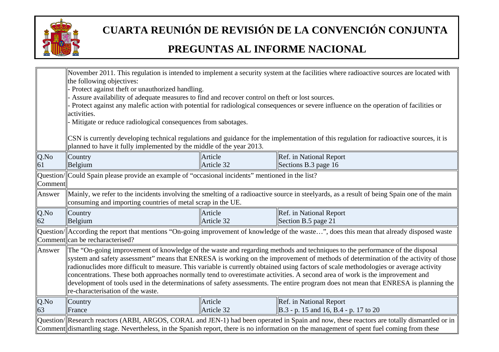

|            | November 2011. This regulation is intended to implement a security system at the facilities where radioactive sources are located with<br>the following objectives:<br>Protect against theft or unauthorized handling.<br>Assure availability of adequate measures to find and recover control on theft or lost sources.<br>Protect against any malefic action with potential for radiological consequences or severe influence on the operation of facilities or<br>activities.<br>- Mitigate or reduce radiological consequences from sabotages.<br>CSN is currently developing technical regulations and guidance for the implementation of this regulation for radioactive sources, it is<br>planned to have it fully implemented by the middle of the year 2013. |                       |                                                                                                                                            |  |
|------------|-----------------------------------------------------------------------------------------------------------------------------------------------------------------------------------------------------------------------------------------------------------------------------------------------------------------------------------------------------------------------------------------------------------------------------------------------------------------------------------------------------------------------------------------------------------------------------------------------------------------------------------------------------------------------------------------------------------------------------------------------------------------------|-----------------------|--------------------------------------------------------------------------------------------------------------------------------------------|--|
| Q.No<br>61 | Country                                                                                                                                                                                                                                                                                                                                                                                                                                                                                                                                                                                                                                                                                                                                                               | Article<br>Article 32 | Ref. in National Report<br>Sections B.3 page $16$                                                                                          |  |
| Comment    | Belgium<br>Question/ Could Spain please provide an example of "occasional incidents" mentioned in the list?                                                                                                                                                                                                                                                                                                                                                                                                                                                                                                                                                                                                                                                           |                       |                                                                                                                                            |  |
| Answer     | consuming and importing countries of metal scrap in the UE.                                                                                                                                                                                                                                                                                                                                                                                                                                                                                                                                                                                                                                                                                                           |                       | Mainly, we refer to the incidents involving the smelting of a radioactive source in steelyards, as a result of being Spain one of the main |  |
| Q.No<br>62 | Country<br>Belgium                                                                                                                                                                                                                                                                                                                                                                                                                                                                                                                                                                                                                                                                                                                                                    | Article<br>Article 32 | Ref. in National Report<br>Section B.5 page 21                                                                                             |  |
|            | Comment can be recharacterised?                                                                                                                                                                                                                                                                                                                                                                                                                                                                                                                                                                                                                                                                                                                                       |                       | Question/  According the report that mentions "On-going improvement of knowledge of the waste", does this mean that already disposed waste |  |
| Answer     | The "On-going improvement of knowledge of the waste and regarding methods and techniques to the performance of the disposal<br>system and safety assessment" means that ENRESA is working on the improvement of methods of determination of the activity of those<br>radionuclides more difficult to measure. This variable is currently obtained using factors of scale methodologies or average activity<br>concentrations. These both approaches normally tend to overestimate activities. A second area of work is the improvement and<br>development of tools used in the determinations of safety assessments. The entire program does not mean that ENRESA is planning the<br>re-characterisation of the waste.                                                |                       |                                                                                                                                            |  |
| Q.No<br>63 | Country<br>France                                                                                                                                                                                                                                                                                                                                                                                                                                                                                                                                                                                                                                                                                                                                                     | Article<br>Article 32 | Ref. in National Report<br>$\vert$ B.3 - p. 15 and 16, B.4 - p. 17 to 20                                                                   |  |
|            | Question/ Research reactors (ARBI, ARGOS, CORAL and JEN-1) had been operated in Spain and now, these reactors are totally dismantled or in<br>Comment dismantling stage. Nevertheless, in the Spanish report, there is no information on the management of spent fuel coming from these                                                                                                                                                                                                                                                                                                                                                                                                                                                                               |                       |                                                                                                                                            |  |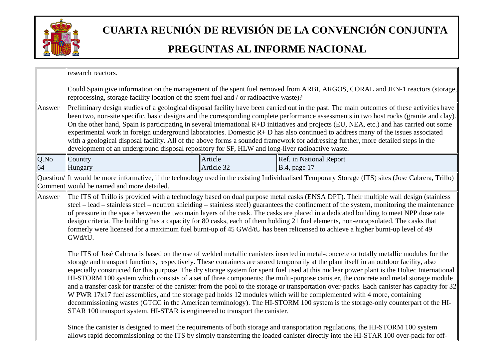

|            | research reactors.                                                                                                                                                                                                                                                                                                                                                                                                                                                                                                                                                                                                                                                                                                                                                                                                                                                                                                                                                                                                                                               |                       |                                                                                                                                                                                                                                                                        |  |
|------------|------------------------------------------------------------------------------------------------------------------------------------------------------------------------------------------------------------------------------------------------------------------------------------------------------------------------------------------------------------------------------------------------------------------------------------------------------------------------------------------------------------------------------------------------------------------------------------------------------------------------------------------------------------------------------------------------------------------------------------------------------------------------------------------------------------------------------------------------------------------------------------------------------------------------------------------------------------------------------------------------------------------------------------------------------------------|-----------------------|------------------------------------------------------------------------------------------------------------------------------------------------------------------------------------------------------------------------------------------------------------------------|--|
|            | Could Spain give information on the management of the spent fuel removed from ARBI, ARGOS, CORAL and JEN-1 reactors (storage,<br>reprocessing, storage facility location of the spent fuel and / or radioactive waste)?                                                                                                                                                                                                                                                                                                                                                                                                                                                                                                                                                                                                                                                                                                                                                                                                                                          |                       |                                                                                                                                                                                                                                                                        |  |
| Answer     | Preliminary design studies of a geological disposal facility have been carried out in the past. The main outcomes of these activities have<br>been two, non-site specific, basic designs and the corresponding complete performance assessments in two host rocks (granite and clay).<br>On the other hand, Spain is participating in several international R+D initiatives and projects (EU, NEA, etc.) and has carried out some<br>experimental work in foreign underground laboratories. Domestic $R + D$ has also continued to address many of the issues associated<br>with a geological disposal facility. All of the above forms a sounded framework for addressing further, more detailed steps in the<br>development of an underground disposal repository for SF, HLW and long-liver radioactive waste.                                                                                                                                                                                                                                                |                       |                                                                                                                                                                                                                                                                        |  |
| Q.No<br>64 | Country<br><b>Hungary</b>                                                                                                                                                                                                                                                                                                                                                                                                                                                                                                                                                                                                                                                                                                                                                                                                                                                                                                                                                                                                                                        | Article<br>Article 32 | Ref. in National Report<br>$\vert$ B.4, page 17                                                                                                                                                                                                                        |  |
|            | Comment would be named and more detailed.                                                                                                                                                                                                                                                                                                                                                                                                                                                                                                                                                                                                                                                                                                                                                                                                                                                                                                                                                                                                                        |                       | Question/ It would be more informative, if the technology used in the existing Individualised Temporary Storage (ITS) sites (Jose Cabrera, Trillo)                                                                                                                     |  |
| Answer     | The ITS of Trillo is provided with a technology based on dual purpose metal casks (ENSA DPT). Their multiple wall design (stainless<br>steel – lead – stainless steel – neutron shielding – stainless steel) guarantees the confinement of the system, monitoring the maintenance<br>of pressure in the space between the two main layers of the cask. The casks are placed in a dedicated building to meet NPP dose rate<br>design criteria. The building has a capacity for 80 casks, each of them holding 21 fuel elements, non-encapsulated. The casks that<br>formerly were licensed for a maximum fuel burnt-up of 45 GWd/tU has been relicensed to achieve a higher burnt-up level of 49<br>GWd/tU.                                                                                                                                                                                                                                                                                                                                                       |                       |                                                                                                                                                                                                                                                                        |  |
|            | The ITS of José Cabrera is based on the use of welded metallic canisters inserted in metal-concrete or totally metallic modules for the<br>storage and transport functions, respectively. These containers are stored temporarily at the plant itself in an outdoor facility, also<br>especially constructed for this purpose. The dry storage system for spent fuel used at this nuclear power plant is the Holtec International<br>HI-STORM 100 system which consists of a set of three components: the multi-purpose canister, the concrete and metal storage module<br>and a transfer cask for transfer of the canister from the pool to the storage or transportation over-packs. Each canister has capacity for 32<br>W PWR 17x17 fuel assemblies, and the storage pad holds 12 modules which will be complemented with 4 more, containing<br>decommissioning wastes (GTCC in the American terminology). The HI-STORM 100 system is the storage-only counterpart of the HI-<br>STAR 100 transport system. HI-STAR is engineered to transport the canister. |                       |                                                                                                                                                                                                                                                                        |  |
|            |                                                                                                                                                                                                                                                                                                                                                                                                                                                                                                                                                                                                                                                                                                                                                                                                                                                                                                                                                                                                                                                                  |                       | Since the canister is designed to meet the requirements of both storage and transportation regulations, the HI-STORM 100 system<br>allows rapid decommissioning of the ITS by simply transferring the loaded canister directly into the HI-STAR 100 over-pack for off- |  |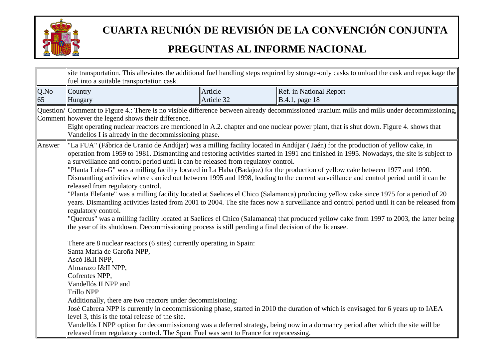

|            | site transportation. This alleviates the additional fuel handling steps required by storage-only casks to unload the cask and repackage the<br>fuel into a suitable transportation cask.                                                                                                                                                                                                                                                                                                                                                                                                                                                                               |                       |                                                                                                                                                                                                                                                                                                                                                                                                                                                                                                                                                                                                                                                                                                                                                                                                                                                                                                                                                                                                                                                                                                                                                                                                                                                               |  |
|------------|------------------------------------------------------------------------------------------------------------------------------------------------------------------------------------------------------------------------------------------------------------------------------------------------------------------------------------------------------------------------------------------------------------------------------------------------------------------------------------------------------------------------------------------------------------------------------------------------------------------------------------------------------------------------|-----------------------|---------------------------------------------------------------------------------------------------------------------------------------------------------------------------------------------------------------------------------------------------------------------------------------------------------------------------------------------------------------------------------------------------------------------------------------------------------------------------------------------------------------------------------------------------------------------------------------------------------------------------------------------------------------------------------------------------------------------------------------------------------------------------------------------------------------------------------------------------------------------------------------------------------------------------------------------------------------------------------------------------------------------------------------------------------------------------------------------------------------------------------------------------------------------------------------------------------------------------------------------------------------|--|
| Q.No<br>65 | Country<br>Hungary                                                                                                                                                                                                                                                                                                                                                                                                                                                                                                                                                                                                                                                     | Article<br>Article 32 | Ref. in National Report<br>$\vert$ B.4.1, page 18                                                                                                                                                                                                                                                                                                                                                                                                                                                                                                                                                                                                                                                                                                                                                                                                                                                                                                                                                                                                                                                                                                                                                                                                             |  |
|            | Comment however the legend shows their difference.<br>Vandellos I is already in the decommissioning phase.                                                                                                                                                                                                                                                                                                                                                                                                                                                                                                                                                             |                       | Question/ Comment to Figure 4.: There is no visible difference between already decommissioned uranium mills and mills under decommissioning,<br>Eight operating nuclear reactors are mentioned in A.2. chapter and one nuclear power plant, that is shut down. Figure 4. shows that                                                                                                                                                                                                                                                                                                                                                                                                                                                                                                                                                                                                                                                                                                                                                                                                                                                                                                                                                                           |  |
| Answer     | a surveillance and control period until it can be released from regulatoy control.<br>released from regulatory control.<br>regulatory control.<br>the year of its shutdown. Decommissioning process is still pending a final decision of the licensee.<br>There are 8 nuclear reactors (6 sites) currently operating in Spain:<br>Santa María de Garoña NPP,<br>Ascó I&II NPP,<br>Almarazo I&II NPP,<br>Cofrentes NPP,<br>Vandellós II NPP and<br>Trillo NPP<br>Additionally, there are two reactors under decommisioning:<br>level 3, this is the total release of the site.<br>released from regulatory control. The Spent Fuel was sent to France for reprocessing. |                       | "La FUA" (Fábrica de Uranio de Andújar) was a milling facility located in Andújar (Jaén) for the production of yellow cake, in<br>operation from 1959 to 1981. Dismantling and restoring activities started in 1991 and finished in 1995. Nowadays, the site is subject to<br>'Planta Lobo-G" was a milling facility located in La Haba (Badajoz) for the production of yellow cake between 1977 and 1990.<br>Dismantling activities where carried out between 1995 and 1998, leading to the current surveillance and control period until it can be<br>Planta Elefante" was a milling facility located at Saelices el Chico (Salamanca) producing yellow cake since 1975 for a period of 20<br>years. Dismantling activities lasted from 2001 to 2004. The site faces now a surveillance and control period until it can be released from<br>'Quercus" was a milling facility located at Saelices el Chico (Salamanca) that produced yellow cake from 1997 to 2003, the latter being<br>José Cabrera NPP is currently in decommissioning phase, started in 2010 the duration of which is envisaged for 6 years up to IAEA<br>Vandellós I NPP option for decommissionong was a deferred strategy, being now in a dormancy period after which the site will be |  |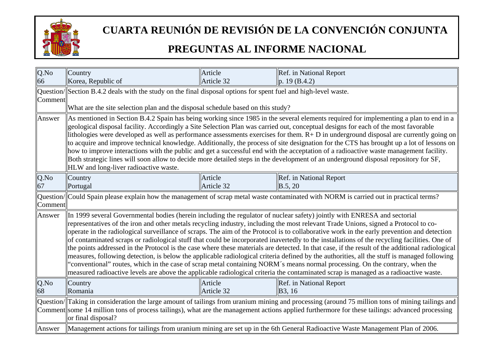

| $Q$ .No | Country                                                                                                                                      | Article    | Ref. in National Report                                                                                                                                                                                                                                                              |  |
|---------|----------------------------------------------------------------------------------------------------------------------------------------------|------------|--------------------------------------------------------------------------------------------------------------------------------------------------------------------------------------------------------------------------------------------------------------------------------------|--|
| 66      | Korea, Republic of                                                                                                                           | Article 32 | p. 19 $(B.4.2)$                                                                                                                                                                                                                                                                      |  |
|         | $\alpha$ Question/Section B.4.2 deals with the study on the final disposal options for spent fuel and high-level waste.                      |            |                                                                                                                                                                                                                                                                                      |  |
| Comment |                                                                                                                                              |            |                                                                                                                                                                                                                                                                                      |  |
|         | What are the site selection plan and the disposal schedule based on this study?                                                              |            |                                                                                                                                                                                                                                                                                      |  |
| Answer  |                                                                                                                                              |            | As mentioned in Section B.4.2 Spain has being working since 1985 in the several elements required for implementing a plan to end in a                                                                                                                                                |  |
|         |                                                                                                                                              |            | geological disposal facility. Accordingly a Site Selection Plan was carried out, conceptual designs for each of the most favorable                                                                                                                                                   |  |
|         |                                                                                                                                              |            | lithologies were developed as well as performance assessments exercises for them. $R + D$ in underground disposal are currently going on<br>to acquire and improve technical knowledge. Additionally, the process of site designation for the CTS has brought up a lot of lessons on |  |
|         |                                                                                                                                              |            | how to improve interactions with the public and get a successful end with the acceptation of a radioactive waste management facility.                                                                                                                                                |  |
|         |                                                                                                                                              |            | Both strategic lines will soon allow to decide more detailed steps in the development of an underground disposal repository for SF,                                                                                                                                                  |  |
|         | HLW and long-liver radioactive waste.                                                                                                        |            |                                                                                                                                                                                                                                                                                      |  |
| Q.No    | Country                                                                                                                                      | Article    | Ref. in National Report                                                                                                                                                                                                                                                              |  |
| 67      | Portugal                                                                                                                                     | Article 32 | B.5, 20                                                                                                                                                                                                                                                                              |  |
|         |                                                                                                                                              |            | Question/  Could Spain please explain how the management of scrap metal waste contaminated with NORM is carried out in practical terms?                                                                                                                                              |  |
| Comment |                                                                                                                                              |            |                                                                                                                                                                                                                                                                                      |  |
| Answer  |                                                                                                                                              |            | In 1999 several Governmental bodies (herein including the regulator of nuclear safety) jointly with ENRESA and sectorial                                                                                                                                                             |  |
|         |                                                                                                                                              |            | representatives of the iron and other metals recycling industry, including the most relevant Trade Unions, signed a Protocol to co-                                                                                                                                                  |  |
|         |                                                                                                                                              |            | operate in the radiological surveillance of scraps. The aim of the Protocol is to collaborative work in the early prevention and detection                                                                                                                                           |  |
|         | of contaminated scraps or radiological stuff that could be incorporated inavertedly to the installations of the recycling facilities. One of |            |                                                                                                                                                                                                                                                                                      |  |
|         |                                                                                                                                              |            | the points addressed in the Protocol is the case where these materials are detected. In that case, if the result of the additional radiological                                                                                                                                      |  |
|         |                                                                                                                                              |            | measures, following detection, is below the applicable radiological criteria defined by the authorities, all the stuff is managed following<br>'conventional" routes, which in the case of scrap metal containing NORM's means normal processing. On the contrary, when the          |  |
|         |                                                                                                                                              |            | measured radioactive levels are above the applicable radiological criteria the contaminated scrap is managed as a radioactive waste.                                                                                                                                                 |  |
| Q.No    | Country                                                                                                                                      | Article    | Ref. in National Report                                                                                                                                                                                                                                                              |  |
| 68      | Romania                                                                                                                                      | Article 32 | B3, 16                                                                                                                                                                                                                                                                               |  |
|         |                                                                                                                                              |            | Question/ Taking in consideration the large amount of tailings from uranium mining and processing (around 75 million tons of mining tailings and                                                                                                                                     |  |
|         |                                                                                                                                              |            | Comment some 14 million tons of process tailings), what are the management actions applied furthermore for these tailings: advanced processing                                                                                                                                       |  |
|         | or final disposal?                                                                                                                           |            |                                                                                                                                                                                                                                                                                      |  |
| Answer  |                                                                                                                                              |            | Management actions for tailings from uranium mining are set up in the 6th General Radioactive Waste Management Plan of 2006.                                                                                                                                                         |  |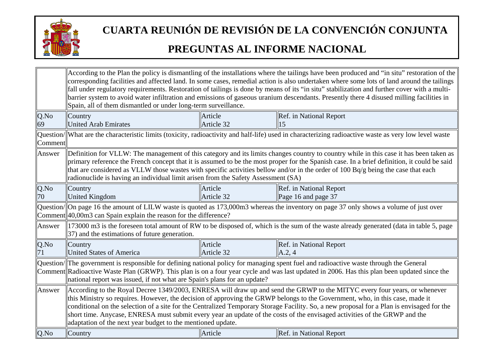

|            | According to the Plan the policy is dismantling of the installations where the tailings have been produced and "in situ" restoration of the<br>corresponding facilities and affected land. In some cases, remedial action is also undertaken where some lots of land around the tailings                                                                                                                                                                                                                                                                                                           |                                                                                                                                                                                                                                                                                                                                                           |                                                                                                                                                       |  |  |
|------------|----------------------------------------------------------------------------------------------------------------------------------------------------------------------------------------------------------------------------------------------------------------------------------------------------------------------------------------------------------------------------------------------------------------------------------------------------------------------------------------------------------------------------------------------------------------------------------------------------|-----------------------------------------------------------------------------------------------------------------------------------------------------------------------------------------------------------------------------------------------------------------------------------------------------------------------------------------------------------|-------------------------------------------------------------------------------------------------------------------------------------------------------|--|--|
|            |                                                                                                                                                                                                                                                                                                                                                                                                                                                                                                                                                                                                    | fall under regulatory requirements. Restoration of tailings is done by means of its "in situ" stabilization and further cover with a multi-<br>barrier system to avoid water infiltration and emissions of gaseous uranium descendants. Presently there 4 disused milling facilities in<br>Spain, all of them dismantled or under long-term surveillance. |                                                                                                                                                       |  |  |
| Q.No<br>69 | Country<br><b>United Arab Emirates</b>                                                                                                                                                                                                                                                                                                                                                                                                                                                                                                                                                             | Article<br>Article 32                                                                                                                                                                                                                                                                                                                                     | Ref. in National Report<br>15                                                                                                                         |  |  |
| Comment    |                                                                                                                                                                                                                                                                                                                                                                                                                                                                                                                                                                                                    |                                                                                                                                                                                                                                                                                                                                                           | Question/ What are the characteristic limits (toxicity, radioactivity and half-life) used in characterizing radioactive waste as very low level waste |  |  |
| Answer     | Definition for VLLW: The management of this category and its limits changes country to country while in this case it has been taken as<br>primary reference the French concept that it is assumed to be the most proper for the Spanish case. In a brief definition, it could be said<br>that are considered as VLLW those wastes with specific activities bellow and/or in the order of 100 Bq/g being the case that each<br>radionuclide is having an individual limit arisen from the Safety Assessment (SA)                                                                                    |                                                                                                                                                                                                                                                                                                                                                           |                                                                                                                                                       |  |  |
| Q.No<br>70 | Country<br><b>United Kingdom</b>                                                                                                                                                                                                                                                                                                                                                                                                                                                                                                                                                                   | Article<br>Article 32                                                                                                                                                                                                                                                                                                                                     | Ref. in National Report<br>Page 16 and page 37                                                                                                        |  |  |
|            | Comment 40,00m3 can Spain explain the reason for the difference?                                                                                                                                                                                                                                                                                                                                                                                                                                                                                                                                   |                                                                                                                                                                                                                                                                                                                                                           | Question/  On page 16 the amount of LILW waste is quoted as 173,000m3 whereas the inventory on page 37 only shows a volume of just over               |  |  |
| Answer     | $\parallel$ 37) and the estimations of future generation.                                                                                                                                                                                                                                                                                                                                                                                                                                                                                                                                          |                                                                                                                                                                                                                                                                                                                                                           | 173000 m3 is the foreseen total amount of RW to be disposed of, which is the sum of the waste already generated (data in table 5, page                |  |  |
| Q.No       | Country<br><b>United States of America</b>                                                                                                                                                                                                                                                                                                                                                                                                                                                                                                                                                         | Article<br>Article 32                                                                                                                                                                                                                                                                                                                                     | Ref. in National Report<br>A.2, 4                                                                                                                     |  |  |
|            | Question/ The government is responsible for defining national policy for managing spent fuel and radioactive waste through the General<br>Comment Radioactive Waste Plan (GRWP). This plan is on a four year cycle and was last updated in 2006. Has this plan been updated since the<br>national report was issued, if not what are Spain's plans for an update?                                                                                                                                                                                                                                  |                                                                                                                                                                                                                                                                                                                                                           |                                                                                                                                                       |  |  |
| Answer     | According to the Royal Decree 1349/2003, ENRESA will draw up and send the GRWP to the MITYC every four years, or whenever<br>this Ministry so requires. However, the decision of approving the GRWP belongs to the Government, who, in this case, made it<br>conditional on the selection of a site for the Centralized Temporary Storage Facility. So, a new proposal for a Plan is envisaged for the<br>short time. Anycase, ENRESA must submit every year an update of the costs of the envisaged activities of the GRWP and the<br>adaptation of the next year budget to the mentioned update. |                                                                                                                                                                                                                                                                                                                                                           |                                                                                                                                                       |  |  |
| Q.No       | Country                                                                                                                                                                                                                                                                                                                                                                                                                                                                                                                                                                                            | Article                                                                                                                                                                                                                                                                                                                                                   | Ref. in National Report                                                                                                                               |  |  |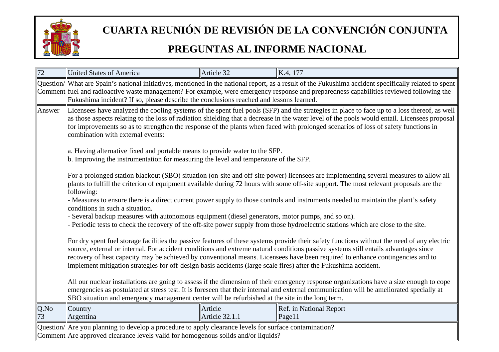

| 72         | United States of America                                                                                                                                                                                                                                                                                                                                                                                                                                                                                                                | Article 32                       | K.4, 177                                                                                                                          |  |
|------------|-----------------------------------------------------------------------------------------------------------------------------------------------------------------------------------------------------------------------------------------------------------------------------------------------------------------------------------------------------------------------------------------------------------------------------------------------------------------------------------------------------------------------------------------|----------------------------------|-----------------------------------------------------------------------------------------------------------------------------------|--|
|            | Question/  What are Spain's national initiatives, mentioned in the national report, as a result of the Fukushima accident specifically related to spent<br>Comment fuel and radioactive waste management? For example, were emergency response and preparedness capabilities reviewed following the<br>Fukushima incident? If so, please describe the conclusions reached and lessons learned.                                                                                                                                          |                                  |                                                                                                                                   |  |
| Answer     | Licensees have analyzed the cooling systems of the spent fuel pools (SFP) and the strategies in place to face up to a loss thereof, as well<br>as those aspects relating to the loss of radiation shielding that a decrease in the water level of the pools would entail. Licensees proposal<br>for improvements so as to strengthen the response of the plants when faced with prolonged scenarios of loss of safety functions in<br>combination with external events:                                                                 |                                  |                                                                                                                                   |  |
|            | a. Having alternative fixed and portable means to provide water to the SFP.<br>$\ $ b. Improving the instrumentation for measuring the level and temperature of the SFP.                                                                                                                                                                                                                                                                                                                                                                |                                  |                                                                                                                                   |  |
|            | For a prolonged station blackout (SBO) situation (on-site and off-site power) licensees are implementing several measures to allow all<br>plants to fulfill the criterion of equipment available during 72 hours with some off-site support. The most relevant proposals are the<br>following:                                                                                                                                                                                                                                          |                                  |                                                                                                                                   |  |
|            | conditions in such a situation.                                                                                                                                                                                                                                                                                                                                                                                                                                                                                                         |                                  | Measures to ensure there is a direct current power supply to those controls and instruments needed to maintain the plant's safety |  |
|            | Several backup measures with autonomous equipment (diesel generators, motor pumps, and so on).<br>Periodic tests to check the recovery of the off-site power supply from those hydroelectric stations which are close to the site.                                                                                                                                                                                                                                                                                                      |                                  |                                                                                                                                   |  |
|            | For dry spent fuel storage facilities the passive features of these systems provide their safety functions without the need of any electric<br>source, external or internal. For accident conditions and extreme natural conditions passive systems still entails advantages since<br>recovery of heat capacity may be achieved by conventional means. Licensees have been required to enhance contingencies and to<br>implement mitigation strategies for off-design basis accidents (large scale fires) after the Fukushima accident. |                                  |                                                                                                                                   |  |
|            | All our nuclear installations are going to assess if the dimension of their emergency response organizations have a size enough to cope<br>emergencies as postulated at stress test. It is foreseen that their internal and external communication will be ameliorated specially at<br>SBO situation and emergency management center will be refurbished at the site in the long term.                                                                                                                                                  |                                  |                                                                                                                                   |  |
| Q.No<br>73 | Country<br>Argentina                                                                                                                                                                                                                                                                                                                                                                                                                                                                                                                    | Article<br><b>Article 32.1.1</b> | Ref. in National Report<br>Page11                                                                                                 |  |
|            | $\alpha$ Question/ $\alpha$ Are you planning to develop a procedure to apply clearance levels for surface contamination?<br>Comment Are approved clearance levels valid for homogenous solids and/or liquids?                                                                                                                                                                                                                                                                                                                           |                                  |                                                                                                                                   |  |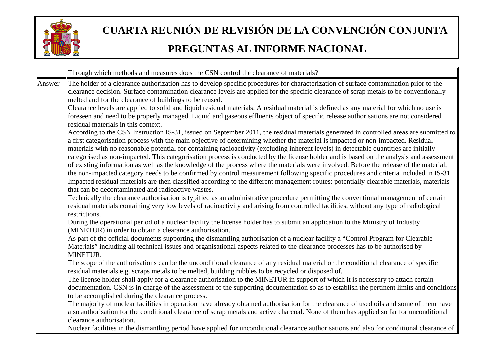

|                                                                                                                                                                                                                                                                                                                       | Through which methods and measures does the CSN control the clearance of materials?                                                                                                                                                                                                                                                                                                                                                                                                                                                                                                                                                                                                                        |  |  |
|-----------------------------------------------------------------------------------------------------------------------------------------------------------------------------------------------------------------------------------------------------------------------------------------------------------------------|------------------------------------------------------------------------------------------------------------------------------------------------------------------------------------------------------------------------------------------------------------------------------------------------------------------------------------------------------------------------------------------------------------------------------------------------------------------------------------------------------------------------------------------------------------------------------------------------------------------------------------------------------------------------------------------------------------|--|--|
| Answer                                                                                                                                                                                                                                                                                                                | The holder of a clearance authorization has to develop specific procedures for characterization of surface contamination prior to the<br>clearance decision. Surface contamination clearance levels are applied for the specific clearance of scrap metals to be conventionally<br>melted and for the clearance of buildings to be reused.                                                                                                                                                                                                                                                                                                                                                                 |  |  |
| Clearance levels are applied to solid and liquid residual materials. A residual material is defined as any material for which no use is<br>foreseen and need to be properly managed. Liquid and gaseous effluents object of specific release authorisations are not considered<br>residual materials in this context. |                                                                                                                                                                                                                                                                                                                                                                                                                                                                                                                                                                                                                                                                                                            |  |  |
|                                                                                                                                                                                                                                                                                                                       | According to the CSN Instruction IS-31, issued on September 2011, the residual materials generated in controlled areas are submitted to<br>a first categorisation process with the main objective of determining whether the material is impacted or non-impacted. Residual<br>materials with no reasonable potential for containing radioactivity (excluding inherent levels) in detectable quantities are initially<br>categorised as non-impacted. This categorisation process is conducted by the license holder and is based on the analysis and assessment<br>of existing information as well as the knowledge of the process where the materials were involved. Before the release of the material, |  |  |
|                                                                                                                                                                                                                                                                                                                       | the non-impacted category needs to be confirmed by control measurement following specific procedures and criteria included in IS-31.<br>Impacted residual materials are then classified according to the different management routes: potentially clearable materials, materials<br>that can be decontaminated and radioactive wastes.<br>Technically the clearance authorisation is typified as an administrative procedure permitting the conventional management of certain                                                                                                                                                                                                                             |  |  |
|                                                                                                                                                                                                                                                                                                                       | residual materials containing very low levels of radioactivity and arising from controlled facilities, without any type of radiological<br>restrictions.                                                                                                                                                                                                                                                                                                                                                                                                                                                                                                                                                   |  |  |
|                                                                                                                                                                                                                                                                                                                       | During the operational period of a nuclear facility the license holder has to submit an application to the Ministry of Industry<br>(MINETUR) in order to obtain a clearance authorisation.                                                                                                                                                                                                                                                                                                                                                                                                                                                                                                                 |  |  |
|                                                                                                                                                                                                                                                                                                                       | As part of the official documents supporting the dismantling authorisation of a nuclear facility a "Control Program for Clearable<br>Materials" including all technical issues and organisational aspects related to the clearance processes has to be authorised by<br>MINETUR.                                                                                                                                                                                                                                                                                                                                                                                                                           |  |  |
|                                                                                                                                                                                                                                                                                                                       | The scope of the authorisations can be the unconditional clearance of any residual material or the conditional clearance of specific<br>residual materials e.g. scraps metals to be melted, building rubbles to be recycled or disposed of.                                                                                                                                                                                                                                                                                                                                                                                                                                                                |  |  |
|                                                                                                                                                                                                                                                                                                                       | The license holder shall apply for a clearance authorisation to the MINETUR in support of which it is necessary to attach certain<br>documentation. CSN is in charge of the assessment of the supporting documentation so as to establish the pertinent limits and conditions                                                                                                                                                                                                                                                                                                                                                                                                                              |  |  |
|                                                                                                                                                                                                                                                                                                                       | to be accomplished during the clearance process.<br>The majority of nuclear facilities in operation have already obtained authorisation for the clearance of used oils and some of them have<br>also authorisation for the conditional clearance of scrap metals and active charcoal. None of them has applied so far for unconditional                                                                                                                                                                                                                                                                                                                                                                    |  |  |
|                                                                                                                                                                                                                                                                                                                       | clearance authorisation.<br>Nuclear facilities in the dismantling period have applied for unconditional clearance authorisations and also for conditional clearance of                                                                                                                                                                                                                                                                                                                                                                                                                                                                                                                                     |  |  |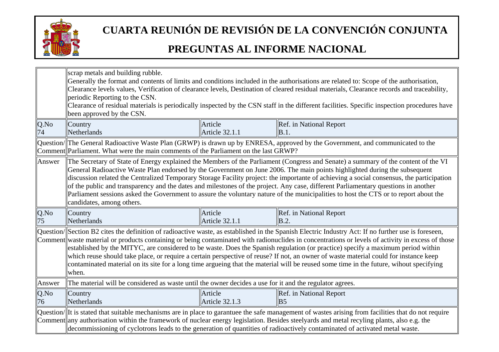

|            | scrap metals and building rubble.<br>Generally the format and contents of limits and conditions included in the authorisations are related to: Scope of the authorisation,<br>Clearance levels values, Verification of clearance levels, Destination of cleared residual materials, Clearance records and traceability,<br>periodic Reporting to the CSN.<br>Clearance of residual materials is periodically inspected by the CSN staff in the different facilities. Specific inspection procedures have<br>been approved by the CSN.                                                                                                                                                                                                 |                                  |                                           |
|------------|---------------------------------------------------------------------------------------------------------------------------------------------------------------------------------------------------------------------------------------------------------------------------------------------------------------------------------------------------------------------------------------------------------------------------------------------------------------------------------------------------------------------------------------------------------------------------------------------------------------------------------------------------------------------------------------------------------------------------------------|----------------------------------|-------------------------------------------|
| Q.No<br>74 | Country<br>Netherlands                                                                                                                                                                                                                                                                                                                                                                                                                                                                                                                                                                                                                                                                                                                | Article<br><b>Article 32.1.1</b> | Ref. in National Report<br>B.1.           |
|            | Question/ The General Radioactive Waste Plan (GRWP) is drawn up by ENRESA, approved by the Government, and communicated to the<br>Comment Parliament. What were the main comments of the Parliament on the last GRWP?                                                                                                                                                                                                                                                                                                                                                                                                                                                                                                                 |                                  |                                           |
| Answer     | The Secretary of State of Energy explained the Members of the Parliament (Congress and Senate) a summary of the content of the VI<br>General Radioactive Waste Plan endorsed by the Government on June 2006. The main points highlighted during the subsequent<br>discussion related the Centralized Temporary Storage Facility project: the importante of achieving a social consensus, the participation<br>of the public and transparency and the dates and milestones of the project. Any case, different Parliamentary questions in another<br>Parliament sessions asked the Government to assure the voluntary nature of the municipalities to host the CTS or to report about the<br>candidates, among others.                 |                                  |                                           |
| Q.No<br>75 | Country<br>Netherlands                                                                                                                                                                                                                                                                                                                                                                                                                                                                                                                                                                                                                                                                                                                | Article<br><b>Article 32.1.1</b> | Ref. in National Report<br>B.2.           |
|            | Question/Section B2 cites the definition of radioactive waste, as established in the Spanish Electric Industry Act: If no further use is foreseen,<br>Comment waste material or products containing or being contaminated with radionuclides in concentrations or levels of activity in excess of those<br>established by the MITYC, are considered to be waste. Does the Spanish regulation (or practice) specify a maximum period within<br>which reuse should take place, or require a certain perspective of reuse? If not, an owner of waste material could for instance keep<br>contaminated material on its site for a long time argueing that the material will be reused some time in the future, wihout specifying<br>when. |                                  |                                           |
| Answer     | The material will be considered as waste until the owner decides a use for it and the regulator agrees.                                                                                                                                                                                                                                                                                                                                                                                                                                                                                                                                                                                                                               |                                  |                                           |
| Q.No<br>76 | Country<br>Netherlands                                                                                                                                                                                                                                                                                                                                                                                                                                                                                                                                                                                                                                                                                                                | Article<br>Article 32.1.3        | Ref. in National Report<br>B <sub>5</sub> |
|            | Question/ It is stated that suitable mechanisms are in place to garantuee the safe management of wastes arising from facilities that do not require<br>Comment any authorisation within the framework of nuclear energy legislation. Besides steelyards and metal recyling plants, also e.g. the<br>decommissioning of cyclotrons leads to the generation of quantities of radioactively contaminated of activated metal waste.                                                                                                                                                                                                                                                                                                       |                                  |                                           |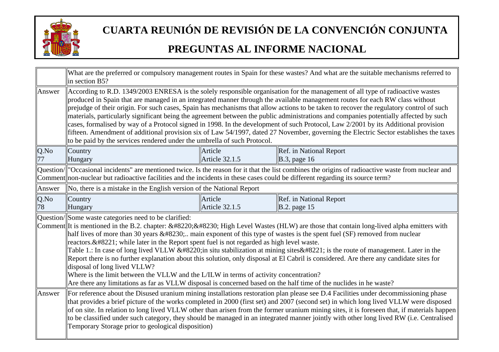

|            | What are the preferred or compulsory management routes in Spain for these wastes? And what are the suitable mechanisms referred to<br>in section B5?                                                                                                                                                                                                                                                                                                                                                                                                                                                                                                                                                                                                                                                                                                                                                                                                   |                           |                                                |
|------------|--------------------------------------------------------------------------------------------------------------------------------------------------------------------------------------------------------------------------------------------------------------------------------------------------------------------------------------------------------------------------------------------------------------------------------------------------------------------------------------------------------------------------------------------------------------------------------------------------------------------------------------------------------------------------------------------------------------------------------------------------------------------------------------------------------------------------------------------------------------------------------------------------------------------------------------------------------|---------------------------|------------------------------------------------|
| Answer     | According to R.D. 1349/2003 ENRESA is the solely responsible organisation for the management of all type of radioactive wastes<br>produced in Spain that are managed in an integrated manner through the available management routes for each RW class without<br>prejudge of their origin. For such cases, Spain has mechanisms that allow actions to be taken to recover the regulatory control of such<br>materials, particularly significant being the agreement between the public administrations and companies potentially affected by such<br>cases, formalised by way of a Protocol signed in 1998. In the development of such Protocol, Law 2/2001 by its Additional provision<br>fifteen. Amendment of additional provision six of Law 54/1997, dated 27 November, governing the Electric Sector establishes the taxes<br>to be paid by the services rendered under the umbrella of such Protocol.                                          |                           |                                                |
| Q.No       | Country<br>Hungary                                                                                                                                                                                                                                                                                                                                                                                                                                                                                                                                                                                                                                                                                                                                                                                                                                                                                                                                     | Article<br>Article 32.1.5 | Ref. in National Report<br>$B.3$ , page 16     |
|            | Question/  "Occasional incidents" are mentioned twice. Is the reason for it that the list combines the origins of radioactive waste from nuclear and<br>Comment non-nuclear but radioactive facilities and the incidents in these cases could be different regarding its source term?                                                                                                                                                                                                                                                                                                                                                                                                                                                                                                                                                                                                                                                                  |                           |                                                |
| Answer     | No, there is a mistake in the English version of the National Report                                                                                                                                                                                                                                                                                                                                                                                                                                                                                                                                                                                                                                                                                                                                                                                                                                                                                   |                           |                                                |
| Q.No<br>78 | Country<br>Hungary                                                                                                                                                                                                                                                                                                                                                                                                                                                                                                                                                                                                                                                                                                                                                                                                                                                                                                                                     | Article<br>Article 32.1.5 | Ref. in National Report<br><b>B.2.</b> page 15 |
|            | Question/Some waste categories need to be clarified:<br>Comment It is mentioned in the B.2. chapter: $&\#8220$ ; $&\#8230$ ; High Level Wastes (HLW) are those that contain long-lived alpha emitters with<br>half lives of more than 30 years $&\#8230$ ; main exponent of this type of wastes is the spent fuel (SF) removed from nuclear<br>reactors." while later in the Report spent fuel is not regarded as high level waste.<br>Table 1.: In case of long lived VLLW "in situ stabilization at mining sites" is the route of management. Later in the<br>Report there is no further explanation about this solution, only disposal at El Cabril is considered. Are there any candidate sites for<br>disposal of long lived VLLW?<br>Where is the limit between the VLLW and the L/ILW in terms of activity concentration?<br>Are there any limitations as far as VLLW disposal is concerned based on the half time of the nuclides in he waste? |                           |                                                |
| Answer     | For reference about the Disused uranium mining installations restoration plan please see D.4 Facilities under decommissioning phase<br>that provides a brief picture of the works completed in 2000 (first set) and 2007 (second set) in which long lived VLLW were disposed<br>of on site. In relation to long lived VLLW other than arisen from the former uranium mining sites, it is foreseen that, if materials happen<br>to be classified under such category, they should be managed in an integrated manner jointly with other long lived RW (i.e. Centralised<br>Temporary Storage prior to geological disposition)                                                                                                                                                                                                                                                                                                                           |                           |                                                |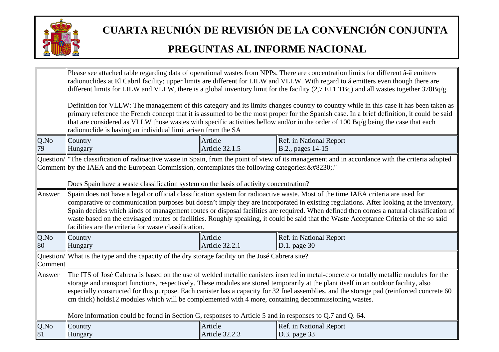

|               | Please see attached table regarding data of operational wastes from NPPs. There are concentration limits for different â-ã emitters<br>radionuclides at El Cabril facility; upper limits are different for LILW and VLLW. With regard to á emitters even though there are<br>different limits for LILW and VLLW, there is a global inventory limit for the facility $(2,7 E+1 TBq)$ and all wastes together $370Bq/g$ .<br>Definition for VLLW: The management of this category and its limits changes country to country while in this case it has been taken as<br>primary reference the French concept that it is assumed to be the most proper for the Spanish case. In a brief definition, it could be said<br>that are considered as VLLW those wastes with specific activities bellow and/or in the order of 100 Bq/g being the case that each<br>radionuclide is having an individual limit arisen from the SA |                                  |                                                 |
|---------------|------------------------------------------------------------------------------------------------------------------------------------------------------------------------------------------------------------------------------------------------------------------------------------------------------------------------------------------------------------------------------------------------------------------------------------------------------------------------------------------------------------------------------------------------------------------------------------------------------------------------------------------------------------------------------------------------------------------------------------------------------------------------------------------------------------------------------------------------------------------------------------------------------------------------|----------------------------------|-------------------------------------------------|
| Q.No<br>79    | Country<br>Hungary                                                                                                                                                                                                                                                                                                                                                                                                                                                                                                                                                                                                                                                                                                                                                                                                                                                                                                     | Article<br>Article 32.1.5        | Ref. in National Report<br>B.2., pages 14-15    |
|               | Question/  "The classification of radioactive waste in Spain, from the point of view of its management and in accordance with the criteria adopted<br>Comment by the IAEA and the European Commission, contemplates the following categories: …."<br>Does Spain have a waste classification system on the basis of activity concentration?                                                                                                                                                                                                                                                                                                                                                                                                                                                                                                                                                                             |                                  |                                                 |
| Answer        | Spain does not have a legal or official classification system for radioactive waste. Most of the time IAEA criteria are used for<br>comparative or communication purposes but doesn't imply they are incorporated in existing regulations. After looking at the inventory,<br>Spain decides which kinds of management routes or disposal facilities are required. When defined then comes a natural classification of<br>waste based on the envisaged routes or facilities. Roughly speaking, it could be said that the Waste Acceptance Criteria of the so said<br>facilities are the criteria for waste classification.                                                                                                                                                                                                                                                                                              |                                  |                                                 |
| $Q$ .No<br>80 | Country<br>Hungary                                                                                                                                                                                                                                                                                                                                                                                                                                                                                                                                                                                                                                                                                                                                                                                                                                                                                                     | Article<br><b>Article 32.2.1</b> | Ref. in National Report<br>$\vert$ D.1. page 30 |
| Comment       | $\alpha$ Question/ What is the type and the capacity of the dry storage facility on the José Cabrera site?                                                                                                                                                                                                                                                                                                                                                                                                                                                                                                                                                                                                                                                                                                                                                                                                             |                                  |                                                 |
| Answer        | The ITS of José Cabrera is based on the use of welded metallic canisters inserted in metal-concrete or totally metallic modules for the<br>storage and transport functions, respectively. These modules are stored temporarily at the plant itself in an outdoor facility, also<br>especially constructed for this purpose. Each canister has a capacity for 32 fuel assemblies, and the storage pad (reinforced concrete 60<br>cm thick) holds12 modules which will be complemented with 4 more, containing decommissioning wastes.<br>More information could be found in Section G, responses to Article 5 and in responses to Q.7 and Q. 64.                                                                                                                                                                                                                                                                        |                                  |                                                 |
| $Q$ .No<br>81 | Country<br>Hungary                                                                                                                                                                                                                                                                                                                                                                                                                                                                                                                                                                                                                                                                                                                                                                                                                                                                                                     | Article<br>Article 32.2.3        | Ref. in National Report<br>$\vert$ D.3. page 33 |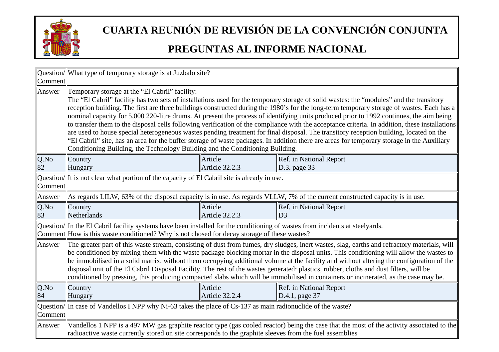

| Comment    | Question/  What type of temporary storage is at Juzbalo site?                                                                                                                                                                                                                                                                                                                                                                                                                                                                                                                                                                                                                                                                                                                                                                                                                                                                                                                                                |                           |                                                                                                                                           |
|------------|--------------------------------------------------------------------------------------------------------------------------------------------------------------------------------------------------------------------------------------------------------------------------------------------------------------------------------------------------------------------------------------------------------------------------------------------------------------------------------------------------------------------------------------------------------------------------------------------------------------------------------------------------------------------------------------------------------------------------------------------------------------------------------------------------------------------------------------------------------------------------------------------------------------------------------------------------------------------------------------------------------------|---------------------------|-------------------------------------------------------------------------------------------------------------------------------------------|
| Answer     | Temporary storage at the "El Cabril" facility:<br>The "El Cabril" facility has two sets of installations used for the temporary storage of solid wastes: the "modules" and the transitory<br>reception building. The first are three buildings constructed during the 1980's for the long-term temporary storage of wastes. Each has a<br>nominal capacity for 5,000 220-litre drums. At present the process of identifying units produced prior to 1992 continues, the aim being<br>to transfer them to the disposal cells following verification of the compliance with the acceptance criteria. In addition, these installations<br>are used to house special heterogeneous wastes pending treatment for final disposal. The transitory reception building, located on the<br>"El Cabril" site, has an area for the buffer storage of waste packages. In addition there are areas for temporary storage in the Auxiliary<br>Conditioning Building, the Technology Building and the Conditioning Building. |                           |                                                                                                                                           |
| Q.No<br>82 | Country<br>Hungary                                                                                                                                                                                                                                                                                                                                                                                                                                                                                                                                                                                                                                                                                                                                                                                                                                                                                                                                                                                           | Article<br>Article 32.2.3 | Ref. in National Report<br>D.3. page 33                                                                                                   |
| Comment    | Question/ It is not clear what portion of the capacity of El Cabril site is already in use.                                                                                                                                                                                                                                                                                                                                                                                                                                                                                                                                                                                                                                                                                                                                                                                                                                                                                                                  |                           |                                                                                                                                           |
| Answer     |                                                                                                                                                                                                                                                                                                                                                                                                                                                                                                                                                                                                                                                                                                                                                                                                                                                                                                                                                                                                              |                           | As regards LILW, 63% of the disposal capacity is in use. As regards VLLW, 7% of the current constructed capacity is in use.               |
| Q.No<br>83 | Country<br>Netherlands                                                                                                                                                                                                                                                                                                                                                                                                                                                                                                                                                                                                                                                                                                                                                                                                                                                                                                                                                                                       | Article<br>Article 32.2.3 | Ref. in National Report<br>D <sub>3</sub>                                                                                                 |
|            | $\alpha$ Question/ $\ $ In the El Cabril facility systems have been installed for the conditioning of wastes from incidents at steelyards.<br>Comment How is this waste conditioned? Why is not chosed for decay storage of these wastes?                                                                                                                                                                                                                                                                                                                                                                                                                                                                                                                                                                                                                                                                                                                                                                    |                           |                                                                                                                                           |
| Answer     | The greater part of this waste stream, consisting of dust from fumes, dry sludges, inert wastes, slag, earths and refractory materials, will<br>be conditioned by mixing them with the waste package blocking mortar in the disposal units. This conditioning will allow the wastes to<br>be immobilised in a solid matrix, without them occupying additional volume at the facility and without altering the configuration of the<br>disposal unit of the El Cabril Disposal Facility. The rest of the wastes generated: plastics, rubber, cloths and dust filters, will be<br>conditioned by pressing, this producing compacted slabs which will be immobilised in containers or incinerated, as the case may be.                                                                                                                                                                                                                                                                                          |                           |                                                                                                                                           |
| Q.No<br>84 | Country<br>Hungary                                                                                                                                                                                                                                                                                                                                                                                                                                                                                                                                                                                                                                                                                                                                                                                                                                                                                                                                                                                           | Article<br>Article 32.2.4 | Ref. in National Report<br>$\vert$ D.4.1, page 37                                                                                         |
| Comment    | Question/ $\ $ In case of Vandellos I NPP why Ni-63 takes the place of Cs-137 as main radionuclide of the waste?                                                                                                                                                                                                                                                                                                                                                                                                                                                                                                                                                                                                                                                                                                                                                                                                                                                                                             |                           |                                                                                                                                           |
| Answer     | radioactive waste currently stored on site corresponds to the graphite sleeves from the fuel assemblies                                                                                                                                                                                                                                                                                                                                                                                                                                                                                                                                                                                                                                                                                                                                                                                                                                                                                                      |                           | Vandellos 1 NPP is a 497 MW gas graphite reactor type (gas cooled reactor) being the case that the most of the activity associated to the |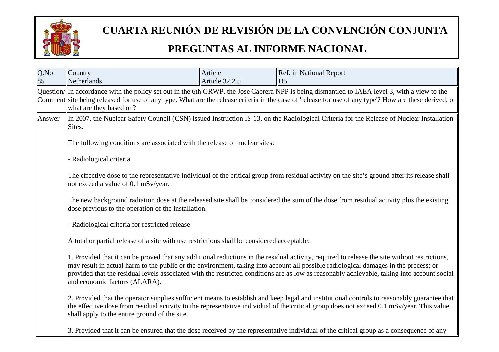

| Q.No<br>85 | Country<br><b>Netherlands</b>                                                                                                                                                                                                                                                                                                                                                                                                                                         | Article<br>Article 32.2.5 | Ref. in National Report<br>D <sub>5</sub>                                                                                                |  |
|------------|-----------------------------------------------------------------------------------------------------------------------------------------------------------------------------------------------------------------------------------------------------------------------------------------------------------------------------------------------------------------------------------------------------------------------------------------------------------------------|---------------------------|------------------------------------------------------------------------------------------------------------------------------------------|--|
|            | Question/ In accordance with the policy set out in the 6th GRWP, the Jose Cabrera NPP is being dismantled to IAEA level 3, with a view to the<br>Comment site being released for use of any type. What are the release criteria in the case of 'release for use of any type'? How are these derived, or<br>what are they based on?                                                                                                                                    |                           |                                                                                                                                          |  |
| Answer     | In 2007, the Nuclear Safety Council (CSN) issued Instruction IS-13, on the Radiological Criteria for the Release of Nuclear Installation<br>Sites.                                                                                                                                                                                                                                                                                                                    |                           |                                                                                                                                          |  |
|            | The following conditions are associated with the release of nuclear sites:                                                                                                                                                                                                                                                                                                                                                                                            |                           |                                                                                                                                          |  |
|            | Radiological criteria                                                                                                                                                                                                                                                                                                                                                                                                                                                 |                           |                                                                                                                                          |  |
|            | The effective dose to the representative individual of the critical group from residual activity on the site's ground after its release shall<br>not exceed a value of 0.1 mSv/year.<br>The new background radiation dose at the released site shall be considered the sum of the dose from residual activity plus the existing<br>dose previous to the operation of the installation.                                                                                |                           |                                                                                                                                          |  |
|            |                                                                                                                                                                                                                                                                                                                                                                                                                                                                       |                           |                                                                                                                                          |  |
|            | Radiological criteria for restricted release                                                                                                                                                                                                                                                                                                                                                                                                                          |                           |                                                                                                                                          |  |
|            | A total or partial release of a site with use restrictions shall be considered acceptable:                                                                                                                                                                                                                                                                                                                                                                            |                           |                                                                                                                                          |  |
|            | 1. Provided that it can be proved that any additional reductions in the residual activity, required to release the site without restrictions,<br>may result in actual harm to the public or the environment, taking into account all possible radiological damages in the process; or<br>provided that the residual levels associated with the restricted conditions are as low as reasonably achievable, taking into account social<br>and economic factors (ALARA). |                           |                                                                                                                                          |  |
|            | 2. Provided that the operator supplies sufficient means to establish and keep legal and institutional controls to reasonably guarantee that<br>the effective dose from residual activity to the representative individual of the critical group does not exceed 0.1 mSv/year. This value<br>shall apply to the entire ground of the site.                                                                                                                             |                           |                                                                                                                                          |  |
|            |                                                                                                                                                                                                                                                                                                                                                                                                                                                                       |                           | 3. Provided that it can be ensured that the dose received by the representative individual of the critical group as a consequence of any |  |